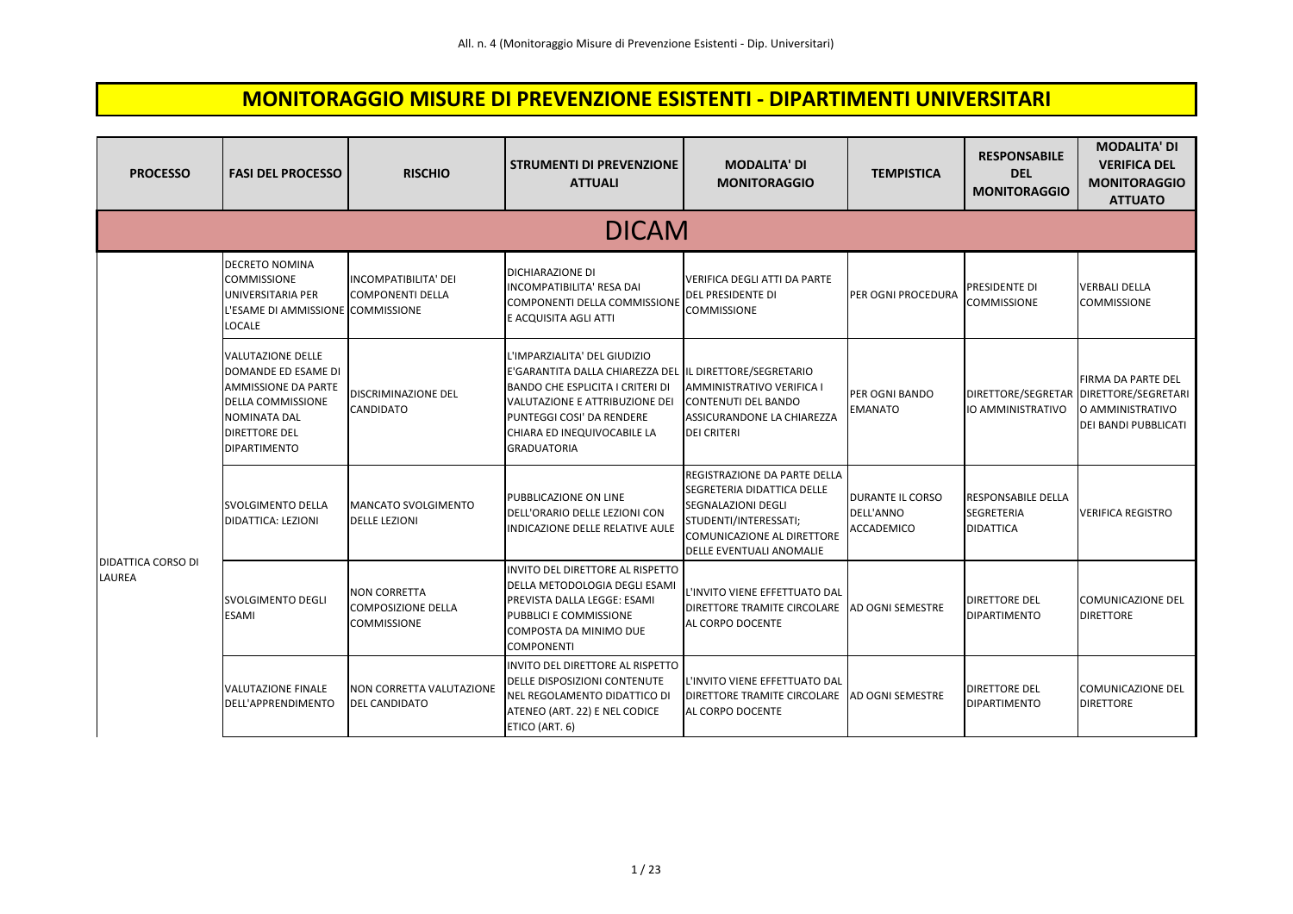## **MONITORAGGIO MISURE DI PREVENZIONE ESISTENTI - DIPARTIMENTI UNIVERSITARI**

| <b>PROCESSO</b>                            | <b>FASI DEL PROCESSO</b>                                                                                                                                                 | <b>RISCHIO</b>                                                         | <b>STRUMENTI DI PREVENZIONE</b><br><b>ATTUALI</b>                                                                                                                                                                                                      | <b>MODALITA' DI</b><br><b>MONITORAGGIO</b>                                                                                                                          | <b>TEMPISTICA</b>                                  | <b>RESPONSABILE</b><br><b>DEL</b><br><b>MONITORAGGIO</b>           | <b>MODALITA' DI</b><br><b>VERIFICA DEL</b><br><b>MONITORAGGIO</b><br><b>ATTUATO</b>   |
|--------------------------------------------|--------------------------------------------------------------------------------------------------------------------------------------------------------------------------|------------------------------------------------------------------------|--------------------------------------------------------------------------------------------------------------------------------------------------------------------------------------------------------------------------------------------------------|---------------------------------------------------------------------------------------------------------------------------------------------------------------------|----------------------------------------------------|--------------------------------------------------------------------|---------------------------------------------------------------------------------------|
|                                            |                                                                                                                                                                          |                                                                        | <b>DICAM</b>                                                                                                                                                                                                                                           |                                                                                                                                                                     |                                                    |                                                                    |                                                                                       |
|                                            | <b>DECRETO NOMINA</b><br><b>COMMISSIONE</b><br>UNIVERSITARIA PER<br>L'ESAME DI AMMISSIONE COMMISSIONE<br><b>LOCALE</b>                                                   | <b>INCOMPATIBILITA' DEI</b><br><b>COMPONENTI DELLA</b>                 | DICHIARAZIONE DI<br>INCOMPATIBILITA' RESA DAI<br>COMPONENTI DELLA COMMISSIONE<br>E ACQUISITA AGLI ATTI                                                                                                                                                 | VERIFICA DEGLI ATTI DA PARTE<br>DEL PRESIDENTE DI<br><b>COMMISSIONE</b>                                                                                             | PER OGNI PROCEDURA                                 | PRESIDENTE DI<br><b>COMMISSIONE</b>                                | <b>VERBALI DELLA</b><br><b>COMMISSIONE</b>                                            |
| <b>DIDATTICA CORSO DI</b><br><b>LAUREA</b> | <b>VALUTAZIONE DELLE</b><br>DOMANDE ED ESAME DI<br><b>AMMISSIONE DA PARTE</b><br><b>DELLA COMMISSIONE</b><br>NOMINATA DAL<br><b>DIRETTORE DEL</b><br><b>DIPARTIMENTO</b> | <b>DISCRIMINAZIONE DEL</b><br>CANDIDATO                                | L'IMPARZIALITA' DEL GIUDIZIO<br>E'GARANTITA DALLA CHIAREZZA DEL IL DIRETTORE/SEGRETARIO<br><b>BANDO CHE ESPLICITA I CRITERI DI</b><br>VALUTAZIONE E ATTRIBUZIONE DEI<br>PUNTEGGI COSI' DA RENDERE<br>CHIARA ED INEQUIVOCABILE LA<br><b>GRADUATORIA</b> | AMMINISTRATIVO VERIFICA I<br><b>CONTENUTI DEL BANDO</b><br>ASSICURANDONE LA CHIAREZZA<br><b>DEI CRITERI</b>                                                         | PER OGNI BANDO<br>EMANATO                          | DIRETTORE/SEGRETAR<br><b>IO AMMINISTRATIVO</b>                     | FIRMA DA PARTE DEL<br>DIRETTORE/SEGRETARI<br>O AMMINISTRATIVO<br>DEI BANDI PUBBLICATI |
|                                            | <b>SVOLGIMENTO DELLA</b><br>DIDATTICA: LEZIONI                                                                                                                           | <b>MANCATO SVOLGIMENTO</b><br><b>DELLE LEZIONI</b>                     | PUBBLICAZIONE ON LINE<br>DELL'ORARIO DELLE LEZIONI CON<br>INDICAZIONE DELLE RELATIVE AULE                                                                                                                                                              | REGISTRAZIONE DA PARTE DELLA<br>SEGRETERIA DIDATTICA DELLE<br>SEGNALAZIONI DEGLI<br>STUDENTI/INTERESSATI;<br>COMUNICAZIONE AL DIRETTORE<br>DELLE EVENTUALI ANOMALIE | <b>DURANTE IL CORSO</b><br>DELL'ANNO<br>ACCADEMICO | <b>RESPONSABILE DELLA</b><br><b>SEGRETERIA</b><br><b>DIDATTICA</b> | <b>VERIFICA REGISTRO</b>                                                              |
|                                            | SVOLGIMENTO DEGLI<br><b>ESAMI</b>                                                                                                                                        | <b>NON CORRETTA</b><br><b>COMPOSIZIONE DELLA</b><br><b>COMMISSIONE</b> | INVITO DEL DIRETTORE AL RISPETTO<br>DELLA METODOLOGIA DEGLI ESAMI<br>PREVISTA DALLA LEGGE: ESAMI<br>PUBBLICI E COMMISSIONE<br>COMPOSTA DA MINIMO DUE<br><b>COMPONENTI</b>                                                                              | L'INVITO VIENE EFFETTUATO DAL<br>DIRETTORE TRAMITE CIRCOLARE<br>AL CORPO DOCENTE                                                                                    | AD OGNI SEMESTRE                                   | <b>DIRETTORE DEL</b><br><b>DIPARTIMENTO</b>                        | COMUNICAZIONE DEL<br><b>DIRETTORE</b>                                                 |
|                                            | <b>VALUTAZIONE FINALE</b><br>DELL'APPRENDIMENTO                                                                                                                          | NON CORRETTA VALUTAZIONE<br><b>DEL CANDIDATO</b>                       | INVITO DEL DIRETTORE AL RISPETTO<br>DELLE DISPOSIZIONI CONTENUTE<br>NEL REGOLAMENTO DIDATTICO DI<br>ATENEO (ART. 22) E NEL CODICE<br>ETICO (ART. 6)                                                                                                    | L'INVITO VIENE EFFETTUATO DAL<br>DIRETTORE TRAMITE CIRCOLARE<br>AL CORPO DOCENTE                                                                                    | AD OGNI SEMESTRE                                   | <b>DIRETTORE DEL</b><br><b>DIPARTIMENTO</b>                        | COMUNICAZIONE DEL<br><b>DIRETTORE</b>                                                 |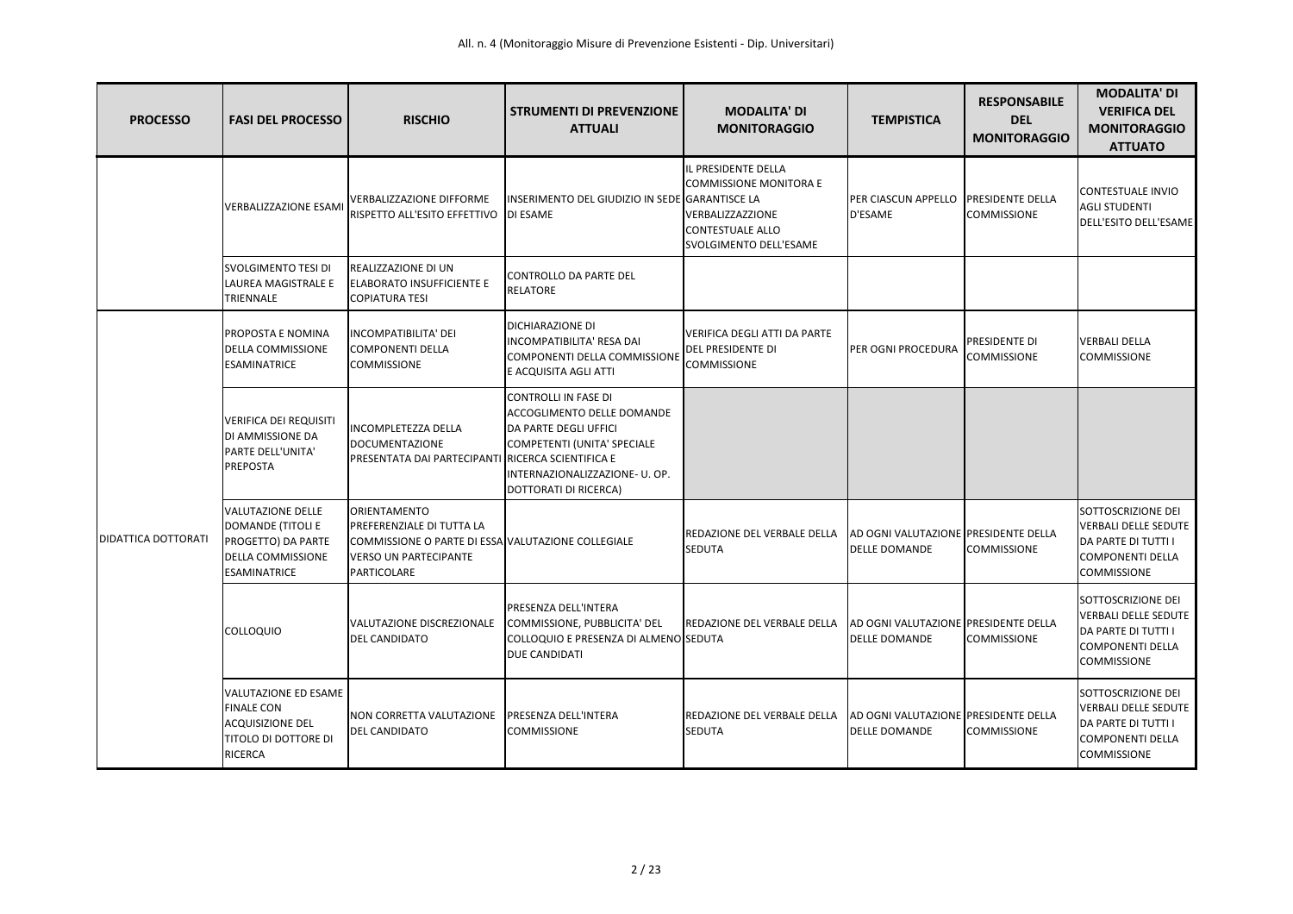| <b>PROCESSO</b>            | <b>FASI DEL PROCESSO</b>                                                                                               | <b>RISCHIO</b>                                                                                                                                                | <b>STRUMENTI DI PREVENZIONE</b><br><b>ATTUALI</b>                                                                                                                                   | <b>MODALITA' DI</b><br><b>MONITORAGGIO</b>                                                                             | <b>TEMPISTICA</b>                                            | <b>RESPONSABILE</b><br><b>DEL</b><br><b>MONITORAGGIO</b> | <b>MODALITA' DI</b><br><b>VERIFICA DEL</b><br><b>MONITORAGGIO</b><br><b>ATTUATO</b>                                              |
|----------------------------|------------------------------------------------------------------------------------------------------------------------|---------------------------------------------------------------------------------------------------------------------------------------------------------------|-------------------------------------------------------------------------------------------------------------------------------------------------------------------------------------|------------------------------------------------------------------------------------------------------------------------|--------------------------------------------------------------|----------------------------------------------------------|----------------------------------------------------------------------------------------------------------------------------------|
|                            | <b>VERBALIZZAZIONE ESAMI</b>                                                                                           | <b>VERBALIZZAZIONE DIFFORME</b><br>RISPETTO ALL'ESITO EFFETTIVO                                                                                               | INSERIMENTO DEL GIUDIZIO IN SEDE GARANTISCE LA<br><b>DI ESAME</b>                                                                                                                   | IL PRESIDENTE DELLA<br><b>COMMISSIONE MONITORA E</b><br>VERBALIZZAZZIONE<br>CONTESTUALE ALLO<br>SVOLGIMENTO DELL'ESAME | PER CIASCUN APPELLO<br>D'ESAME                               | <b>PRESIDENTE DELLA</b><br><b>COMMISSIONE</b>            | <b>CONTESTUALE INVIO</b><br><b>AGLI STUDENTI</b><br>DELL'ESITO DELL'ESAME                                                        |
|                            | <b>SVOLGIMENTO TESI DI</b><br>LAUREA MAGISTRALE E<br>TRIENNALE                                                         | <b>REALIZZAZIONE DI UN</b><br><b>ELABORATO INSUFFICIENTE E</b><br><b>COPIATURA TESI</b>                                                                       | CONTROLLO DA PARTE DEL<br><b>RELATORE</b>                                                                                                                                           |                                                                                                                        |                                                              |                                                          |                                                                                                                                  |
|                            | PROPOSTA E NOMINA<br><b>DELLA COMMISSIONE</b><br><b>ESAMINATRICE</b>                                                   | INCOMPATIBILITA' DEI<br>COMPONENTI DELLA<br><b>COMMISSIONE</b>                                                                                                | <b>DICHIARAZIONE DI</b><br><b>INCOMPATIBILITA' RESA DAI</b><br>COMPONENTI DELLA COMMISSIONE<br>E ACQUISITA AGLI ATTI                                                                | <b>VERIFICA DEGLI ATTI DA PARTE</b><br>DEL PRESIDENTE DI<br><b>COMMISSIONE</b>                                         | PER OGNI PROCEDURA                                           | <b>PRESIDENTE DI</b><br><b>COMMISSIONE</b>               | <b>VERBALI DELLA</b><br><b>COMMISSIONE</b>                                                                                       |
|                            | <b>VERIFICA DEI REQUISITI</b><br>DI AMMISSIONE DA<br>PARTE DELL'UNITA'<br><b>PREPOSTA</b>                              | <b>INCOMPLETEZZA DELLA</b><br><b>DOCUMENTAZIONE</b><br>PRESENTATA DAI PARTECIPANTI RICERCA SCIENTIFICA E                                                      | <b>CONTROLLI IN FASE DI</b><br><b>ACCOGLIMENTO DELLE DOMANDE</b><br>DA PARTE DEGLI UFFICI<br>COMPETENTI (UNITA' SPECIALE<br>INTERNAZIONALIZZAZIONE- U. OP.<br>DOTTORATI DI RICERCA) |                                                                                                                        |                                                              |                                                          |                                                                                                                                  |
| <b>DIDATTICA DOTTORATI</b> | <b>VALUTAZIONE DELLE</b><br>DOMANDE (TITOLI E<br>PROGETTO) DA PARTE<br><b>DELLA COMMISSIONE</b><br><b>ESAMINATRICE</b> | <b>IORIENTAMENTO</b><br><b>PREFERENZIALE DI TUTTA LA</b><br>COMMISSIONE O PARTE DI ESSA VALUTAZIONE COLLEGIALE<br><b>VERSO UN PARTECIPANTE</b><br>PARTICOLARE |                                                                                                                                                                                     | REDAZIONE DEL VERBALE DELLA<br><b>SEDUTA</b>                                                                           | AD OGNI VALUTAZIONE PRESIDENTE DELLA<br><b>DELLE DOMANDE</b> | <b>COMMISSIONE</b>                                       | SOTTOSCRIZIONE DEI<br><b>VERBALI DELLE SEDUTE</b><br>DA PARTE DI TUTTI I<br><b>COMPONENTI DELLA</b><br><b>COMMISSIONE</b>        |
|                            | <b>COLLOQUIO</b>                                                                                                       | VALUTAZIONE DISCREZIONALE<br><b>DEL CANDIDATO</b>                                                                                                             | <b>PRESENZA DELL'INTERA</b><br>COMMISSIONE, PUBBLICITA' DEL<br>COLLOQUIO E PRESENZA DI ALMENO SEDUTA<br><b>DUE CANDIDATI</b>                                                        | REDAZIONE DEL VERBALE DELLA                                                                                            | AD OGNI VALUTAZIONE PRESIDENTE DELLA<br><b>DELLE DOMANDE</b> | <b>COMMISSIONE</b>                                       | <b>SOTTOSCRIZIONE DEI</b><br><b>VERBALI DELLE SEDUTE</b><br>DA PARTE DI TUTTI I<br><b>COMPONENTI DELLA</b><br><b>COMMISSIONE</b> |
|                            | VALUTAZIONE ED ESAME<br><b>FINALE CON</b><br><b>ACQUISIZIONE DEL</b><br>TITOLO DI DOTTORE DI<br><b>RICERCA</b>         | NON CORRETTA VALUTAZIONE<br><b>DEL CANDIDATO</b>                                                                                                              | <b>IPRESENZA DELL'INTERA</b><br><b>COMMISSIONE</b>                                                                                                                                  | <b>REDAZIONE DEL VERBALE DELLA</b><br><b>SEDUTA</b>                                                                    | AD OGNI VALUTAZIONE PRESIDENTE DELLA<br><b>DELLE DOMANDE</b> | <b>COMMISSIONE</b>                                       | SOTTOSCRIZIONE DEI<br>VERBALI DELLE SEDUTE<br>DA PARTE DI TUTTI I<br><b>COMPONENTI DELLA</b><br><b>COMMISSIONE</b>               |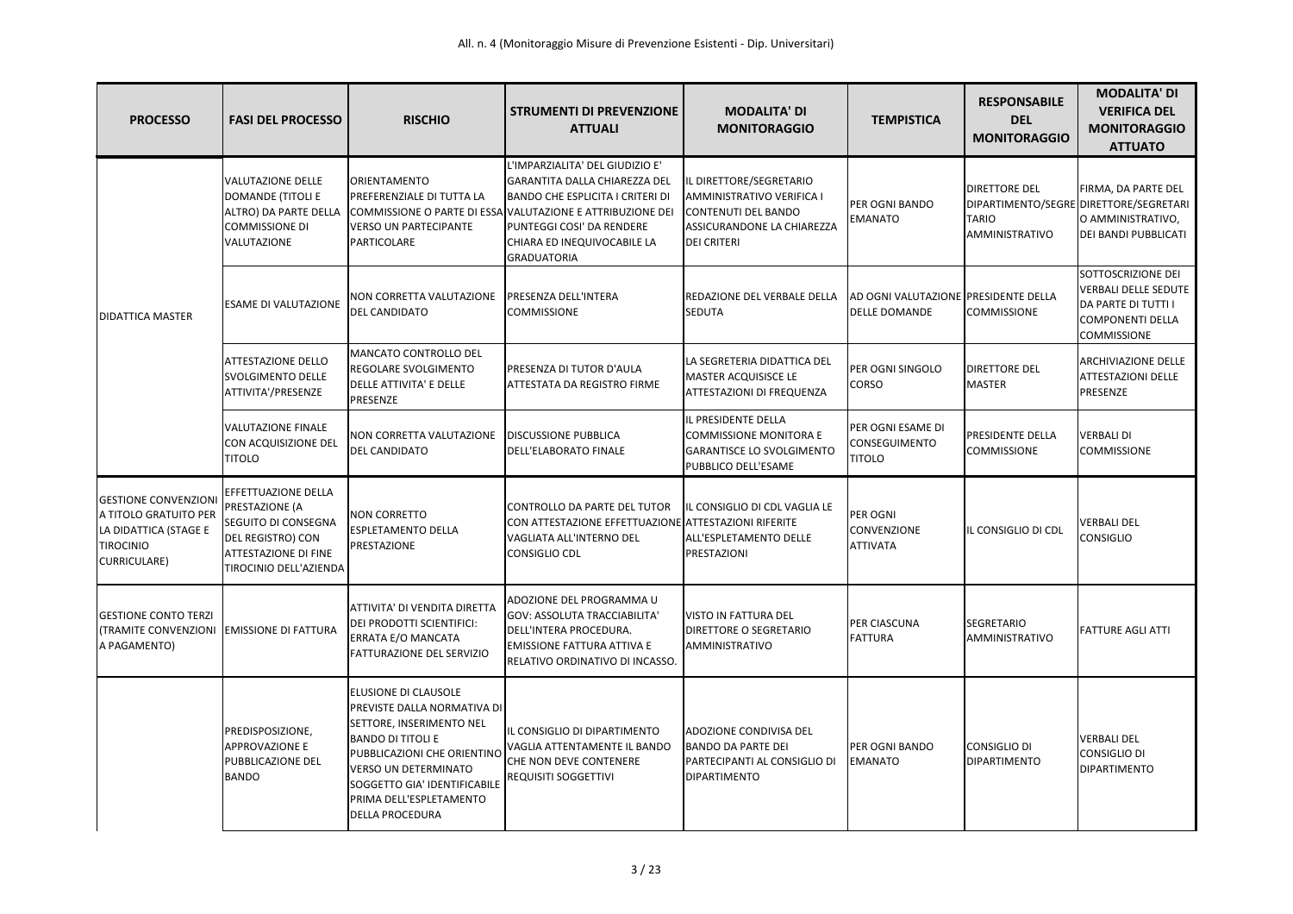| <b>PROCESSO</b>                                                                                                          | <b>FASI DEL PROCESSO</b>                                                                                                                   | <b>RISCHIO</b>                                                                                                                                                                                                                                                 | <b>STRUMENTI DI PREVENZIONE</b><br><b>ATTUALI</b>                                                                                                                                                                                                           | <b>MODALITA' DI</b><br><b>MONITORAGGIO</b>                                                                                      | <b>TEMPISTICA</b>                                            | <b>RESPONSABILE</b><br><b>DEL</b><br><b>MONITORAGGIO</b> | <b>MODALITA' DI</b><br><b>VERIFICA DEL</b><br><b>MONITORAGGIO</b><br><b>ATTUATO</b>                                              |
|--------------------------------------------------------------------------------------------------------------------------|--------------------------------------------------------------------------------------------------------------------------------------------|----------------------------------------------------------------------------------------------------------------------------------------------------------------------------------------------------------------------------------------------------------------|-------------------------------------------------------------------------------------------------------------------------------------------------------------------------------------------------------------------------------------------------------------|---------------------------------------------------------------------------------------------------------------------------------|--------------------------------------------------------------|----------------------------------------------------------|----------------------------------------------------------------------------------------------------------------------------------|
|                                                                                                                          | <b>VALUTAZIONE DELLE</b><br><b>DOMANDE (TITOLI E</b><br>ALTRO) DA PARTE DELLA<br><b>COMMISSIONE DI</b><br>VALUTAZIONE                      | <b>ORIENTAMENTO</b><br>PREFERENZIALE DI TUTTA LA<br><b>VERSO UN PARTECIPANTE</b><br>PARTICOLARE                                                                                                                                                                | L'IMPARZIALITA' DEL GIUDIZIO E'<br>GARANTITA DALLA CHIAREZZA DEL<br><b>BANDO CHE ESPLICITA I CRITERI DI</b><br>COMMISSIONE O PARTE DI ESSA VALUTAZIONE E ATTRIBUZIONE DEI<br>PUNTEGGI COSI' DA RENDERE<br>CHIARA ED INEQUIVOCABILE LA<br><b>GRADUATORIA</b> | IL DIRETTORE/SEGRETARIO<br>AMMINISTRATIVO VERIFICA I<br>CONTENUTI DEL BANDO<br>ASSICURANDONE LA CHIAREZZA<br><b>DEI CRITERI</b> | PER OGNI BANDO<br><b>EMANATO</b>                             | <b>DIRETTORE DEL</b><br><b>TARIO</b><br>AMMINISTRATIVO   | FIRMA, DA PARTE DEL<br>DIPARTIMENTO/SEGRE DIRETTORE/SEGRETARI<br>O AMMINISTRATIVO,<br><b>DEI BANDI PUBBLICATI</b>                |
| <b>DIDATTICA MASTER</b>                                                                                                  | <b>ESAME DI VALUTAZIONE</b>                                                                                                                | NON CORRETTA VALUTAZIONE<br><b>DEL CANDIDATO</b>                                                                                                                                                                                                               | <b>PRESENZA DELL'INTERA</b><br><b>COMMISSIONE</b>                                                                                                                                                                                                           | <b>REDAZIONE DEL VERBALE DELLA</b><br><b>SEDUTA</b>                                                                             | AD OGNI VALUTAZIONE PRESIDENTE DELLA<br><b>DELLE DOMANDE</b> | <b>COMMISSIONE</b>                                       | SOTTOSCRIZIONE DEI<br><b>VERBALI DELLE SEDUTE</b><br><b>DA PARTE DI TUTTI I</b><br><b>COMPONENTI DELLA</b><br><b>COMMISSIONE</b> |
|                                                                                                                          | <b>ATTESTAZIONE DELLO</b><br>SVOLGIMENTO DELLE<br>ATTIVITA'/PRESENZE                                                                       | MANCATO CONTROLLO DEL<br>REGOLARE SVOLGIMENTO<br>DELLE ATTIVITA' E DELLE<br>PRESENZE                                                                                                                                                                           | PRESENZA DI TUTOR D'AULA<br>ATTESTATA DA REGISTRO FIRME                                                                                                                                                                                                     | LA SEGRETERIA DIDATTICA DEL<br><b>MASTER ACQUISISCE LE</b><br><b>ATTESTAZIONI DI FREQUENZA</b>                                  | PER OGNI SINGOLO<br><b>CORSO</b>                             | <b>DIRETTORE DEL</b><br><b>MASTER</b>                    | <b>ARCHIVIAZIONE DELLE</b><br><b>ATTESTAZIONI DELLE</b><br>PRESENZE                                                              |
|                                                                                                                          | <b>VALUTAZIONE FINALE</b><br>CON ACQUISIZIONE DEL<br><b>TITOLO</b>                                                                         | NON CORRETTA VALUTAZIONE<br><b>DEL CANDIDATO</b>                                                                                                                                                                                                               | <b>DISCUSSIONE PUBBLICA</b><br><b>DELL'ELABORATO FINALE</b>                                                                                                                                                                                                 | IL PRESIDENTE DELLA<br><b>COMMISSIONE MONITORA E</b><br><b>GARANTISCE LO SVOLGIMENTO</b><br>PUBBLICO DELL'ESAME                 | PER OGNI ESAME DI<br><b>CONSEGUIMENTO</b><br><b>TITOLO</b>   | <b>PRESIDENTE DELLA</b><br><b>COMMISSIONE</b>            | <b>VERBALI DI</b><br><b>COMMISSIONE</b>                                                                                          |
| <b>GESTIONE CONVENZIONI</b><br>A TITOLO GRATUITO PER<br>LA DIDATTICA (STAGE E<br><b>TIROCINIO</b><br><b>CURRICULARE)</b> | EFFETTUAZIONE DELLA<br>PRESTAZIONE (A<br>SEGUITO DI CONSEGNA<br>DEL REGISTRO) CON<br><b>ATTESTAZIONE DI FINE</b><br>TIROCINIO DELL'AZIENDA | <b>NON CORRETTO</b><br><b>ESPLETAMENTO DELLA</b><br>PRESTAZIONE                                                                                                                                                                                                | CONTROLLO DA PARTE DEL TUTOR<br>CON ATTESTAZIONE EFFETTUAZIONE ATTESTAZIONI RIFERITE<br>VAGLIATA ALL'INTERNO DEL<br>CONSIGLIO CDL                                                                                                                           | IL CONSIGLIO DI CDL VAGLIA LE<br>ALL'ESPLETAMENTO DELLE<br>PRESTAZIONI                                                          | PER OGNI<br><b>CONVENZIONE</b><br><b>ATTIVATA</b>            | IL CONSIGLIO DI CDL                                      | <b>VERBALI DEL</b><br><b>CONSIGLIO</b>                                                                                           |
| <b>GESTIONE CONTO TERZI</b><br><b>(TRAMITE CONVENZIONI EMISSIONE DI FATTURA</b><br>A PAGAMENTO)                          |                                                                                                                                            | ATTIVITA' DI VENDITA DIRETTA<br>DEI PRODOTTI SCIENTIFICI:<br>ERRATA E/O MANCATA<br><b>FATTURAZIONE DEL SERVIZIO</b>                                                                                                                                            | ADOZIONE DEL PROGRAMMA U<br><b>GOV: ASSOLUTA TRACCIABILITA'</b><br>DELL'INTERA PROCEDURA.<br><b>EMISSIONE FATTURA ATTIVA E</b><br>RELATIVO ORDINATIVO DI INCASSO.                                                                                           | <b>VISTO IN FATTURA DEL</b><br><b>DIRETTORE O SEGRETARIO</b><br><b>AMMINISTRATIVO</b>                                           | <b>PER CIASCUNA</b><br><b>FATTURA</b>                        | SEGRETARIO<br>AMMINISTRATIVO                             | <b>FATTURE AGLI ATTI</b>                                                                                                         |
|                                                                                                                          | PREDISPOSIZIONE,<br><b>APPROVAZIONE E</b><br>PUBBLICAZIONE DEL<br><b>BANDO</b>                                                             | ELUSIONE DI CLAUSOLE<br>PREVISTE DALLA NORMATIVA DI<br>SETTORE, INSERIMENTO NEL<br><b>BANDO DI TITOLI E</b><br>PUBBLICAZIONI CHE ORIENTINC<br><b>VERSO UN DETERMINATO</b><br>SOGGETTO GIA' IDENTIFICABILE<br>PRIMA DELL'ESPLETAMENTO<br><b>DELLA PROCEDURA</b> | IL CONSIGLIO DI DIPARTIMENTO<br>VAGLIA ATTENTAMENTE IL BANDO<br>CHE NON DEVE CONTENERE<br><b>REQUISITI SOGGETTIVI</b>                                                                                                                                       | ADOZIONE CONDIVISA DEL<br><b>BANDO DA PARTE DEI</b><br>PARTECIPANTI AL CONSIGLIO DI<br><b>DIPARTIMENTO</b>                      | PER OGNI BANDO<br><b>EMANATO</b>                             | CONSIGLIO DI<br><b>DIPARTIMENTO</b>                      | <b>VERBALI DEL</b><br><b>CONSIGLIO DI</b><br><b>DIPARTIMENTO</b>                                                                 |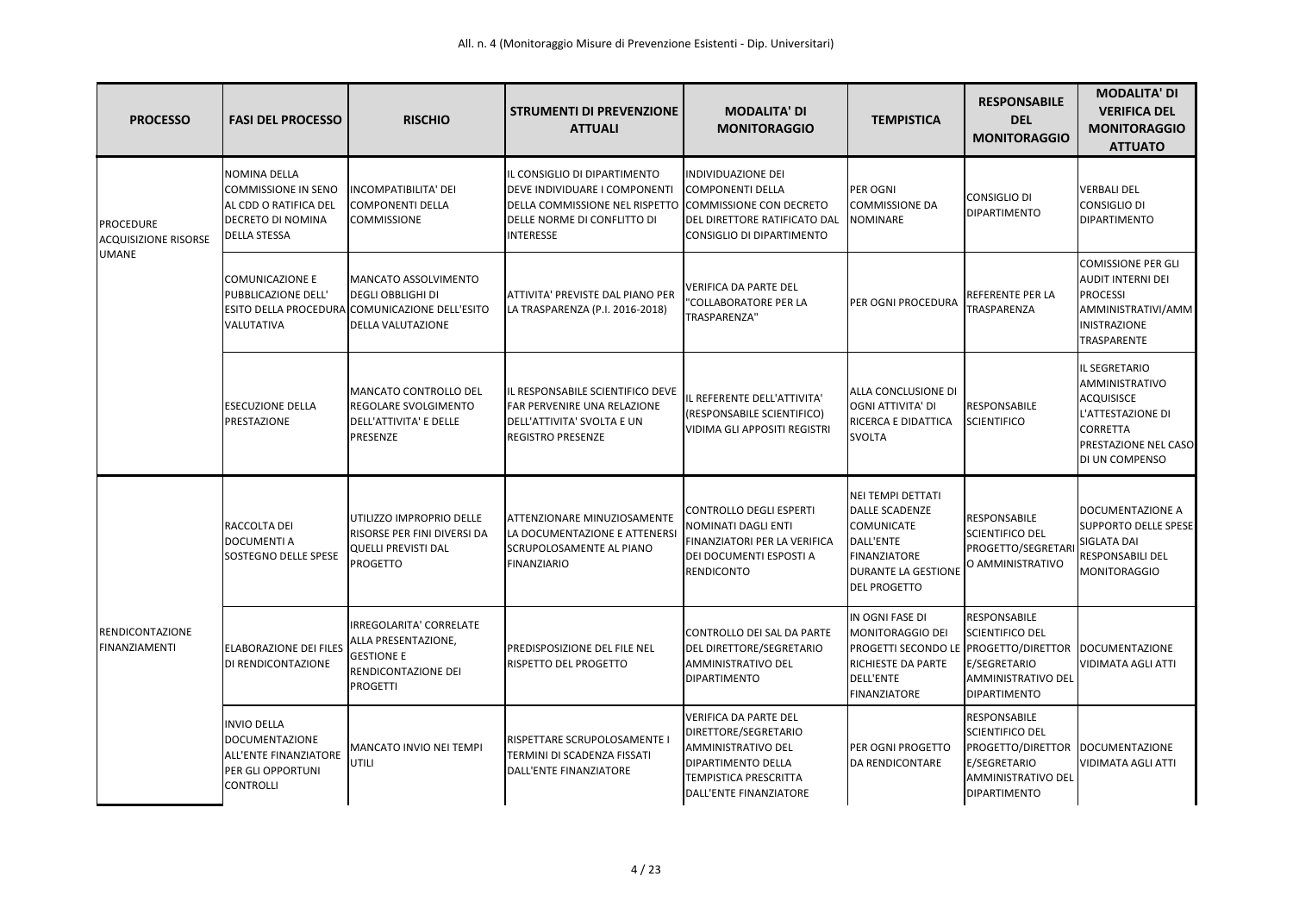| <b>PROCESSO</b>                                                 | <b>FASI DEL PROCESSO</b>                                                                                 | <b>RISCHIO</b>                                                                                                                 | <b>STRUMENTI DI PREVENZIONE</b><br><b>ATTUALI</b>                                                                                                         | <b>MODALITA' DI</b><br><b>MONITORAGGIO</b>                                                                                                                               | <b>TEMPISTICA</b>                                                                                                                                        | <b>RESPONSABILE</b><br><b>DEL</b><br><b>MONITORAGGIO</b>                                                                                      | <b>MODALITA' DI</b><br><b>VERIFICA DEL</b><br><b>MONITORAGGIO</b><br><b>ATTUATO</b>                                                    |
|-----------------------------------------------------------------|----------------------------------------------------------------------------------------------------------|--------------------------------------------------------------------------------------------------------------------------------|-----------------------------------------------------------------------------------------------------------------------------------------------------------|--------------------------------------------------------------------------------------------------------------------------------------------------------------------------|----------------------------------------------------------------------------------------------------------------------------------------------------------|-----------------------------------------------------------------------------------------------------------------------------------------------|----------------------------------------------------------------------------------------------------------------------------------------|
| <b>PROCEDURE</b><br><b>ACQUISIZIONE RISORSE</b><br><b>UMANE</b> | <b>NOMINA DELLA</b><br>COMMISSIONE IN SENO<br>AL CDD O RATIFICA DEL<br>DECRETO DI NOMINA<br>DELLA STESSA | INCOMPATIBILITA' DEI<br><b>COMPONENTI DELLA</b><br><b>COMMISSIONE</b>                                                          | IL CONSIGLIO DI DIPARTIMENTO<br><b>DEVE INDIVIDUARE I COMPONENTI</b><br>DELLA COMMISSIONE NEL RISPETTO<br>DELLE NORME DI CONFLITTO DI<br><b>INTERESSE</b> | INDIVIDUAZIONE DEI<br>COMPONENTI DELLA<br>COMMISSIONE CON DECRETO<br>DEL DIRETTORE RATIFICATO DAL<br>CONSIGLIO DI DIPARTIMENTO                                           | <b>PER OGNI</b><br><b>COMMISSIONE DA</b><br><b>NOMINARE</b>                                                                                              | <b>CONSIGLIO DI</b><br><b>IDIPARTIMENTO</b>                                                                                                   | <b>VERBALI DEL</b><br>CONSIGLIO DI<br><b>DIPARTIMENTO</b>                                                                              |
|                                                                 | <b>COMUNICAZIONE E</b><br>PUBBLICAZIONE DELL'<br>VALUTATIVA                                              | MANCATO ASSOLVIMENTO<br><b>DEGLI OBBLIGHI DI</b><br>ESITO DELLA PROCEDURA COMUNICAZIONE DELL'ESITO<br><b>DELLA VALUTAZIONE</b> | ATTIVITA' PREVISTE DAL PIANO PER<br>LA TRASPARENZA (P.I. 2016-2018)                                                                                       | <b>VERIFICA DA PARTE DEL</b><br>"COLLABORATORE PER LA<br>TRASPARENZA"                                                                                                    | <b>IPER OGNI PROCEDURA</b>                                                                                                                               | <b>REFERENTE PER LA</b><br>TRASPARENZA                                                                                                        | <b>COMISSIONE PER GLI</b><br><b>AUDIT INTERNI DEI</b><br><b>PROCESSI</b><br>AMMINISTRATIVI/AMM<br><b>INISTRAZIONE</b><br>TRASPARENTE   |
|                                                                 | <b>ESECUZIONE DELLA</b><br>PRESTAZIONE                                                                   | MANCATO CONTROLLO DEL<br>REGOLARE SVOLGIMENTO<br>DELL'ATTIVITA' E DELLE<br>PRESENZE                                            | IL RESPONSABILE SCIENTIFICO DEVE<br><b>FAR PERVENIRE UNA RELAZIONE</b><br>DELL'ATTIVITA' SVOLTA E UN<br><b>REGISTRO PRESENZE</b>                          | IL REFERENTE DELL'ATTIVITA'<br>(RESPONSABILE SCIENTIFICO)<br><b>VIDIMA GLI APPOSITI REGISTRI</b>                                                                         | <b>ALLA CONCLUSIONE DI</b><br><b>OGNI ATTIVITA' DI</b><br><b>RICERCA E DIDATTICA</b><br><b>SVOLTA</b>                                                    | <b>RESPONSABILE</b><br><b>SCIENTIFICO</b>                                                                                                     | IL SEGRETARIO<br>AMMINISTRATIVO<br><b>ACQUISISCE</b><br>L'ATTESTAZIONE DI<br><b>CORRETTA</b><br>PRESTAZIONE NEL CASO<br>DI UN COMPENSO |
| <b>RENDICONTAZIONE</b><br><b>FINANZIAMENTI</b>                  | RACCOLTA DEI<br><b>DOCUMENTI A</b><br>SOSTEGNO DELLE SPESE                                               | IUTILIZZO IMPROPRIO DELLE<br>RISORSE PER FINI DIVERSI DA<br><b>QUELLI PREVISTI DAL</b><br>PROGETTO                             | <b>ATTENZIONARE MINUZIOSAMENTE</b><br>LA DOCUMENTAZIONE E ATTENERS<br>SCRUPOLOSAMENTE AL PIANO<br><b>FINANZIARIO</b>                                      | <b>CONTROLLO DEGLI ESPERTI</b><br>NOMINATI DAGLI ENTI<br>FINANZIATORI PER LA VERIFICA<br>DEI DOCUMENTI ESPOSTI A<br><b>RENDICONTO</b>                                    | NEI TEMPI DETTATI<br><b>DALLE SCADENZE</b><br><b>COMUNICATE</b><br>DALL'ENTE<br><b>FINANZIATORE</b><br><b>DURANTE LA GESTIONE</b><br><b>DEL PROGETTO</b> | RESPONSABILE<br><b>SCIENTIFICO DEL</b><br><b>PROGETTO/SEGRETAR</b><br>O AMMINISTRATIVO                                                        | DOCUMENTAZIONE A<br><b>SUPPORTO DELLE SPESE</b><br>SIGLATA DAI<br>RESPONSABILI DEL<br>MONITORAGGIO                                     |
|                                                                 | <b>ELABORAZIONE DEI FILES</b><br>DI RENDICONTAZIONE                                                      | IRREGOLARITA' CORRELATE<br>ALLA PRESENTAZIONE,<br><b>GESTIONE E</b><br>RENDICONTAZIONE DEI<br><b>PROGETTI</b>                  | <b>PREDISPOSIZIONE DEL FILE NEL</b><br><b>RISPETTO DEL PROGETTO</b>                                                                                       | CONTROLLO DEI SAL DA PARTE<br><b>DEL DIRETTORE/SEGRETARIO</b><br><b>AMMINISTRATIVO DEL</b><br><b>DIPARTIMENTO</b>                                                        | IN OGNI FASE DI<br>MONITORAGGIO DEI<br>PROGETTI SECONDO LE PROGETTO/DIRETTOR<br><b>RICHIESTE DA PARTE</b><br>DELL'ENTE<br>FINANZIATORE                   | <b>RESPONSABILE</b><br><b>SCIENTIFICO DEL</b><br>E/SEGRETARIO<br><b>AMMINISTRATIVO DEL</b><br><b>DIPARTIMENTO</b>                             | <b>DOCUMENTAZIONE</b><br><b>VIDIMATA AGLI ATTI</b>                                                                                     |
|                                                                 | <b>INVIO DELLA</b><br>DOCUMENTAZIONE<br>ALL'ENTE FINANZIATORE<br>PER GLI OPPORTUNI<br><b>CONTROLLI</b>   | MANCATO INVIO NEI TEMPI<br>UTILI                                                                                               | <b>RISPETTARE SCRUPOLOSAMENTE I</b><br>TERMINI DI SCADENZA FISSATI<br>DALL'ENTE FINANZIATORE                                                              | <b>VERIFICA DA PARTE DEL</b><br>DIRETTORE/SEGRETARIO<br><b>AMMINISTRATIVO DEL</b><br><b>DIPARTIMENTO DELLA</b><br><b>TEMPISTICA PRESCRITTA</b><br>DALL'ENTE FINANZIATORE | <b>PER OGNI PROGETTO</b><br><b>DA RENDICONTARE</b>                                                                                                       | <b>RESPONSABILE</b><br><b>SCIENTIFICO DEL</b><br><b>PROGETTO/DIRETTOR</b><br>E/SEGRETARIO<br><b>AMMINISTRATIVO DEL</b><br><b>DIPARTIMENTO</b> | DOCUMENTAZIONE<br>VIDIMATA AGLI ATTI                                                                                                   |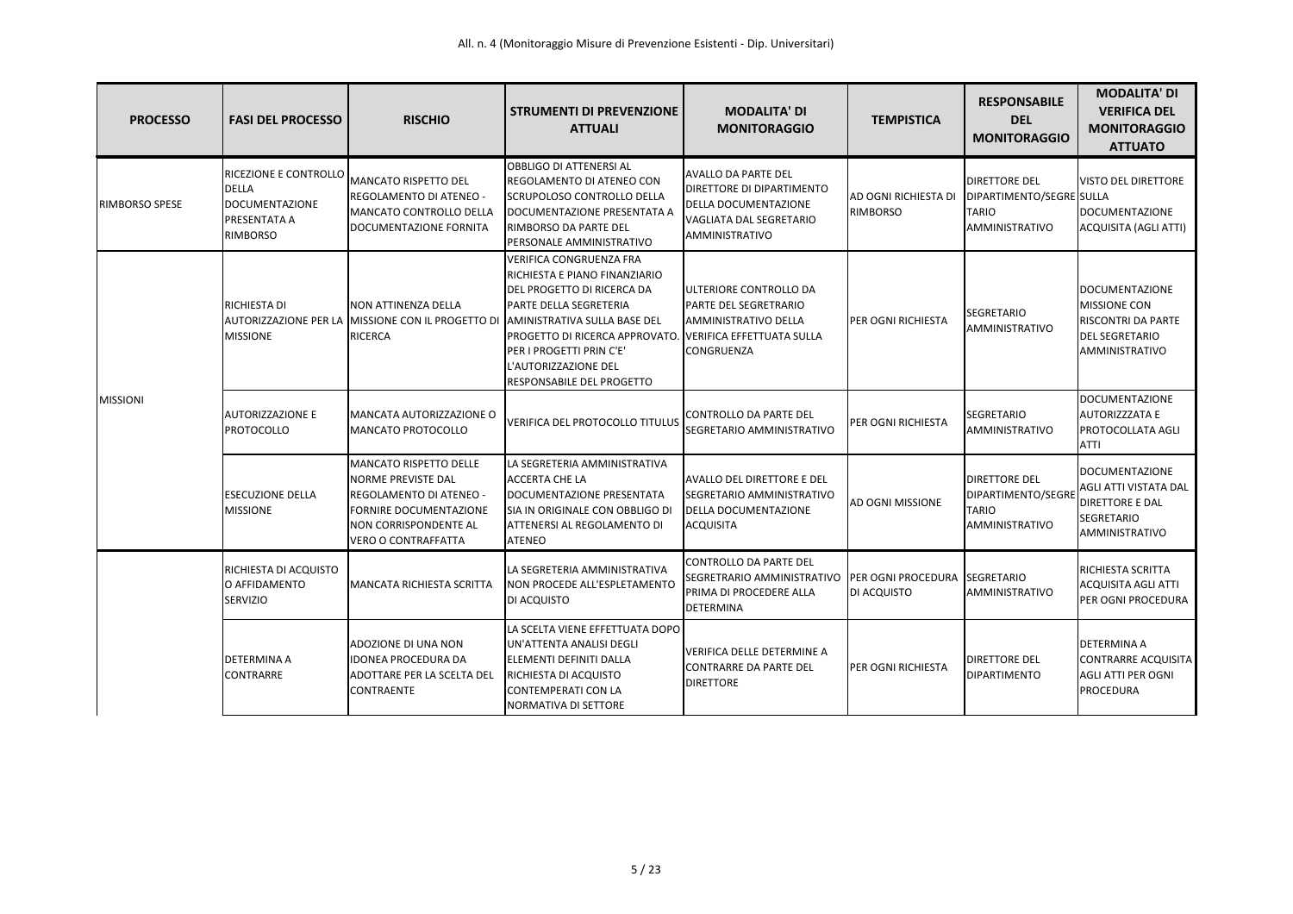| <b>PROCESSO</b>       | <b>FASI DEL PROCESSO</b>                                                                          | <b>RISCHIO</b>                                                                                                                                                                | <b>STRUMENTI DI PREVENZIONE</b><br><b>ATTUALI</b>                                                                                                                                                                                                                                                                                                             | <b>MODALITA' DI</b><br><b>MONITORAGGIO</b>                                                                                                 | <b>TEMPISTICA</b>                       | <b>RESPONSABILE</b><br><b>DEL</b><br><b>MONITORAGGIO</b>                            | <b>MODALITA' DI</b><br><b>VERIFICA DEL</b><br><b>MONITORAGGIO</b><br><b>ATTUATO</b>                             |
|-----------------------|---------------------------------------------------------------------------------------------------|-------------------------------------------------------------------------------------------------------------------------------------------------------------------------------|---------------------------------------------------------------------------------------------------------------------------------------------------------------------------------------------------------------------------------------------------------------------------------------------------------------------------------------------------------------|--------------------------------------------------------------------------------------------------------------------------------------------|-----------------------------------------|-------------------------------------------------------------------------------------|-----------------------------------------------------------------------------------------------------------------|
| <b>RIMBORSO SPESE</b> | RICEZIONE E CONTROLLO<br><b>DELLA</b><br><b>DOCUMENTAZIONE</b><br>PRESENTATA A<br><b>RIMBORSO</b> | <b>MANCATO RISPETTO DEL</b><br>REGOLAMENTO DI ATENEO -<br>MANCATO CONTROLLO DELLA<br>DOCUMENTAZIONE FORNITA                                                                   | <b>OBBLIGO DI ATTENERSI AL</b><br><b>REGOLAMENTO DI ATENEO CON</b><br>SCRUPOLOSO CONTROLLO DELLA<br>DOCUMENTAZIONE PRESENTATA A<br>RIMBORSO DA PARTE DEL<br>PERSONALE AMMINISTRATIVO                                                                                                                                                                          | <b>AVALLO DA PARTE DEL</b><br><b>DIRETTORE DI DIPARTIMENTO</b><br><b>DELLA DOCUMENTAZIONE</b><br>VAGLIATA DAL SEGRETARIO<br>AMMINISTRATIVO | AD OGNI RICHIESTA DI<br><b>RIMBORSO</b> | <b>DIRETTORE DEL</b><br>DIPARTIMENTO/SEGRE SULLA<br><b>TARIO</b><br>AMMINISTRATIVO  | <b>VISTO DEL DIRETTORE</b><br>DOCUMENTAZIONE<br>ACQUISITA (AGLI ATTI)                                           |
|                       | RICHIESTA DI<br><b>MISSIONE</b>                                                                   | <b>NON ATTINENZA DELLA</b><br><b>RICERCA</b>                                                                                                                                  | <b>VERIFICA CONGRUENZA FRA</b><br>RICHIESTA E PIANO FINANZIARIO<br>DEL PROGETTO DI RICERCA DA<br><b>PARTE DELLA SEGRETERIA</b><br>AUTORIZZAZIONE PER LA MISSIONE CON IL PROGETTO DI AMINISTRATIVA SULLA BASE DEL<br>PROGETTO DI RICERCA APPROVATO. VERIFICA EFFETTUATA SULLA<br>PER I PROGETTI PRIN C'E'<br>L'AUTORIZZAZIONE DEL<br>RESPONSABILE DEL PROGETTO | <b>JULTERIORE CONTROLLO DA</b><br><b>PARTE DEL SEGRETRARIO</b><br><b>AMMINISTRATIVO DELLA</b><br><b>CONGRUENZA</b>                         | <b>IPER OGNI RICHIESTA</b>              | <b>SEGRETARIO</b><br>AMMINISTRATIVO                                                 | DOCUMENTAZIONE<br><b>MISSIONE CON</b><br>RISCONTRI DA PARTE<br><b>DEL SEGRETARIO</b><br>AMMINISTRATIVO          |
| <b>MISSIONI</b>       | <b>AUTORIZZAZIONE E</b><br><b>PROTOCOLLO</b>                                                      | MANCATA AUTORIZZAZIONE O<br>MANCATO PROTOCOLLO                                                                                                                                | VERIFICA DEL PROTOCOLLO TITULUS                                                                                                                                                                                                                                                                                                                               | CONTROLLO DA PARTE DEL<br>SEGRETARIO AMMINISTRATIVO                                                                                        | <b>PER OGNI RICHIESTA</b>               | <b>SEGRETARIO</b><br><b>AMMINISTRATIVO</b>                                          | DOCUMENTAZIONE<br>AUTORIZZZATA E<br>PROTOCOLLATA AGLI<br><b>ATTI</b>                                            |
|                       | <b>ESECUZIONE DELLA</b><br><b>MISSIONE</b>                                                        | <b>MANCATO RISPETTO DELLE</b><br><b>NORME PREVISTE DAL</b><br>REGOLAMENTO DI ATENEO -<br><b>FORNIRE DOCUMENTAZIONE</b><br>NON CORRISPONDENTE AL<br><b>VERO O CONTRAFFATTA</b> | LA SEGRETERIA AMMINISTRATIVA<br><b>ACCERTA CHE LA</b><br>DOCUMENTAZIONE PRESENTATA<br>SIA IN ORIGINALE CON OBBLIGO DI<br><b>ATTENERSI AL REGOLAMENTO DI</b><br><b>ATENEO</b>                                                                                                                                                                                  | <b>AVALLO DEL DIRETTORE E DEL</b><br><b>ISEGRETARIO AMMINISTRATIVO</b><br><b>DELLA DOCUMENTAZIONE</b><br><b>ACQUISITA</b>                  | <b>AD OGNI MISSIONE</b>                 | <b>DIRETTORE DEL</b><br>DIPARTIMENTO/SEGRI<br><b>TARIO</b><br><b>AMMINISTRATIVO</b> | <b>DOCUMENTAZIONE</b><br>AGLI ATTI VISTATA DAL<br><b>DIRETTORE E DAL</b><br><b>SEGRETARIO</b><br>AMMINISTRATIVO |
|                       | RICHIESTA DI ACQUISTO<br>O AFFIDAMENTO<br>ISERVIZIO                                               | <b>MANCATA RICHIESTA SCRITTA</b>                                                                                                                                              | LA SEGRETERIA AMMINISTRATIVA<br>NON PROCEDE ALL'ESPLETAMENTO<br>DI ACQUISTO                                                                                                                                                                                                                                                                                   | <b>CONTROLLO DA PARTE DEL</b><br>SEGRETRARIO AMMINISTRATIVO PER OGNI PROCEDURA SEGRETARIO<br>PRIMA DI PROCEDERE ALLA<br><b>DETERMINA</b>   | DI ACQUISTO                             | AMMINISTRATIVO                                                                      | RICHIESTA SCRITTA<br>ACQUISITA AGLI ATTI<br>PER OGNI PROCEDURA                                                  |
|                       | <b>DETERMINA A</b><br><b>CONTRARRE</b>                                                            | ADOZIONE DI UNA NON<br><b>IDONEA PROCEDURA DA</b><br>ADOTTARE PER LA SCELTA DEL<br><b>CONTRAENTE</b>                                                                          | LA SCELTA VIENE EFFETTUATA DOPO<br>UN'ATTENTA ANALISI DEGLI<br>ELEMENTI DEFINITI DALLA<br>RICHIESTA DI ACQUISTO<br><b>CONTEMPERATI CON LA</b><br>NORMATIVA DI SETTORE                                                                                                                                                                                         | VERIFICA DELLE DETERMINE A<br><b>CONTRARRE DA PARTE DEL</b><br><b>DIRETTORE</b>                                                            | <b>PER OGNI RICHIESTA</b>               | <b>DIRETTORE DEL</b><br><b>DIPARTIMENTO</b>                                         | <b>DETERMINA A</b><br><b>CONTRARRE ACQUISITA</b><br>AGLI ATTI PER OGNI<br><b>PROCEDURA</b>                      |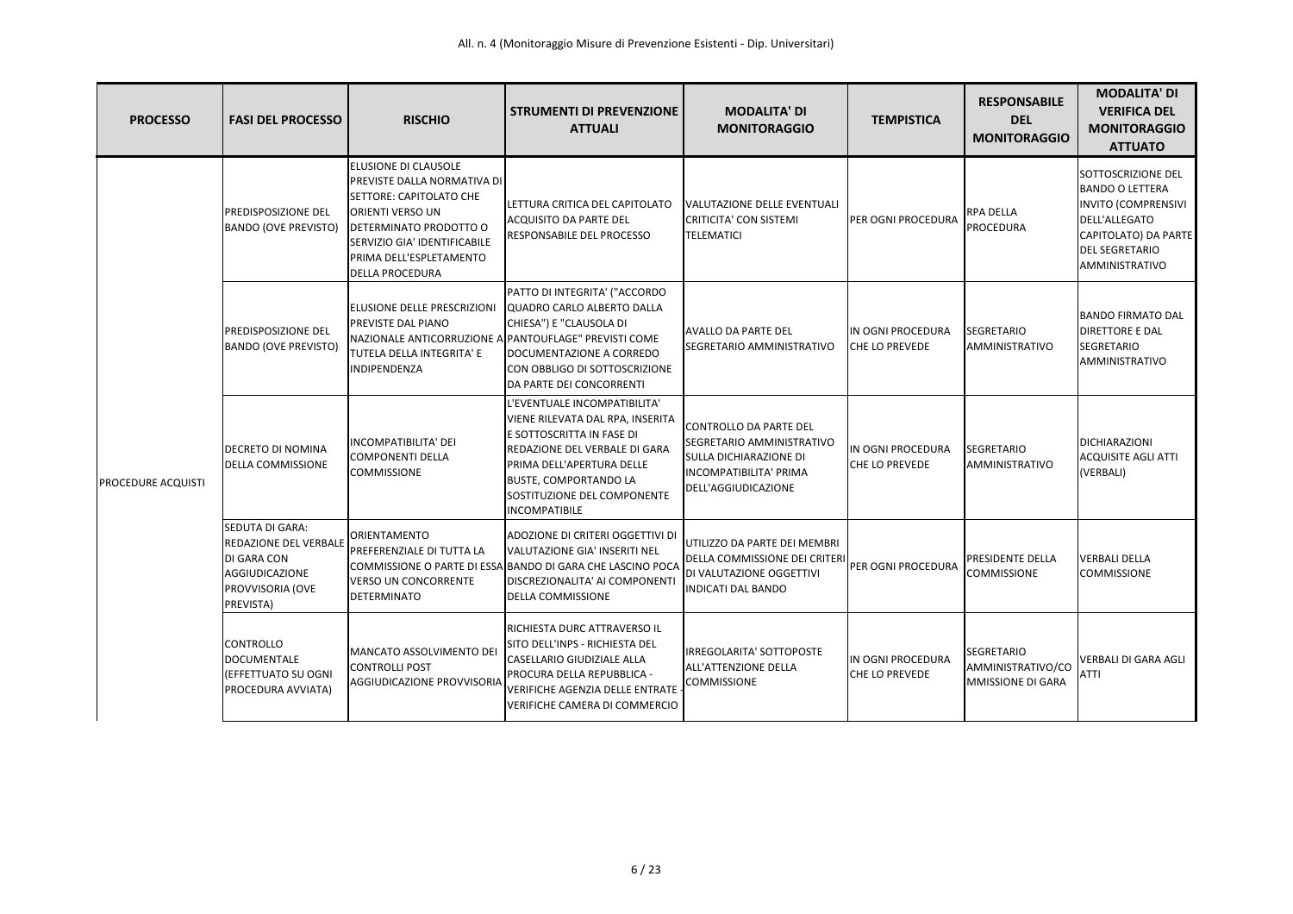| <b>PROCESSO</b>           | <b>FASI DEL PROCESSO</b>                                                                                   | <b>RISCHIO</b>                                                                                                                                                                                                                         | <b>STRUMENTI DI PREVENZIONE</b><br><b>ATTUALI</b>                                                                                                                                                                                                  | <b>MODALITA' DI</b><br><b>MONITORAGGIO</b>                                                                                                   | <b>TEMPISTICA</b>                          | <b>RESPONSABILE</b><br><b>DEL</b><br><b>MONITORAGGIO</b>           | <b>MODALITA' DI</b><br><b>VERIFICA DEL</b><br><b>MONITORAGGIO</b><br><b>ATTUATO</b>                                                                            |
|---------------------------|------------------------------------------------------------------------------------------------------------|----------------------------------------------------------------------------------------------------------------------------------------------------------------------------------------------------------------------------------------|----------------------------------------------------------------------------------------------------------------------------------------------------------------------------------------------------------------------------------------------------|----------------------------------------------------------------------------------------------------------------------------------------------|--------------------------------------------|--------------------------------------------------------------------|----------------------------------------------------------------------------------------------------------------------------------------------------------------|
| <b>PROCEDURE ACQUISTI</b> | PREDISPOSIZIONE DEL<br><b>BANDO (OVE PREVISTO)</b>                                                         | ELUSIONE DI CLAUSOLE<br><b>PREVISTE DALLA NORMATIVA DI</b><br>SETTORE: CAPITOLATO CHE<br><b>ORIENTI VERSO UN</b><br><b>DETERMINATO PRODOTTO O</b><br>SERVIZIO GIA' IDENTIFICABILE<br>PRIMA DELL'ESPLETAMENTO<br><b>DELLA PROCEDURA</b> | LETTURA CRITICA DEL CAPITOLATO<br><b>ACQUISITO DA PARTE DEL</b><br>RESPONSABILE DEL PROCESSO                                                                                                                                                       | VALUTAZIONE DELLE EVENTUALI<br>CRITICITA' CON SISTEMI<br><b>TELEMATICI</b>                                                                   | PER OGNI PROCEDURA                         | RPA DELLA<br><b>PROCEDURA</b>                                      | SOTTOSCRIZIONE DEL<br><b>BANDO O LETTERA</b><br><b>INVITO (COMPRENSIVI</b><br>DELL'ALLEGATO<br>CAPITOLATO) DA PARTE<br><b>DEL SEGRETARIO</b><br>AMMINISTRATIVO |
|                           | PREDISPOSIZIONE DEL<br><b>BANDO (OVE PREVISTO)</b>                                                         | <b>IELUSIONE DELLE PRESCRIZIONI</b><br><b>PREVISTE DAL PIANO</b><br>NAZIONALE ANTICORRUZIONE A PANTOUFLAGE" PREVISTI COME<br>TUTELA DELLA INTEGRITA' E<br>INDIPENDENZA                                                                 | PATTO DI INTEGRITA' ("ACCORDO<br>QUADRO CARLO ALBERTO DALLA<br>CHIESA") E "CLAUSOLA DI<br>DOCUMENTAZIONE A CORREDO<br>CON OBBLIGO DI SOTTOSCRIZIONE<br>DA PARTE DEI CONCORRENTI                                                                    | <b>AVALLO DA PARTE DEL</b><br><b>SEGRETARIO AMMINISTRATIVO</b>                                                                               | IN OGNI PROCEDURA<br><b>CHE LO PREVEDE</b> | <b>SEGRETARIO</b><br>AMMINISTRATIVO                                | <b>BANDO FIRMATO DAL</b><br><b>DIRETTORE E DAL</b><br><b>SEGRETARIO</b><br>AMMINISTRATIVO                                                                      |
|                           | DECRETO DI NOMINA<br><b>DELLA COMMISSIONE</b>                                                              | INCOMPATIBILITA' DEI<br>COMPONENTI DELLA<br><b>COMMISSIONE</b>                                                                                                                                                                         | L'EVENTUALE INCOMPATIBILITA'<br>VIENE RILEVATA DAL RPA, INSERITA<br>E SOTTOSCRITTA IN FASE DI<br>REDAZIONE DEL VERBALE DI GARA<br>PRIMA DELL'APERTURA DELLE<br><b>BUSTE, COMPORTANDO LA</b><br>SOSTITUZIONE DEL COMPONENTE<br><b>INCOMPATIBILE</b> | CONTROLLO DA PARTE DEL<br>SEGRETARIO AMMINISTRATIVO<br><b>SULLA DICHIARAZIONE DI</b><br><b>INCOMPATIBILITA' PRIMA</b><br>DELL'AGGIUDICAZIONE | IN OGNI PROCEDURA<br><b>CHE LO PREVEDE</b> | SEGRETARIO<br>AMMINISTRATIVO                                       | DICHIARAZIONI<br><b>ACQUISITE AGLI ATTI</b><br>(VERBALI)                                                                                                       |
|                           | SEDUTA DI GARA:<br>REDAZIONE DEL VERBALE<br>DI GARA CON<br>AGGIUDICAZIONE<br>PROVVISORIA (OVE<br>PREVISTA) | <b>ORIENTAMENTO</b><br>PREFERENZIALE DI TUTTA LA<br><b>VERSO UN CONCORRENTE</b><br><b>DETERMINATO</b>                                                                                                                                  | ADOZIONE DI CRITERI OGGETTIVI DI<br>VALUTAZIONE GIA' INSERITI NEL<br>COMMISSIONE O PARTE DI ESSA BANDO DI GARA CHE LASCINO POCA<br>DISCREZIONALITA' AI COMPONENTI<br><b>DELLA COMMISSIONE</b>                                                      | UTILIZZO DA PARTE DEI MEMBRI<br><b>DELLA COMMISSIONE DEI CRITERI</b><br><b>DI VALUTAZIONE OGGETTIVI</b><br><b>INDICATI DAL BANDO</b>         | PER OGNI PROCEDURA                         | <b>PRESIDENTE DELLA</b><br><b>COMMISSIONE</b>                      | <b>VERBALI DELLA</b><br><b>COMMISSIONE</b>                                                                                                                     |
|                           | <b>CONTROLLO</b><br><b>DOCUMENTALE</b><br>(EFFETTUATO SU OGNI<br>PROCEDURA AVVIATA)                        | MANCATO ASSOLVIMENTO DE<br>CONTROLLI POST<br>AGGIUDICAZIONE PROVVISORIA                                                                                                                                                                | RICHIESTA DURC ATTRAVERSO IL<br>ISITO DELL'INPS - RICHIESTA DEL<br>CASELLARIO GIUDIZIALE ALLA<br><b>PROCURA DELLA REPUBBLICA -</b><br>VERIFICHE AGENZIA DELLE ENTRATE<br>VERIFICHE CAMERA DI COMMERCIO                                             | <b>IRREGOLARITA' SOTTOPOSTE</b><br><b>ALL'ATTENZIONE DELLA</b><br><b>COMMISSIONE</b>                                                         | IN OGNI PROCEDURA<br>CHE LO PREVEDE        | <b>SEGRETARIO</b><br>AMMINISTRATIVO/CO<br><b>MMISSIONE DI GARA</b> | <b>VERBALI DI GARA AGLI</b><br>ATTI                                                                                                                            |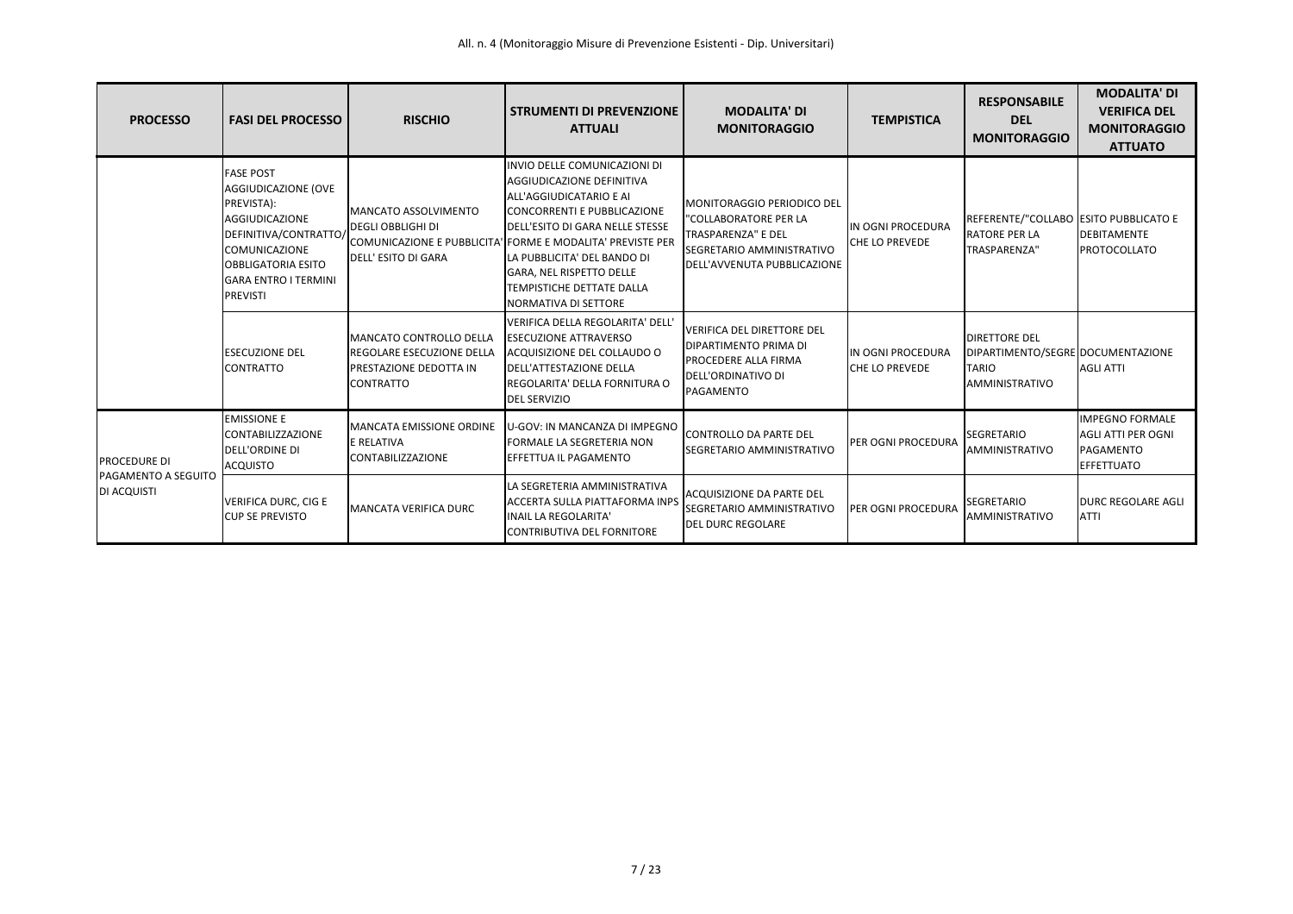| <b>PROCESSO</b>                                    | <b>FASI DEL PROCESSO</b>                                                                                                                                                                         | <b>RISCHIO</b>                                                                              | <b>STRUMENTI DI PREVENZIONE</b><br><b>ATTUALI</b>                                                                                                                                                                                                                                                                                                  | <b>MODALITA' DI</b><br><b>MONITORAGGIO</b>                                                                                                   | <b>TEMPISTICA</b>                           | <b>RESPONSABILE</b><br><b>DEL</b><br><b>MONITORAGGIO</b>                                    | <b>MODALITA' DI</b><br><b>VERIFICA DEL</b><br><b>MONITORAGGIO</b><br><b>ATTUATO</b>   |
|----------------------------------------------------|--------------------------------------------------------------------------------------------------------------------------------------------------------------------------------------------------|---------------------------------------------------------------------------------------------|----------------------------------------------------------------------------------------------------------------------------------------------------------------------------------------------------------------------------------------------------------------------------------------------------------------------------------------------------|----------------------------------------------------------------------------------------------------------------------------------------------|---------------------------------------------|---------------------------------------------------------------------------------------------|---------------------------------------------------------------------------------------|
|                                                    | <b>FASE POST</b><br>AGGIUDICAZIONE (OVE<br>PREVISTA):<br>AGGIUDICAZIONE<br>DEFINITIVA/CONTRATTO/<br>COMUNICAZIONE<br><b>OBBLIGATORIA ESITO</b><br><b>GARA ENTRO I TERMINI</b><br><b>PREVISTI</b> | <b>MANCATO ASSOLVIMENTO</b><br><b>DEGLI OBBLIGHI DI</b><br><b>DELL' ESITO DI GARA</b>       | INVIO DELLE COMUNICAZIONI DI<br>AGGIUDICAZIONE DEFINITIVA<br>ALL'AGGIUDICATARIO E AI<br><b>CONCORRENTI E PUBBLICAZIONE</b><br>DELL'ESITO DI GARA NELLE STESSE<br>COMUNICAZIONE E PUBBLICITA' FORME E MODALITA' PREVISTE PER<br>LA PUBBLICITA' DEL BANDO DI<br>GARA, NEL RISPETTO DELLE<br>TEMPISTICHE DETTATE DALLA<br><b>NORMATIVA DI SETTORE</b> | MONITORAGGIO PERIODICO DEL<br>"COLLABORATORE PER LA<br>TRASPARENZA" E DEL<br><b>SEGRETARIO AMMINISTRATIVO</b><br>DELL'AVVENUTA PUBBLICAZIONE | IN OGNI PROCEDURA<br>CHE LO PREVEDE         | REFERENTE/"COLLABO ESITO PUBBLICATO E<br><b>RATORE PER LA</b><br>TRASPARENZA"               | <b>DEBITAMENTE</b><br><b>PROTOCOLLATO</b>                                             |
|                                                    | <b>ESECUZIONE DEL</b><br><b>CONTRATTO</b>                                                                                                                                                        | MANCATO CONTROLLO DELLA<br>REGOLARE ESECUZIONE DELLA<br>PRESTAZIONE DEDOTTA IN<br>CONTRATTO | VERIFICA DELLA REGOLARITA' DELL'<br><b>ESECUZIONE ATTRAVERSO</b><br>ACQUISIZIONE DEL COLLAUDO O<br>DELL'ATTESTAZIONE DELLA<br>REGOLARITA' DELLA FORNITURA O<br><b>DEL SERVIZIO</b>                                                                                                                                                                 | <b>VERIFICA DEL DIRETTORE DEL</b><br><b>DIPARTIMENTO PRIMA DI</b><br><b>PROCEDERE ALLA FIRMA</b><br>DELL'ORDINATIVO DI<br>PAGAMENTO          | IIN OGNI PROCEDURA<br><b>CHE LO PREVEDE</b> | <b>DIRETTORE DEL</b><br>DIPARTIMENTO/SEGRE DOCUMENTAZIONE<br><b>TARIO</b><br>AMMINISTRATIVO | <b>AGLI ATTI</b>                                                                      |
| PROCEDURE DI<br>PAGAMENTO A SEGUITO<br>DI ACQUISTI | <b>EMISSIONE E</b><br><b>CONTABILIZZAZIONE</b><br>DELL'ORDINE DI<br><b>ACQUISTO</b>                                                                                                              | <b>MANCATA EMISSIONE ORDINE</b><br>E RELATIVA<br><b>CONTABILIZZAZIONE</b>                   | <b>U-GOV: IN MANCANZA DI IMPEGNO</b><br>FORMALE LA SEGRETERIA NON<br>EFFETTUA IL PAGAMENTO                                                                                                                                                                                                                                                         | CONTROLLO DA PARTE DEL<br><b>SEGRETARIO AMMINISTRATIVO</b>                                                                                   | PER OGNI PROCEDURA                          | <b>SEGRETARIO</b><br>AMMINISTRATIVO                                                         | <b>IMPEGNO FORMALE</b><br><b>AGLI ATTI PER OGNI</b><br>PAGAMENTO<br><b>EFFETTUATO</b> |
|                                                    | VERIFICA DURC, CIG E<br><b>CUP SE PREVISTO</b>                                                                                                                                                   | <b>MANCATA VERIFICA DURC</b>                                                                | LA SEGRETERIA AMMINISTRATIVA<br><b>ACCERTA SULLA PIATTAFORMA INPS</b><br><b>INAIL LA REGOLARITA'</b><br>CONTRIBUTIVA DEL FORNITORE                                                                                                                                                                                                                 | ACQUISIZIONE DA PARTE DEL<br><b>SEGRETARIO AMMINISTRATIVO</b><br>DEL DURC REGOLARE                                                           | <b>IPER OGNI PROCEDURA</b>                  | <b>SEGRETARIO</b><br><b>AMMINISTRATIVO</b>                                                  | <b>DURC REGOLARE AGLI</b><br><b>ATTI</b>                                              |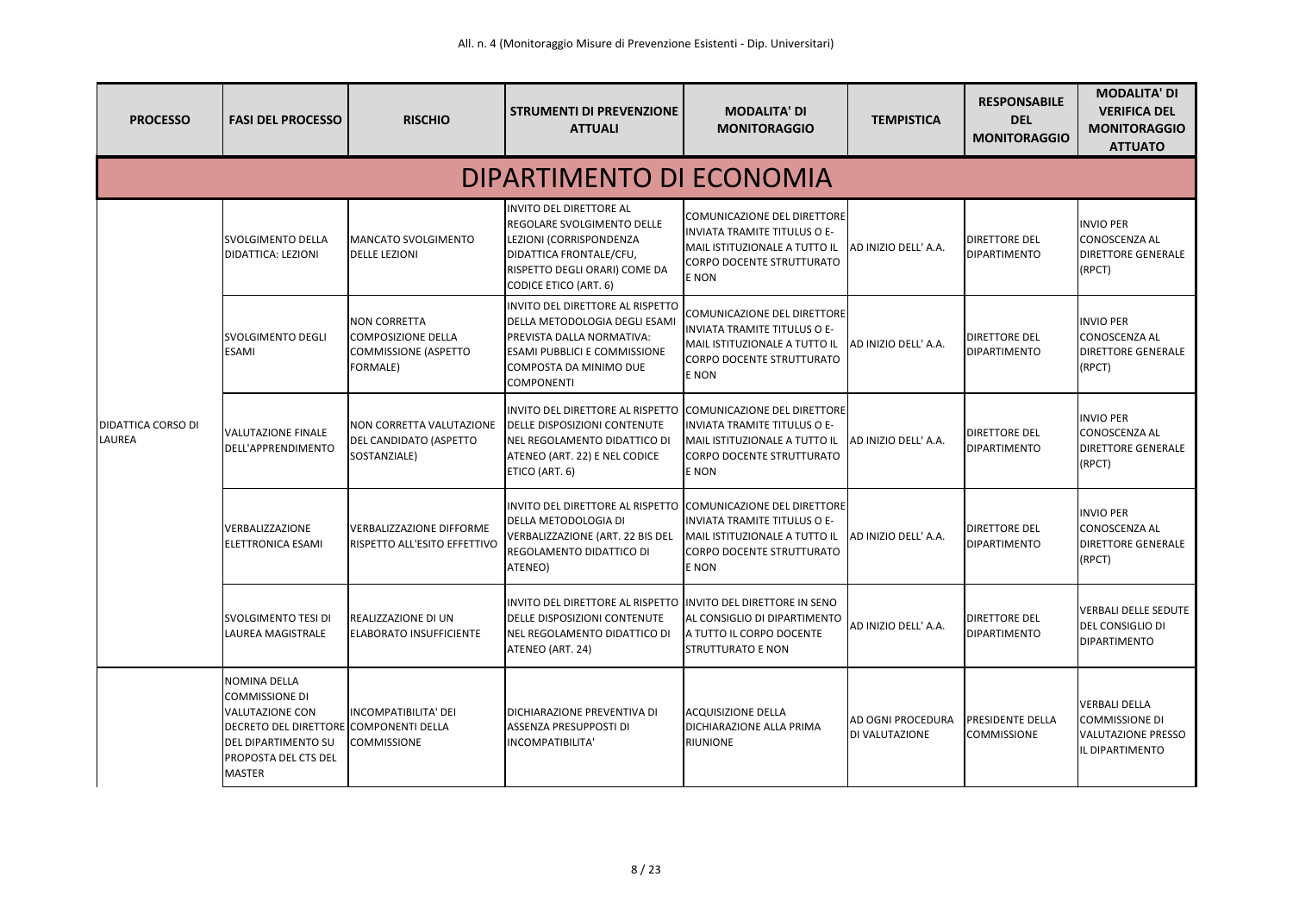| <b>PROCESSO</b>                            | <b>FASI DEL PROCESSO</b>                                                                                                                                                         | <b>RISCHIO</b>                                                                                     | <b>STRUMENTI DI PREVENZIONE</b><br><b>ATTUALI</b>                                                                                                                                      | <b>MODALITA' DI</b><br><b>MONITORAGGIO</b>                                                                                                       | <b>TEMPISTICA</b>                          | <b>RESPONSABILE</b><br><b>DEL</b><br><b>MONITORAGGIO</b> | <b>MODALITA' DI</b><br><b>VERIFICA DEL</b><br><b>MONITORAGGIO</b><br><b>ATTUATO</b>           |  |  |
|--------------------------------------------|----------------------------------------------------------------------------------------------------------------------------------------------------------------------------------|----------------------------------------------------------------------------------------------------|----------------------------------------------------------------------------------------------------------------------------------------------------------------------------------------|--------------------------------------------------------------------------------------------------------------------------------------------------|--------------------------------------------|----------------------------------------------------------|-----------------------------------------------------------------------------------------------|--|--|
|                                            | DIPARTIMENTO DI ECONOMIA                                                                                                                                                         |                                                                                                    |                                                                                                                                                                                        |                                                                                                                                                  |                                            |                                                          |                                                                                               |  |  |
|                                            | <b>SVOLGIMENTO DELLA</b><br><b>DIDATTICA: LEZIONI</b>                                                                                                                            | <b>MANCATO SVOLGIMENTO</b><br><b>DELLE LEZIONI</b>                                                 | INVITO DEL DIRETTORE AL<br>REGOLARE SVOLGIMENTO DELLE<br>LEZIONI (CORRISPONDENZA<br>DIDATTICA FRONTALE/CFU,<br>RISPETTO DEGLI ORARI) COME DA<br><b>CODICE ETICO (ART. 6)</b>           | COMUNICAZIONE DEL DIRETTORE<br><b>INVIATA TRAMITE TITULUS O E-</b><br>MAIL ISTITUZIONALE A TUTTO IL<br><b>CORPO DOCENTE STRUTTURATO</b><br>E NON | AD INIZIO DELL'A.A.                        | <b>DIRETTORE DEL</b><br><b>DIPARTIMENTO</b>              | <b>INVIO PER</b><br><b>CONOSCENZA AL</b><br><b>DIRETTORE GENERALE</b><br>(RPCT)               |  |  |
|                                            | <b>SVOLGIMENTO DEGLI</b><br><b>ESAMI</b>                                                                                                                                         | <b>NON CORRETTA</b><br><b>COMPOSIZIONE DELLA</b><br><b>COMMISSIONE (ASPETTO</b><br><b>FORMALE)</b> | INVITO DEL DIRETTORE AL RISPETTO<br>DELLA METODOLOGIA DEGLI ESAMI<br>PREVISTA DALLA NORMATIVA:<br><b>ESAMI PUBBLICI E COMMISSIONE</b><br>COMPOSTA DA MINIMO DUE<br><b>COMPONENTI</b>   | COMUNICAZIONE DEL DIRETTORE<br>INVIATA TRAMITE TITULUS O E-<br>MAIL ISTITUZIONALE A TUTTO IL<br><b>CORPO DOCENTE STRUTTURATO</b><br>E NON        | AD INIZIO DELL'A.A.                        | <b>DIRETTORE DEL</b><br><b>DIPARTIMENTO</b>              | <b>INVIO PER</b><br><b>CONOSCENZA AL</b><br><b>DIRETTORE GENERALE</b><br>(RPCT)               |  |  |
| <b>DIDATTICA CORSO DI</b><br><b>LAUREA</b> | <b>VALUTAZIONE FINALE</b><br>DELL'APPRENDIMENTO                                                                                                                                  | <b>NON CORRETTA VALUTAZIONE</b><br>DEL CANDIDATO (ASPETTO<br>SOSTANZIALE)                          | INVITO DEL DIRETTORE AL RISPETTO COMUNICAZIONE DEL DIRETTORE<br><b>DELLE DISPOSIZIONI CONTENUTE</b><br>NEL REGOLAMENTO DIDATTICO DI<br>ATENEO (ART. 22) E NEL CODICE<br>ETICO (ART. 6) | INVIATA TRAMITE TITULUS O E-<br>MAIL ISTITUZIONALE A TUTTO IL<br><b>CORPO DOCENTE STRUTTURATO</b><br>E NON                                       | <b>JAD INIZIO DELL' A.A.</b>               | <b>IDIRETTORE DEL</b><br><b>DIPARTIMENTO</b>             | <b>INVIO PER</b><br><b>CONOSCENZA AL</b><br><b>DIRETTORE GENERALE</b><br>(RPCT)               |  |  |
|                                            | VERBALIZZAZIONE<br><b>ELETTRONICA ESAMI</b>                                                                                                                                      | <b>VERBALIZZAZIONE DIFFORME</b><br><b>RISPETTO ALL'ESITO EFFETTIVO</b>                             | INVITO DEL DIRETTORE AL RISPETTO COMUNICAZIONE DEL DIRETTORE<br>DELLA METODOLOGIA DI<br><b>VERBALIZZAZIONE (ART. 22 BIS DEL</b><br>REGOLAMENTO DIDATTICO DI<br>ATENEO)                 | INVIATA TRAMITE TITULUS O E-<br>MAIL ISTITUZIONALE A TUTTO IL<br><b>CORPO DOCENTE STRUTTURATO</b><br><b>E NON</b>                                | AD INIZIO DELL'A.A.                        | <b>DIRETTORE DEL</b><br><b>DIPARTIMENTO</b>              | <b>INVIO PER</b><br><b>CONOSCENZA AL</b><br><b>DIRETTORE GENERALE</b><br>(RPCT)               |  |  |
|                                            | <b>SVOLGIMENTO TESI DI</b><br>LAUREA MAGISTRALE                                                                                                                                  | <b>REALIZZAZIONE DI UN</b><br><b>ELABORATO INSUFFICIENTE</b>                                       | INVITO DEL DIRETTORE AL RISPETTO INVITO DEL DIRETTORE IN SENO<br>DELLE DISPOSIZIONI CONTENUTE<br>NEL REGOLAMENTO DIDATTICO DI<br>ATENEO (ART. 24)                                      | AL CONSIGLIO DI DIPARTIMENTO<br>A TUTTO IL CORPO DOCENTE<br><b>STRUTTURATO E NON</b>                                                             | AD INIZIO DELL' A.A.                       | <b>DIRETTORE DEL</b><br><b>DIPARTIMENTO</b>              | <b>VERBALI DELLE SEDUTE</b><br>DEL CONSIGLIO DI<br><b>DIPARTIMENTO</b>                        |  |  |
|                                            | <b>NOMINA DELLA</b><br><b>COMMISSIONE DI</b><br><b>VALUTAZIONE CON</b><br>DECRETO DEL DIRETTORE COMPONENTI DELLA<br>DEL DIPARTIMENTO SU<br>PROPOSTA DEL CTS DEL<br><b>MASTER</b> | INCOMPATIBILITA' DEI<br><b>COMMISSIONE</b>                                                         | DICHIARAZIONE PREVENTIVA DI<br>ASSENZA PRESUPPOSTI DI<br>INCOMPATIBILITA'                                                                                                              | <b>ACQUISIZIONE DELLA</b><br>DICHIARAZIONE ALLA PRIMA<br><b>RIUNIONE</b>                                                                         | <b>AD OGNI PROCEDURA</b><br>DI VALUTAZIONE | <b>PRESIDENTE DELLA</b><br><b>COMMISSIONE</b>            | <b>VERBALI DELLA</b><br><b>COMMISSIONE DI</b><br><b>VALUTAZIONE PRESSO</b><br>IL DIPARTIMENTO |  |  |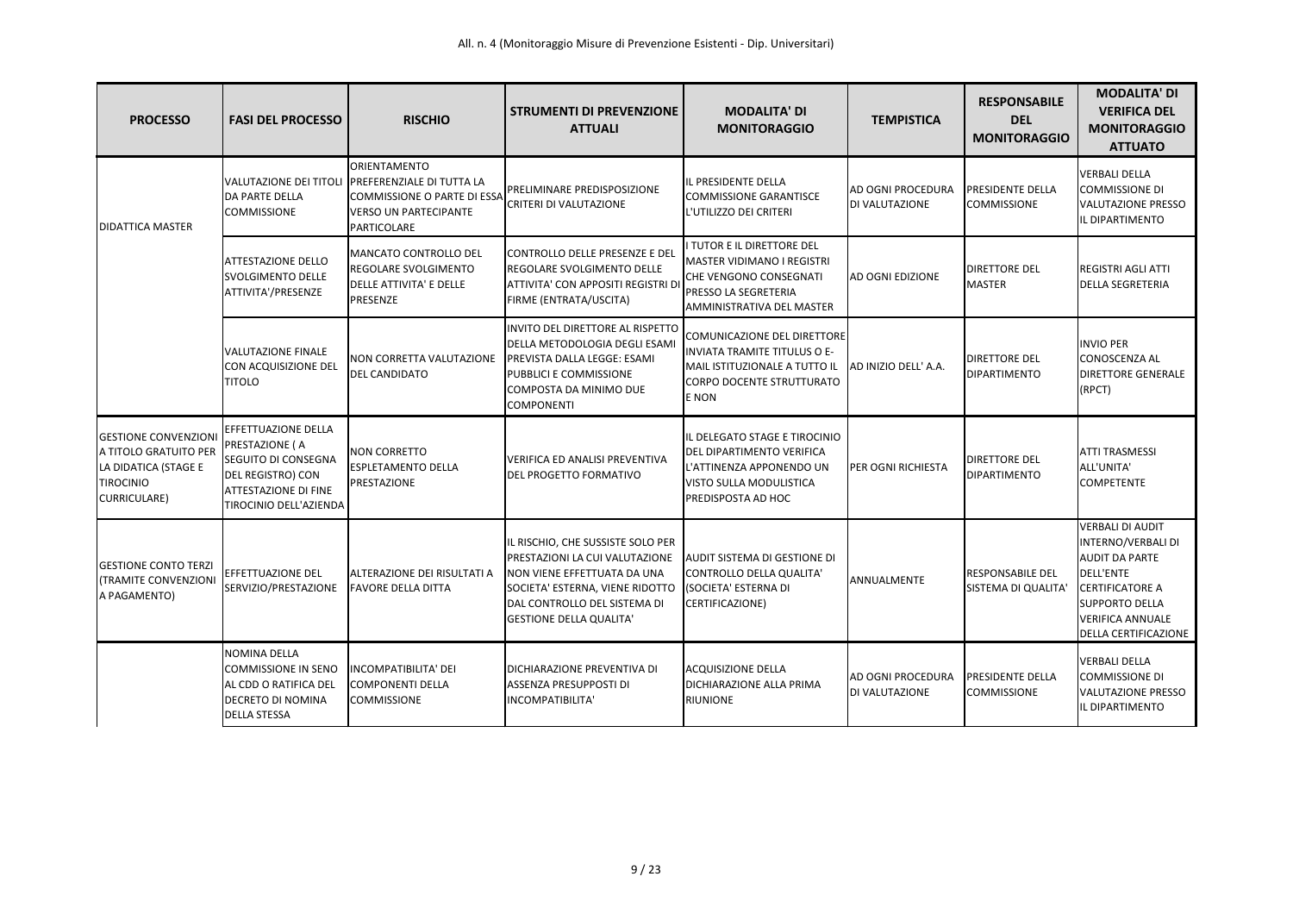| <b>PROCESSO</b>                                                                                                         | <b>FASI DEL PROCESSO</b>                                                                                                            | <b>RISCHIO</b>                                                                                                                                 | <b>STRUMENTI DI PREVENZIONE</b><br><b>ATTUALI</b>                                                                                                                                                                            | <b>MODALITA' DI</b><br><b>MONITORAGGIO</b>                                                                                                              | <b>TEMPISTICA</b>                                 | <b>RESPONSABILE</b><br><b>DEL</b><br><b>MONITORAGGIO</b> | <b>MODALITA' DI</b><br><b>VERIFICA DEL</b><br><b>MONITORAGGIO</b><br><b>ATTUATO</b>                                                                                                              |
|-------------------------------------------------------------------------------------------------------------------------|-------------------------------------------------------------------------------------------------------------------------------------|------------------------------------------------------------------------------------------------------------------------------------------------|------------------------------------------------------------------------------------------------------------------------------------------------------------------------------------------------------------------------------|---------------------------------------------------------------------------------------------------------------------------------------------------------|---------------------------------------------------|----------------------------------------------------------|--------------------------------------------------------------------------------------------------------------------------------------------------------------------------------------------------|
| <b>DIDATTICA MASTER</b>                                                                                                 | <b>DA PARTE DELLA</b><br><b>COMMISSIONE</b>                                                                                         | ORIENTAMENTO<br>VALUTAZIONE DEI TITOLI PREFERENZIALE DI TUTTA LA<br>COMMISSIONE O PARTE DI ESSA<br><b>VERSO UN PARTECIPANTE</b><br>PARTICOLARE | PRELIMINARE PREDISPOSIZIONE<br><b>CRITERI DI VALUTAZIONE</b>                                                                                                                                                                 | IL PRESIDENTE DELLA<br><b>COMMISSIONE GARANTISCE</b><br>L'UTILIZZO DEI CRITERI                                                                          | AD OGNI PROCEDURA<br><b>DI VALUTAZIONE</b>        | <b>PRESIDENTE DELLA</b><br><b>COMMISSIONE</b>            | <b>VERBALI DELLA</b><br><b>COMMISSIONE DI</b><br><b>VALUTAZIONE PRESSO</b><br>IL DIPARTIMENTO                                                                                                    |
|                                                                                                                         | <b>ATTESTAZIONE DELLO</b><br><b>SVOLGIMENTO DELLE</b><br>ATTIVITA'/PRESENZE                                                         | MANCATO CONTROLLO DEL<br><b>REGOLARE SVOLGIMENTO</b><br>DELLE ATTIVITA' E DELLE<br>PRESENZE                                                    | CONTROLLO DELLE PRESENZE E DEL<br><b>REGOLARE SVOLGIMENTO DELLE</b><br>ATTIVITA' CON APPOSITI REGISTRI D<br>FIRME (ENTRATA/USCITA)                                                                                           | I TUTOR E IL DIRETTORE DEL<br>MASTER VIDIMANO I REGISTRI<br>CHE VENGONO CONSEGNATI<br><b>PRESSO LA SEGRETERIA</b><br>AMMINISTRATIVA DEL MASTER          | <b>AD OGNI EDIZIONE</b>                           | <b>DIRETTORE DEL</b><br><b>MASTER</b>                    | <b>REGISTRI AGLI ATTI</b><br><b>DELLA SEGRETERIA</b>                                                                                                                                             |
|                                                                                                                         | <b>VALUTAZIONE FINALE</b><br>CON ACQUISIZIONE DEL<br><b>TITOLO</b>                                                                  | NON CORRETTA VALUTAZIONE<br><b>DEL CANDIDATO</b>                                                                                               | INVITO DEL DIRETTORE AL RISPETTO<br>DELLA METODOLOGIA DEGLI ESAMI<br>PREVISTA DALLA LEGGE: ESAMI<br>PUBBLICI E COMMISSIONE<br>COMPOSTA DA MINIMO DUE<br><b>COMPONENTI</b>                                                    | COMUNICAZIONE DEL DIRETTORE<br><b>INVIATA TRAMITE TITULUS O E-</b><br>MAIL ISTITUZIONALE A TUTTO IL<br><b>CORPO DOCENTE STRUTTURATO</b><br><b>E</b> NON | <b>JAD INIZIO DELL' A.A.</b>                      | <b>DIRETTORE DEL</b><br><b>DIPARTIMENTO</b>              | <b>INVIO PER</b><br>CONOSCENZA AL<br><b>DIRETTORE GENERALE</b><br>(RPCT)                                                                                                                         |
| <b>GESTIONE CONVENZIONI</b><br>A TITOLO GRATUITO PER<br>LA DIDATICA (STAGE E<br><b>TIROCINIO</b><br><b>CURRICULARE)</b> | EFFETTUAZIONE DELLA<br>PRESTAZIONE (A<br>SEGUITO DI CONSEGNA<br>DEL REGISTRO) CON<br>ATTESTAZIONE DI FINE<br>TIROCINIO DELL'AZIENDA | <b>NON CORRETTO</b><br><b>ESPLETAMENTO DELLA</b><br>PRESTAZIONE                                                                                | <b>VERIFICA ED ANALISI PREVENTIVA</b><br>DEL PROGETTO FORMATIVO                                                                                                                                                              | IL DELEGATO STAGE E TIROCINIO<br><b>DEL DIPARTIMENTO VERIFICA</b><br>L'ATTINENZA APPONENDO UN<br><b>VISTO SULLA MODULISTICA</b><br>PREDISPOSTA AD HOC   | <b>PER OGNI RICHIESTA</b>                         | <b>DIRETTORE DEL</b><br><b>DIPARTIMENTO</b>              | <b>ATTI TRASMESSI</b><br>ALL'UNITA'<br><b>COMPETENTE</b>                                                                                                                                         |
| <b>GESTIONE CONTO TERZI</b><br>(TRAMITE CONVENZIONI<br>A PAGAMENTO)                                                     | EFFETTUAZIONE DEL<br>SERVIZIO/PRESTAZIONE                                                                                           | ALTERAZIONE DEI RISULTATI A<br><b>FAVORE DELLA DITTA</b>                                                                                       | IL RISCHIO, CHE SUSSISTE SOLO PER<br>PRESTAZIONI LA CUI VALUTAZIONE<br>NON VIENE EFFETTUATA DA UNA<br>SOCIETA' ESTERNA, VIENE RIDOTTO (SOCIETA' ESTERNA DI<br>DAL CONTROLLO DEL SISTEMA DI<br><b>GESTIONE DELLA QUALITA'</b> | AUDIT SISTEMA DI GESTIONE DI<br>CONTROLLO DELLA QUALITA'<br>CERTIFICAZIONE)                                                                             | ANNUALMENTE                                       | <b>RESPONSABILE DEL</b><br>SISTEMA DI QUALITA'           | <b>VERBALI DI AUDIT</b><br>INTERNO/VERBALI DI<br><b>AUDIT DA PARTE</b><br><b>DELL'ENTE</b><br><b>CERTIFICATORE A</b><br><b>SUPPORTO DELLA</b><br><b>VERIFICA ANNUALE</b><br>DELLA CERTIFICAZIONE |
|                                                                                                                         | <b>NOMINA DELLA</b><br><b>COMMISSIONE IN SENO</b><br>AL CDD O RATIFICA DEL<br><b>DECRETO DI NOMINA</b><br><b>DELLA STESSA</b>       | <b>INCOMPATIBILITA' DEI</b><br><b>COMPONENTI DELLA</b><br><b>COMMISSIONE</b>                                                                   | DICHIARAZIONE PREVENTIVA DI<br><b>ASSENZA PRESUPPOSTI DI</b><br>INCOMPATIBILITA'                                                                                                                                             | <b>ACQUISIZIONE DELLA</b><br><b>DICHIARAZIONE ALLA PRIMA</b><br><b>RIUNIONE</b>                                                                         | <b>AD OGNI PROCEDURA</b><br><b>DI VALUTAZIONE</b> | <b>PRESIDENTE DELLA</b><br><b>COMMISSIONE</b>            | <b>VERBALI DELLA</b><br><b>COMMISSIONE DI</b><br><b>VALUTAZIONE PRESSO</b><br>IL DIPARTIMENTO                                                                                                    |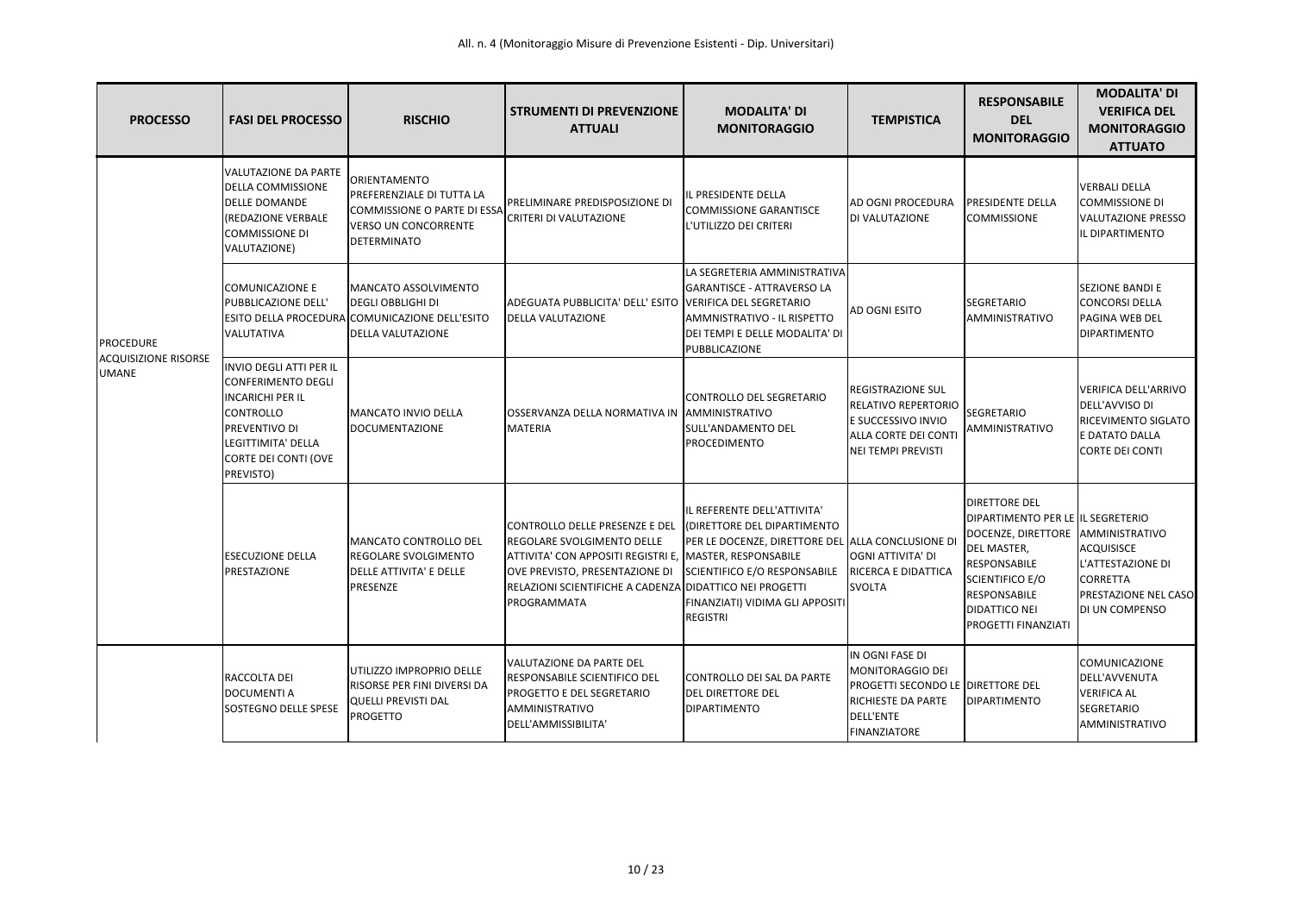| <b>PROCESSO</b>                                                 | <b>FASI DEL PROCESSO</b>                                                                                                                                                               | <b>RISCHIO</b>                                                                                                                         | <b>STRUMENTI DI PREVENZIONE</b><br><b>ATTUALI</b>                                                                                                                                                                                          | <b>MODALITA' DI</b><br><b>MONITORAGGIO</b>                                                                                                                                                                   | <b>TEMPISTICA</b>                                                                                                                                | <b>RESPONSABILE</b><br><b>DEL</b><br><b>MONITORAGGIO</b>                                                                                                                                                                             | <b>MODALITA' DI</b><br><b>VERIFICA DEL</b><br><b>MONITORAGGIO</b><br><b>ATTUATO</b>                       |
|-----------------------------------------------------------------|----------------------------------------------------------------------------------------------------------------------------------------------------------------------------------------|----------------------------------------------------------------------------------------------------------------------------------------|--------------------------------------------------------------------------------------------------------------------------------------------------------------------------------------------------------------------------------------------|--------------------------------------------------------------------------------------------------------------------------------------------------------------------------------------------------------------|--------------------------------------------------------------------------------------------------------------------------------------------------|--------------------------------------------------------------------------------------------------------------------------------------------------------------------------------------------------------------------------------------|-----------------------------------------------------------------------------------------------------------|
| <b>PROCEDURE</b><br><b>ACQUISIZIONE RISORSE</b><br><b>UMANE</b> | VALUTAZIONE DA PARTE<br><b>DELLA COMMISSIONE</b><br><b>DELLE DOMANDE</b><br>(REDAZIONE VERBALE<br><b>COMMISSIONE DI</b><br>VALUTAZIONE)                                                | ORIENTAMENTO<br>PREFERENZIALE DI TUTTA LA<br><b>COMMISSIONE O PARTE DI ESSA</b><br><b>VERSO UN CONCORRENTE</b><br>DETERMINATO          | <b>PRELIMINARE PREDISPOSIZIONE DI</b><br><b>CRITERI DI VALUTAZIONE</b>                                                                                                                                                                     | IL PRESIDENTE DELLA<br><b>COMMISSIONE GARANTISCE</b><br>L'UTILIZZO DEI CRITERI                                                                                                                               | <b>AD OGNI PROCEDURA</b><br><b>DI VALUTAZIONE</b>                                                                                                | <b>PRESIDENTE DELLA</b><br><b>COMMISSIONE</b>                                                                                                                                                                                        | <b>VERBALI DELLA</b><br><b>COMMISSIONE DI</b><br><b>VALUTAZIONE PRESSO</b><br>IL DIPARTIMENTO             |
|                                                                 | <b>COMUNICAZIONE E</b><br>PUBBLICAZIONE DELL'<br>VALUTATIVA                                                                                                                            | <b>IMANCATO ASSOLVIMENTO</b><br><b>DEGLI OBBLIGHI DI</b><br>ESITO DELLA PROCEDURA COMUNICAZIONE DELL'ESITO<br><b>DELLA VALUTAZIONE</b> | ADEGUATA PUBBLICITA' DELL' ESITO VERIFICA DEL SEGRETARIO<br><b>DELLA VALUTAZIONE</b>                                                                                                                                                       | LA SEGRETERIA AMMINISTRATIVA<br><b>GARANTISCE - ATTRAVERSO LA</b><br>AMMNISTRATIVO - IL RISPETTO<br>DEI TEMPI E DELLE MODALITA' DI<br>PUBBLICAZIONE                                                          | <b>AD OGNI ESITO</b>                                                                                                                             | <b>SEGRETARIO</b><br>AMMINISTRATIVO                                                                                                                                                                                                  | SEZIONE BANDI E<br><b>CONCORSI DELLA</b><br>PAGINA WEB DEL<br><b>DIPARTIMENTO</b>                         |
|                                                                 | <b>INVIO DEGLI ATTI PER IL</b><br><b>CONFERIMENTO DEGLI</b><br><b>INCARICHI PER IL</b><br>CONTROLLO<br>PREVENTIVO DI<br>LEGITTIMITA' DELLA<br><b>CORTE DEI CONTI (OVE</b><br>PREVISTO) | <b>MANCATO INVIO DELLA</b><br><b>DOCUMENTAZIONE</b>                                                                                    | <b>OSSERVANZA DELLA NORMATIVA IN</b><br><b>MATERIA</b>                                                                                                                                                                                     | CONTROLLO DEL SEGRETARIO<br><b>JAMMINISTRATIVO</b><br>SULL'ANDAMENTO DEL<br><b>PROCEDIMENTO</b>                                                                                                              | <b>REGISTRAZIONE SUL</b><br><b>RELATIVO REPERTORIO</b><br>E SUCCESSIVO INVIO<br>ALLA CORTE DEI CONTI<br>NEI TEMPI PREVISTI                       | <b>SEGRETARIO</b><br>AMMINISTRATIVO                                                                                                                                                                                                  | VERIFICA DELL'ARRIVO<br>DELL'AVVISO DI<br>RICEVIMENTO SIGLATO<br>E DATATO DALLA<br><b>CORTE DEI CONTI</b> |
|                                                                 | <b>ESECUZIONE DELLA</b><br>PRESTAZIONE                                                                                                                                                 | MANCATO CONTROLLO DEL<br><b>REGOLARE SVOLGIMENTO</b><br>DELLE ATTIVITA' E DELLE<br>PRESENZE                                            | CONTROLLO DELLE PRESENZE E DEL<br><b>REGOLARE SVOLGIMENTO DELLE</b><br>ATTIVITA' CON APPOSITI REGISTRI E, MASTER, RESPONSABILE<br>OVE PREVISTO, PRESENTAZIONE DI<br>RELAZIONI SCIENTIFICHE A CADENZA DIDATTICO NEI PROGETTI<br>PROGRAMMATA | IL REFERENTE DELL'ATTIVITA'<br>(DIRETTORE DEL DIPARTIMENTO<br>PER LE DOCENZE, DIRETTORE DEL ALLA CONCLUSIONE DI<br>SCIENTIFICO E/O RESPONSABILE<br><b>FINANZIATI) VIDIMA GLI APPOSITI</b><br><b>REGISTRI</b> | OGNI ATTIVITA' DI<br><b>RICERCA E DIDATTICA</b><br><b>SVOLTA</b>                                                                                 | <b>DIRETTORE DEL</b><br>DIPARTIMENTO PER LE IL SEGRETERIO<br>DOCENZE, DIRETTORE AMMINISTRATIVO<br>DEL MASTER,<br>RESPONSABILE<br><b>SCIENTIFICO E/O</b><br><b>RESPONSABILE</b><br><b>DIDATTICO NEI</b><br><b>PROGETTI FINANZIATI</b> | <b>ACQUISISCE</b><br>L'ATTESTAZIONE DI<br><b>CORRETTA</b><br>PRESTAZIONE NEL CASO<br>DI UN COMPENSO       |
|                                                                 | RACCOLTA DEI<br><b>DOCUMENTI A</b><br>SOSTEGNO DELLE SPESE                                                                                                                             | UTILIZZO IMPROPRIO DELLE<br>RISORSE PER FINI DIVERSI DA<br><b>QUELLI PREVISTI DAL</b><br><b>PROGETTO</b>                               | VALUTAZIONE DA PARTE DEL<br><b>RESPONSABILE SCIENTIFICO DEL</b><br><b>PROGETTO E DEL SEGRETARIO</b><br>AMMINISTRATIVO<br>DELL'AMMISSIBILITA'                                                                                               | CONTROLLO DEI SAL DA PARTE<br><b>DEL DIRETTORE DEL</b><br><b>DIPARTIMENTO</b>                                                                                                                                | IN OGNI FASE DI<br>MONITORAGGIO DEI<br>PROGETTI SECONDO LE DIRETTORE DEL<br><b>RICHIESTE DA PARTE</b><br><b>DELL'ENTE</b><br><b>FINANZIATORE</b> | <b>DIPARTIMENTO</b>                                                                                                                                                                                                                  | <b>COMUNICAZIONE</b><br><b>DELL'AVVENUTA</b><br><b>VERIFICA AL</b><br><b>SEGRETARIO</b><br>AMMINISTRATIVO |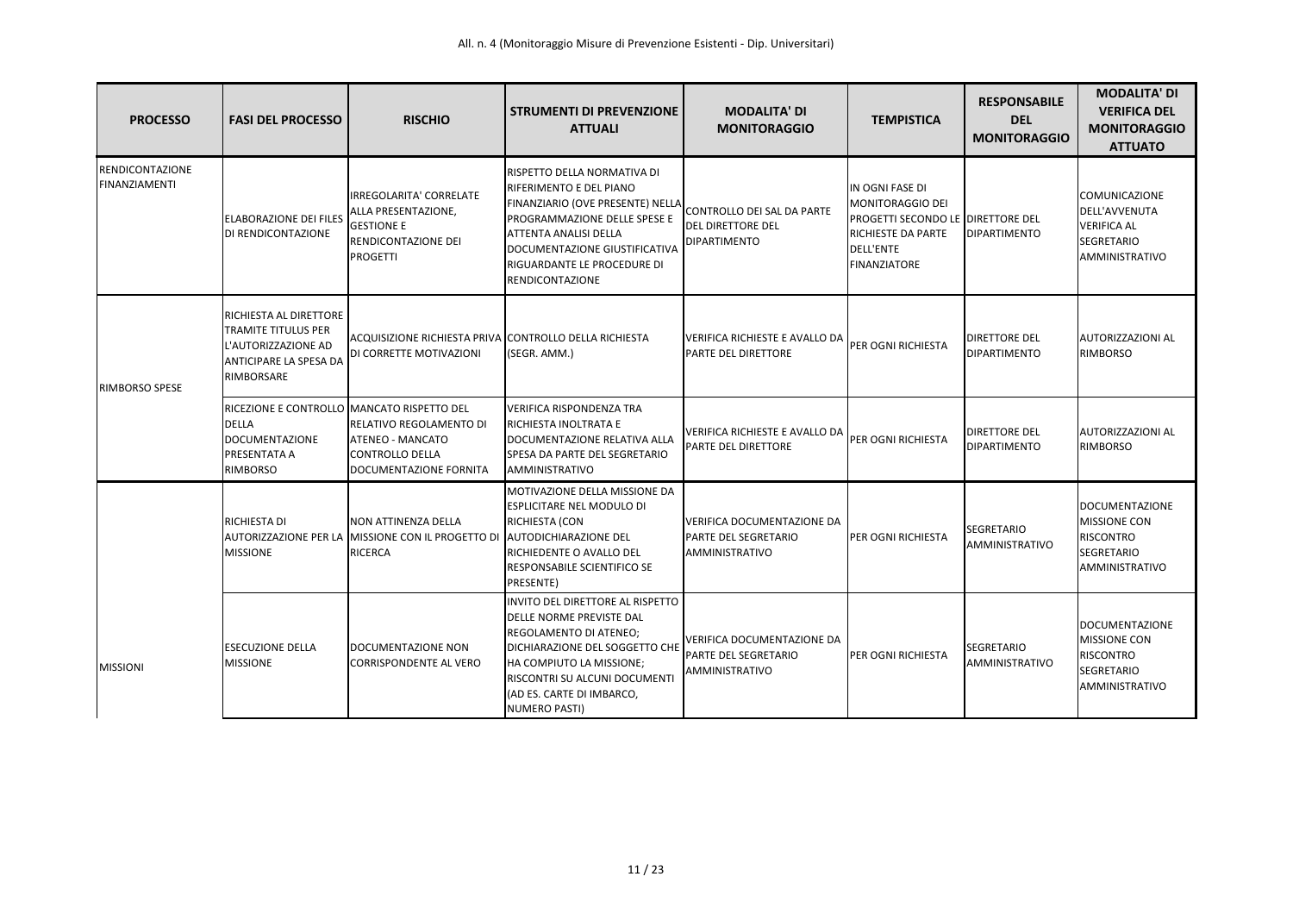| <b>PROCESSO</b>                         | <b>FASI DEL PROCESSO</b>                                                                                        | <b>RISCHIO</b>                                                                                                | <b>STRUMENTI DI PREVENZIONE</b><br><b>ATTUALI</b>                                                                                                                                                                                                    | <b>MODALITA' DI</b><br><b>MONITORAGGIO</b>                                         | <b>TEMPISTICA</b>                                                                                                                                | <b>RESPONSABILE</b><br><b>DEL</b><br><b>MONITORAGGIO</b> | <b>MODALITA' DI</b><br><b>VERIFICA DEL</b><br><b>MONITORAGGIO</b><br><b>ATTUATO</b>                |
|-----------------------------------------|-----------------------------------------------------------------------------------------------------------------|---------------------------------------------------------------------------------------------------------------|------------------------------------------------------------------------------------------------------------------------------------------------------------------------------------------------------------------------------------------------------|------------------------------------------------------------------------------------|--------------------------------------------------------------------------------------------------------------------------------------------------|----------------------------------------------------------|----------------------------------------------------------------------------------------------------|
| <b>RENDICONTAZIONE</b><br>FINANZIAMENTI | <b>ELABORAZIONE DEI FILES</b><br>DI RENDICONTAZIONE                                                             | <b>IRREGOLARITA' CORRELATE</b><br>ALLA PRESENTAZIONE,<br><b>GESTIONE E</b><br>RENDICONTAZIONE DEI<br>PROGETTI | <b>RISPETTO DELLA NORMATIVA DI</b><br>RIFERIMENTO E DEL PIANO<br>FINANZIARIO (OVE PRESENTE) NELLA<br>PROGRAMMAZIONE DELLE SPESE E<br>ATTENTA ANALISI DELLA<br>DOCUMENTAZIONE GIUSTIFICATIVA<br>RIGUARDANTE LE PROCEDURE DI<br><b>RENDICONTAZIONE</b> | CONTROLLO DEI SAL DA PARTE<br><b>DEL DIRETTORE DEL</b><br><b>DIPARTIMENTO</b>      | IN OGNI FASE DI<br>MONITORAGGIO DEI<br>PROGETTI SECONDO LE OIRETTORE DEL<br><b>RICHIESTE DA PARTE</b><br><b>DELL'ENTE</b><br><b>FINANZIATORE</b> | <b>IDIPARTIMENTO</b>                                     | <b>COMUNICAZIONE</b><br>DELL'AVVENUTA<br><b>VERIFICA AL</b><br><b>SEGRETARIO</b><br>AMMINISTRATIVO |
| RIMBORSO SPESE                          | RICHIESTA AL DIRETTORE<br>TRAMITE TITULUS PER<br>L'AUTORIZZAZIONE AD<br>ANTICIPARE LA SPESA DA<br>RIMBORSARE    | ACQUISIZIONE RICHIESTA PRIVA CONTROLLO DELLA RICHIESTA<br>DI CORRETTE MOTIVAZIONI                             | (SEGR. AMM.)                                                                                                                                                                                                                                         | VERIFICA RICHIESTE E AVALLO DA<br>PARTE DEL DIRETTORE                              | PER OGNI RICHIESTA                                                                                                                               | <b>DIRETTORE DEL</b><br>DIPARTIMENTO                     | <b>AUTORIZZAZIONI AL</b><br><b>RIMBORSO</b>                                                        |
|                                         | RICEZIONE E CONTROLLO MANCATO RISPETTO DEL<br>DELLA<br><b>DOCUMENTAZIONE</b><br>PRESENTATA A<br><b>RIMBORSO</b> | RELATIVO REGOLAMENTO DI<br><b>ATENEO - MANCATO</b><br><b>ICONTROLLO DELLA</b><br>DOCUMENTAZIONE FORNITA       | <b>VERIFICA RISPONDENZA TRA</b><br>RICHIESTA INOLTRATA E<br>DOCUMENTAZIONE RELATIVA ALLA<br>SPESA DA PARTE DEL SEGRETARIO<br>AMMINISTRATIVO                                                                                                          | VERIFICA RICHIESTE E AVALLO DA<br>PARTE DEL DIRETTORE                              | PER OGNI RICHIESTA                                                                                                                               | <b>DIRETTORE DEL</b><br>DIPARTIMENTO                     | <b>AUTORIZZAZIONI AL</b><br><b>RIMBORSO</b>                                                        |
|                                         | RICHIESTA DI<br>AUTORIZZAZIONE PER LA<br><b>MISSIONE</b>                                                        | NON ATTINENZA DELLA<br><b>MISSIONE CON IL PROGETTO DI</b><br>RICERCA                                          | MOTIVAZIONE DELLA MISSIONE DA<br><b>ESPLICITARE NEL MODULO DI</b><br>RICHIESTA (CON<br><b>AUTODICHIARAZIONE DEL</b><br>RICHIEDENTE O AVALLO DEL<br><b>RESPONSABILE SCIENTIFICO SE</b><br>PRESENTE)                                                   | <b>VERIFICA DOCUMENTAZIONE DA</b><br>PARTE DEL SEGRETARIO<br><b>AMMINISTRATIVO</b> | PER OGNI RICHIESTA                                                                                                                               | SEGRETARIO<br>AMMINISTRATIVO                             | DOCUMENTAZIONE<br><b>MISSIONE CON</b><br><b>RISCONTRO</b><br><b>SEGRETARIO</b><br>AMMINISTRATIVO   |
| <b>MISSIONI</b>                         | <b>ESECUZIONE DELLA</b><br><b>MISSIONE</b>                                                                      | DOCUMENTAZIONE NON<br>CORRISPONDENTE AL VERO                                                                  | INVITO DEL DIRETTORE AL RISPETTO<br>DELLE NORME PREVISTE DAL<br>REGOLAMENTO DI ATENEO;<br>DICHIARAZIONE DEL SOGGETTO CHE<br>HA COMPIUTO LA MISSIONE:<br>RISCONTRI SU ALCUNI DOCUMENT<br>(AD ES. CARTE DI IMBARCO,<br><b>NUMERO PASTI)</b>            | VERIFICA DOCUMENTAZIONE DA<br>PARTE DEL SEGRETARIO<br>AMMINISTRATIVO               | <b>I</b> PER OGNI RICHIESTA                                                                                                                      | <b>SEGRETARIO</b><br>AMMINISTRATIVO                      | DOCUMENTAZIONE<br><b>MISSIONE CON</b><br><b>RISCONTRO</b><br>SEGRETARIO<br>AMMINISTRATIVO          |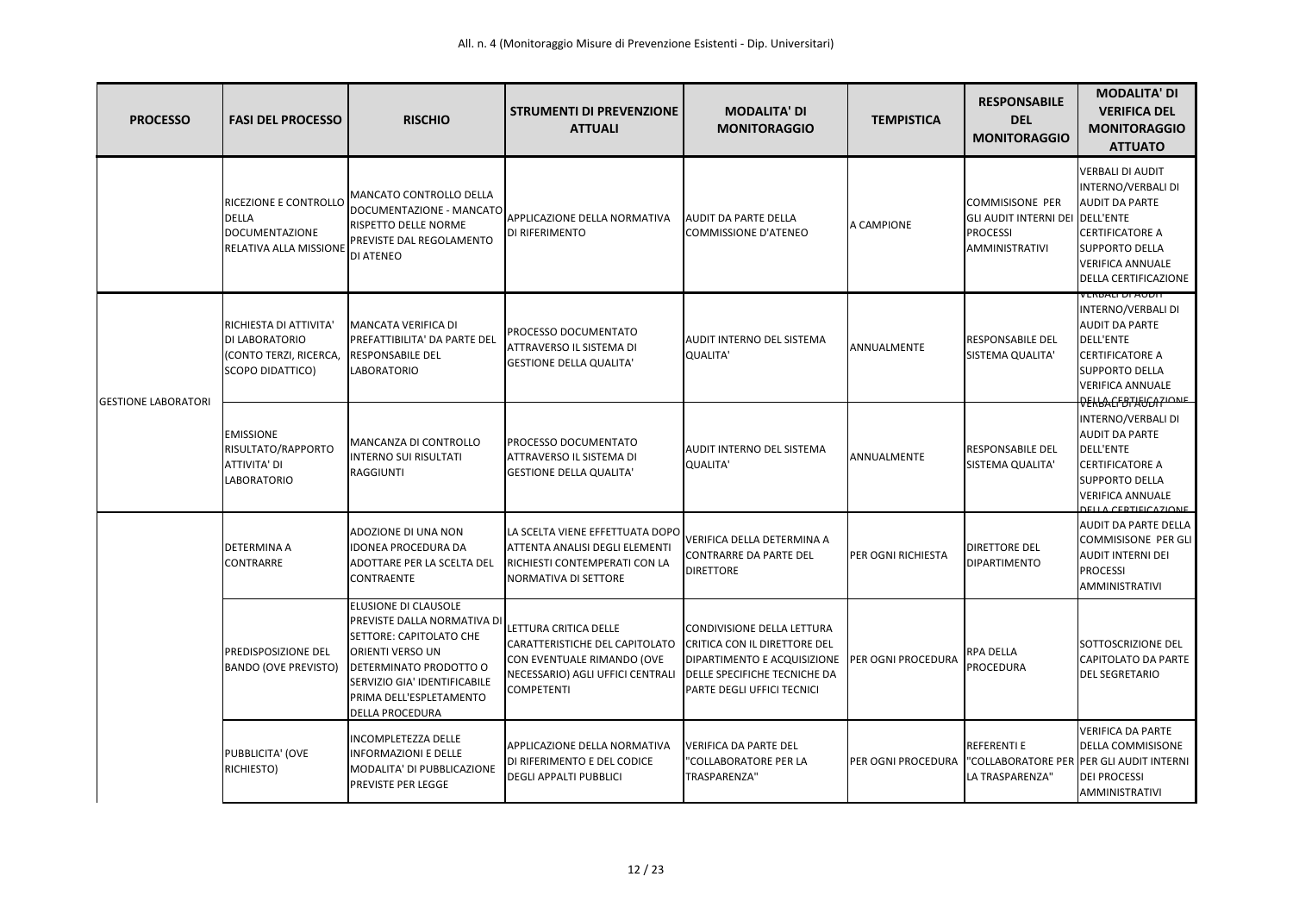| <b>PROCESSO</b>            | <b>FASI DEL PROCESSO</b>                                                                        | <b>RISCHIO</b>                                                                                                                                                                                                           | <b>STRUMENTI DI PREVENZIONE</b><br><b>ATTUALI</b>                                                                                              | <b>MODALITA' DI</b><br><b>MONITORAGGIO</b>                                                                                                              | <b>TEMPISTICA</b>          | <b>RESPONSABILE</b><br><b>DEL</b><br><b>MONITORAGGIO</b>                                       | <b>MODALITA' DI</b><br><b>VERIFICA DEL</b><br><b>MONITORAGGIO</b><br><b>ATTUATO</b>                                                                                                              |
|----------------------------|-------------------------------------------------------------------------------------------------|--------------------------------------------------------------------------------------------------------------------------------------------------------------------------------------------------------------------------|------------------------------------------------------------------------------------------------------------------------------------------------|---------------------------------------------------------------------------------------------------------------------------------------------------------|----------------------------|------------------------------------------------------------------------------------------------|--------------------------------------------------------------------------------------------------------------------------------------------------------------------------------------------------|
|                            | <b>RICEZIONE E CONTROLLO</b><br><b>DELLA</b><br>DOCUMENTAZIONE<br><b>RELATIVA ALLA MISSIONE</b> | MANCATO CONTROLLO DELLA<br>DOCUMENTAZIONE - MANCATO<br><b>RISPETTO DELLE NORME</b><br>PREVISTE DAL REGOLAMENTO<br>DI ATENEO                                                                                              | APPLICAZIONE DELLA NORMATIVA<br>DI RIFERIMENTO                                                                                                 | <b>AUDIT DA PARTE DELLA</b><br><b>COMMISSIONE D'ATENEO</b>                                                                                              | A CAMPIONE                 | <b>COMMISISONE PER</b><br>GLI AUDIT INTERNI DEI DELL'ENTE<br><b>PROCESSI</b><br>AMMINISTRATIVI | <b>VERBALI DI AUDIT</b><br>INTERNO/VERBALI DI<br><b>AUDIT DA PARTE</b><br><b>CERTIFICATORE A</b><br><b>SUPPORTO DELLA</b><br><b>VERIFICA ANNUALE</b><br><b>DELLA CERTIFICAZIONE</b>              |
| <b>GESTIONE LABORATORI</b> | RICHIESTA DI ATTIVITA'<br><b>DI LABORATORIO</b><br>(CONTO TERZI, RICERCA,<br>SCOPO DIDATTICO)   | <b>MANCATA VERIFICA DI</b><br>PREFATTIBILITA' DA PARTE DEL<br><b>RESPONSABILE DEL</b><br><b>LABORATORIO</b>                                                                                                              | PROCESSO DOCUMENTATO<br>ATTRAVERSO IL SISTEMA DI<br><b>GESTIONE DELLA QUALITA'</b>                                                             | AUDIT INTERNO DEL SISTEMA<br><b>QUALITA'</b>                                                                                                            | ANNUALMENTE                | <b>RESPONSABILE DEL</b><br><b>SISTEMA QUALITA'</b>                                             | I KENDALI DI AUDIT<br>INTERNO/VERBALI DI<br><b>AUDIT DA PARTE</b><br><b>DELL'ENTE</b><br><b>CERTIFICATORE A</b><br><b>SUPPORTO DELLA</b><br><b>VERIFICA ANNUALE</b><br><b>REKBACFBTAUGATIONE</b> |
|                            | <b>EMISSIONE</b><br>RISULTATO/RAPPORTO<br>ATTIVITA' DI<br><b>LABORATORIO</b>                    | MANCANZA DI CONTROLLO<br><b>INTERNO SUI RISULTATI</b><br><b>RAGGIUNTI</b>                                                                                                                                                | PROCESSO DOCUMENTATO<br>ATTRAVERSO IL SISTEMA DI<br><b>GESTIONE DELLA QUALITA'</b>                                                             | AUDIT INTERNO DEL SISTEMA<br><b>QUALITA</b>                                                                                                             | ANNUALMENTE                | <b>IRESPONSABILE DEL</b><br><b>SISTEMA QUALITA'</b>                                            | INTERNO/VERBALI DI<br><b>AUDIT DA PARTE</b><br><b>DELL'ENTE</b><br><b>CERTIFICATORE A</b><br><b>SUPPORTO DELLA</b><br><b>VERIFICA ANNUALE</b><br><b>DELLA CEDTIEICAZIONE</b>                     |
|                            | <b>DETERMINA A</b><br><b>CONTRARRE</b>                                                          | ADOZIONE DI UNA NON<br><b>IDONEA PROCEDURA DA</b><br>ADOTTARE PER LA SCELTA DEL<br>CONTRAENTE                                                                                                                            | LA SCELTA VIENE EFFETTUATA DOPO<br>ATTENTA ANALISI DEGLI ELEMENTI<br>RICHIESTI CONTEMPERATI CON LA<br>NORMATIVA DI SETTORE                     | VERIFICA DELLA DETERMINA A<br><b>CONTRARRE DA PARTE DEL</b><br><b>DIRETTORE</b>                                                                         | <b>IPER OGNI RICHIESTA</b> | <b>DIRETTORE DEL</b><br><b>DIPARTIMENTO</b>                                                    | <b>AUDIT DA PARTE DELLA</b><br><b>COMMISISONE PER GLI</b><br><b>AUDIT INTERNI DEI</b><br><b>PROCESSI</b><br><b>AMMINISTRATIVI</b>                                                                |
|                            | <b>PREDISPOSIZIONE DEL</b><br><b>BANDO (OVE PREVISTO)</b>                                       | ELUSIONE DI CLAUSOLE<br>PREVISTE DALLA NORMATIVA DI<br>SETTORE: CAPITOLATO CHE<br><b>ORIENTI VERSO UN</b><br>DETERMINATO PRODOTTO O<br>SERVIZIO GIA' IDENTIFICABILE<br>PRIMA DELL'ESPLETAMENTO<br><b>DELLA PROCEDURA</b> | LETTURA CRITICA DELLE<br>CARATTERISTICHE DEL CAPITOLATO<br>CON EVENTUALE RIMANDO (OVE<br>NECESSARIO) AGLI UFFICI CENTRALI<br><b>COMPETENTI</b> | CONDIVISIONE DELLA LETTURA<br>CRITICA CON IL DIRETTORE DEL<br>DIPARTIMENTO E ACQUISIZIONE<br>DELLE SPECIFICHE TECNICHE DA<br>PARTE DEGLI UFFICI TECNICI | <b>PER OGNI PROCEDURA</b>  | <b>RPA DELLA</b><br>PROCEDURA                                                                  | SOTTOSCRIZIONE DEL<br><b>CAPITOLATO DA PARTE</b><br><b>DEL SEGRETARIO</b>                                                                                                                        |
|                            | PUBBLICITA' (OVE<br>RICHIESTO)                                                                  | <b>INCOMPLETEZZA DELLE</b><br><b>INFORMAZIONI E DELLE</b><br>MODALITA' DI PUBBLICAZIONE<br>PREVISTE PER LEGGE                                                                                                            | APPLICAZIONE DELLA NORMATIVA<br>DI RIFERIMENTO E DEL CODICE<br><b>DEGLI APPALTI PUBBLICI</b>                                                   | <b>VERIFICA DA PARTE DEL</b><br>"COLLABORATORE PER LA<br>TRASPARENZA"                                                                                   | PER OGNI PROCEDURA         | <b>REFERENTI E</b><br>LA TRASPARENZA"                                                          | <b>VERIFICA DA PARTE</b><br>DELLA COMMISISONE<br>"COLLABORATORE PER PER GLI AUDIT INTERNI<br><b>DEI PROCESSI</b><br>AMMINISTRATIVI                                                               |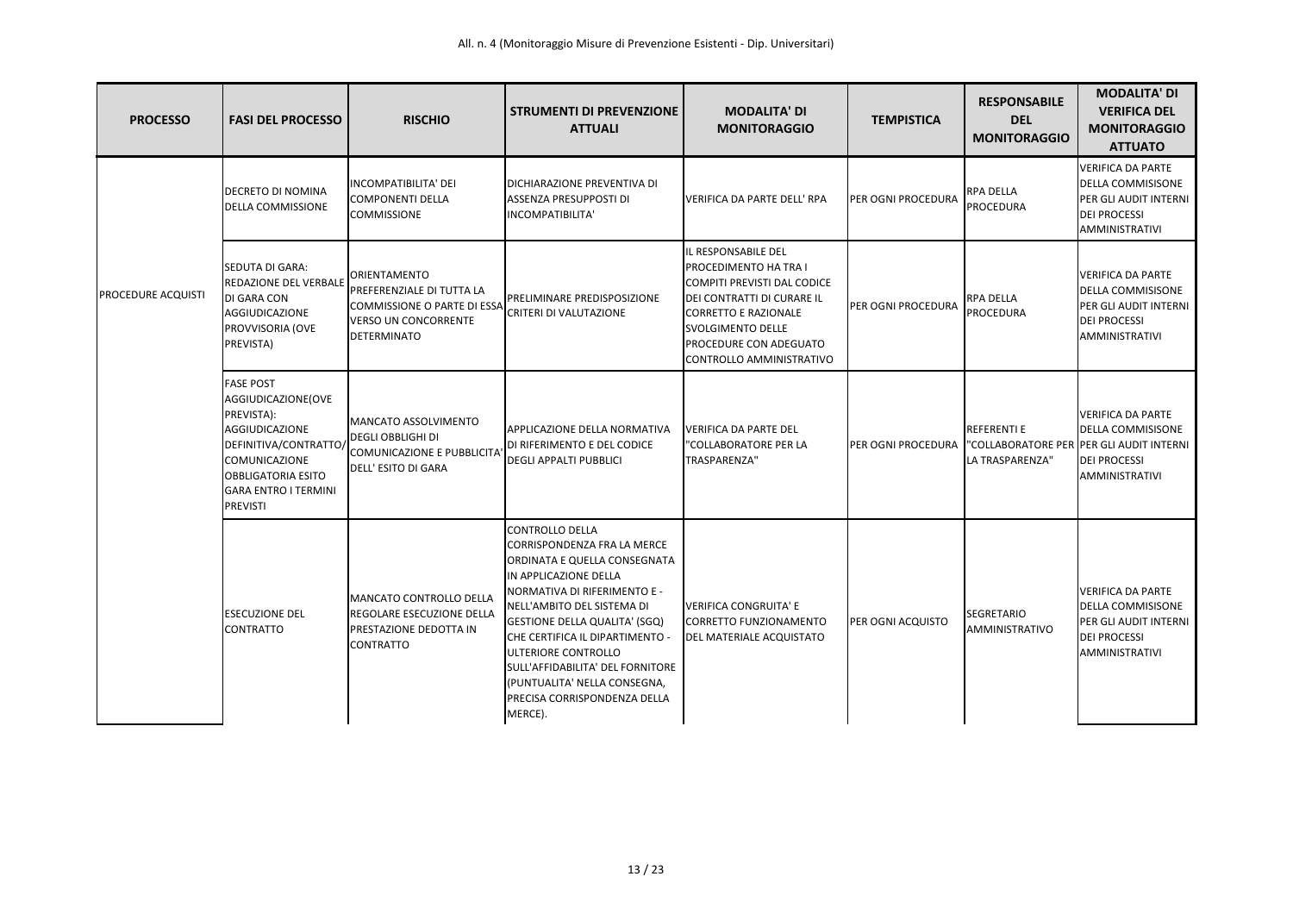| <b>PROCESSO</b>           | <b>FASI DEL PROCESSO</b>                                                                                                                                                                        | <b>RISCHIO</b>                                                                                                                       | <b>STRUMENTI DI PREVENZIONE</b><br><b>ATTUALI</b>                                                                                                                                                                                                                                                                                                                                      | <b>MODALITA' DI</b><br><b>MONITORAGGIO</b>                                                                                                                                                                                 | <b>TEMPISTICA</b>                                            | <b>RESPONSABILE</b><br><b>DEL</b><br><b>MONITORAGGIO</b> | <b>MODALITA' DI</b><br><b>VERIFICA DEL</b><br><b>MONITORAGGIO</b><br><b>ATTUATO</b>                                                  |
|---------------------------|-------------------------------------------------------------------------------------------------------------------------------------------------------------------------------------------------|--------------------------------------------------------------------------------------------------------------------------------------|----------------------------------------------------------------------------------------------------------------------------------------------------------------------------------------------------------------------------------------------------------------------------------------------------------------------------------------------------------------------------------------|----------------------------------------------------------------------------------------------------------------------------------------------------------------------------------------------------------------------------|--------------------------------------------------------------|----------------------------------------------------------|--------------------------------------------------------------------------------------------------------------------------------------|
|                           | <b>DECRETO DI NOMINA</b><br><b>DELLA COMMISSIONE</b>                                                                                                                                            | <b>INCOMPATIBILITA' DEI</b><br><b>COMPONENTI DELLA</b><br><b>COMMISSIONE</b>                                                         | DICHIARAZIONE PREVENTIVA DI<br><b>ASSENZA PRESUPPOSTI DI</b><br>INCOMPATIBILITA'                                                                                                                                                                                                                                                                                                       | VERIFICA DA PARTE DELL' RPA                                                                                                                                                                                                | PER OGNI PROCEDURA                                           | <b>RPA DELLA</b><br><b>PROCEDURA</b>                     | <b>VERIFICA DA PARTE</b><br><b>DELLA COMMISISONE</b><br>PER GLI AUDIT INTERNI<br><b>DEI PROCESSI</b><br><b>AMMINISTRATIVI</b>        |
| <b>PROCEDURE ACQUISTI</b> | <b>SEDUTA DI GARA:</b><br><b>REDAZIONE DEL VERBALE</b><br><b>DI GARA CON</b><br><b>AGGIUDICAZIONE</b><br>PROVVISORIA (OVE<br>PREVISTA)                                                          | <b>ORIENTAMENTO</b><br>PREFERENZIALE DI TUTTA LA<br>COMMISSIONE O PARTE DI ESSA<br><b>VERSO UN CONCORRENTE</b><br><b>DETERMINATO</b> | PRELIMINARE PREDISPOSIZIONE<br><b>CRITERI DI VALUTAZIONE</b>                                                                                                                                                                                                                                                                                                                           | IL RESPONSABILE DEL<br>PROCEDIMENTO HA TRA I<br>COMPITI PREVISTI DAL CODICE<br><b>DEI CONTRATTI DI CURARE IL</b><br>CORRETTO E RAZIONALE<br><b>SVOLGIMENTO DELLE</b><br>PROCEDURE CON ADEGUATO<br>CONTROLLO AMMINISTRATIVO | PER OGNI PROCEDURA                                           | <b>RPA DELLA</b><br><b>PROCEDURA</b>                     | VERIFICA DA PARTE<br><b>DELLA COMMISISONE</b><br>PER GLI AUDIT INTERNI<br><b>DEI PROCESSI</b><br>AMMINISTRATIVI                      |
|                           | <b>FASE POST</b><br>AGGIUDICAZIONE(OVE<br>PREVISTA):<br>AGGIUDICAZIONE<br>DEFINITIVA/CONTRATTO/<br>COMUNICAZIONE<br><b>OBBLIGATORIA ESITO</b><br><b>GARA ENTRO I TERMINI</b><br><b>PREVISTI</b> | <b>IMANCATO ASSOLVIMENTO</b><br><b>DEGLI OBBLIGHI DI</b><br><b>COMUNICAZIONE E PUBBLICITA</b><br>DELL' ESITO DI GARA                 | <b>APPLICAZIONE DELLA NORMATIVA</b><br>DI RIFERIMENTO E DEL CODICE<br><b>DEGLI APPALTI PUBBLICI</b>                                                                                                                                                                                                                                                                                    | VERIFICA DA PARTE DEL<br>"COLLABORATORE PER LA<br>TRASPARENZA"                                                                                                                                                             | PER OGNI PROCEDURA  "COLLABORATORE PER PER GLI AUDIT INTERNI | <b>REFERENTI E</b><br>LA TRASPARENZA"                    | <b>VERIFICA DA PARTE</b><br><b>DELLA COMMISISONE</b><br><b>DEI PROCESSI</b><br>AMMINISTRATIVI                                        |
|                           | <b>ESECUZIONE DEL</b><br><b>CONTRATTO</b>                                                                                                                                                       | MANCATO CONTROLLO DELLA<br>REGOLARE ESECUZIONE DELLA<br>PRESTAZIONE DEDOTTA IN<br><b>CONTRATTO</b>                                   | CONTROLLO DELLA<br>CORRISPONDENZA FRA LA MERCE<br>ORDINATA E QUELLA CONSEGNATA<br>IN APPLICAZIONE DELLA<br>NORMATIVA DI RIFERIMENTO E -<br>NELL'AMBITO DEL SISTEMA DI<br><b>GESTIONE DELLA QUALITA' (SGQ)</b><br>CHE CERTIFICA IL DIPARTIMENTO -<br>ULTERIORE CONTROLLO<br>SULL'AFFIDABILITA' DEL FORNITORE<br>(PUNTUALITA' NELLA CONSEGNA,<br>PRECISA CORRISPONDENZA DELLA<br>MERCE). | <b>VERIFICA CONGRUITA' E</b><br>CORRETTO FUNZIONAMENTO<br><b>DEL MATERIALE ACQUISTATO</b>                                                                                                                                  | PER OGNI ACQUISTO                                            | <b>SEGRETARIO</b><br>AMMINISTRATIVO                      | <b>VERIFICA DA PARTE</b><br><b>DELLA COMMISISONE</b><br><b>PER GLI AUDIT INTERNI</b><br><b>DEI PROCESSI</b><br><b>AMMINISTRATIVI</b> |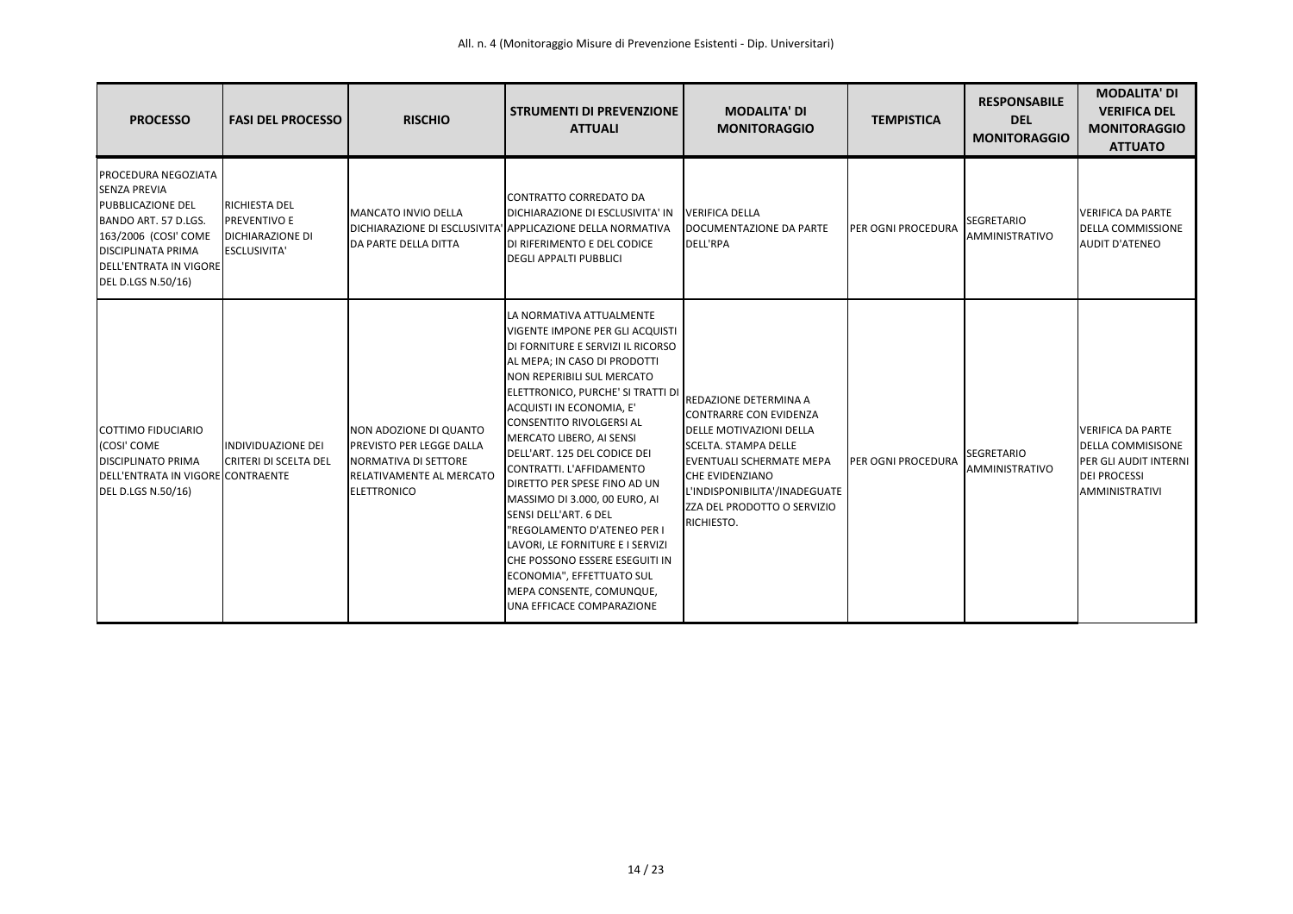| <b>PROCESSO</b>                                                                                                                                                                                     | <b>FASI DEL PROCESSO</b>                                                       | <b>RISCHIO</b>                                                                                                               | <b>STRUMENTI DI PREVENZIONE</b><br><b>ATTUALI</b>                                                                                                                                                                                                                                                                                                                                                                                                                                                                                                                                                                                               | <b>MODALITA' DI</b><br><b>MONITORAGGIO</b>                                                                                                                                                                                                                         | <b>TEMPISTICA</b>  | <b>RESPONSABILE</b><br><b>DEL</b><br><b>MONITORAGGIO</b> | <b>MODALITA' DI</b><br><b>VERIFICA DEL</b><br><b>MONITORAGGIO</b><br><b>ATTUATO</b>                                    |
|-----------------------------------------------------------------------------------------------------------------------------------------------------------------------------------------------------|--------------------------------------------------------------------------------|------------------------------------------------------------------------------------------------------------------------------|-------------------------------------------------------------------------------------------------------------------------------------------------------------------------------------------------------------------------------------------------------------------------------------------------------------------------------------------------------------------------------------------------------------------------------------------------------------------------------------------------------------------------------------------------------------------------------------------------------------------------------------------------|--------------------------------------------------------------------------------------------------------------------------------------------------------------------------------------------------------------------------------------------------------------------|--------------------|----------------------------------------------------------|------------------------------------------------------------------------------------------------------------------------|
| PROCEDURA NEGOZIATA<br><b>SENZA PREVIA</b><br><b>PUBBLICAZIONE DEL</b><br>BANDO ART. 57 D.LGS.<br>163/2006 (COSI' COME<br><b>DISCIPLINATA PRIMA</b><br>DELL'ENTRATA IN VIGORE<br>DEL D.LGS N.50/16) | RICHIESTA DEL<br>PREVENTIVO E<br><b>DICHIARAZIONE DI</b><br><b>ESCLUSIVITA</b> | <b>MANCATO INVIO DELLA</b><br>DA PARTE DELLA DITTA                                                                           | CONTRATTO CORREDATO DA<br>DICHIARAZIONE DI ESCLUSIVITA' IN<br>DICHIARAZIONE DI ESCLUSIVITA' APPLICAZIONE DELLA NORMATIVA<br>DI RIFERIMENTO E DEL CODICE<br><b>DEGLI APPALTI PUBBLICI</b>                                                                                                                                                                                                                                                                                                                                                                                                                                                        | <b>VERIFICA DELLA</b><br>DOCUMENTAZIONE DA PARTE<br>DELL'RPA                                                                                                                                                                                                       | PER OGNI PROCEDURA | SEGRETARIO<br>AMMINISTRATIVO                             | <b>VERIFICA DA PARTE</b><br><b>DELLA COMMISSIONE</b><br><b>AUDIT D'ATENEO</b>                                          |
| <b>COTTIMO FIDUCIARIO</b><br>(COSI' COME<br><b>DISCIPLINATO PRIMA</b><br>DELL'ENTRATA IN VIGORE CONTRAENTE<br>DEL D.LGS N.50/16)                                                                    | INDIVIDUAZIONE DEI<br><b>CRITERI DI SCELTA DEL</b>                             | NON ADOZIONE DI QUANTO<br>PREVISTO PER LEGGE DALLA<br>NORMATIVA DI SETTORE<br><b>RELATIVAMENTE AL MERCATO</b><br>ELETTRONICO | LA NORMATIVA ATTUALMENTE<br><b>VIGENTE IMPONE PER GLI ACQUISTI</b><br>DI FORNITURE E SERVIZI IL RICORSO<br>AL MEPA; IN CASO DI PRODOTTI<br>NON REPERIBILI SUL MERCATO<br>ELETTRONICO, PURCHE' SI TRATTI DI<br>ACQUISTI IN ECONOMIA, E'<br>CONSENTITO RIVOLGERSI AL<br>MERCATO LIBERO, AI SENSI<br>DELL'ART. 125 DEL CODICE DEI<br>CONTRATTI. L'AFFIDAMENTO<br>DIRETTO PER SPESE FINO AD UN<br>MASSIMO DI 3.000, 00 EURO, AI<br>SENSI DELL'ART. 6 DEL<br>"REGOLAMENTO D'ATENEO PER I<br>LAVORI, LE FORNITURE E I SERVIZI<br>CHE POSSONO ESSERE ESEGUITI IN<br>ECONOMIA", EFFETTUATO SUL<br>MEPA CONSENTE, COMUNQUE,<br>UNA EFFICACE COMPARAZIONE | <b>REDAZIONE DETERMINA A</b><br>CONTRARRE CON EVIDENZA<br><b>DELLE MOTIVAZIONI DELLA</b><br><b>SCELTA. STAMPA DELLE</b><br><b>EVENTUALI SCHERMATE MEPA</b><br><b>CHE EVIDENZIANO</b><br>L'INDISPONIBILITA'/INADEGUATE<br>ZZA DEL PRODOTTO O SERVIZIO<br>RICHIESTO. | PER OGNI PROCEDURA | <b>SEGRETARIO</b><br>AMMINISTRATIVO                      | <b>VERIFICA DA PARTE</b><br><b>DELLA COMMISISONE</b><br>PER GLI AUDIT INTERNI<br><b>DEI PROCESSI</b><br>AMMINISTRATIVI |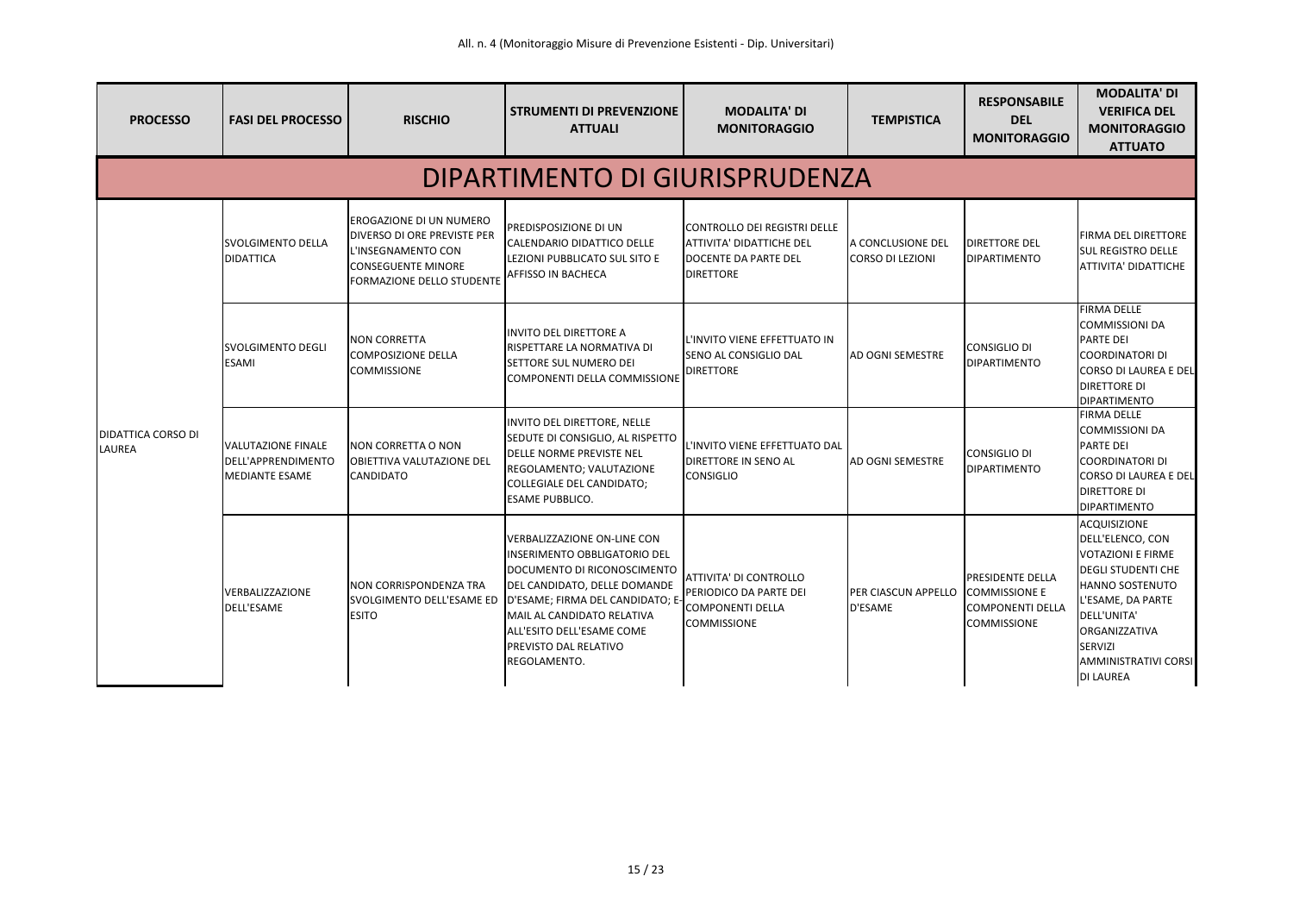| <b>PROCESSO</b>                     | <b>FASI DEL PROCESSO</b>                                          | <b>RISCHIO</b>                                                                                                                                | <b>STRUMENTI DI PREVENZIONE</b><br><b>ATTUALI</b>                                                                                                                                                                                                                                                            | <b>MODALITA' DI</b><br><b>MONITORAGGIO</b>                                                                  | <b>TEMPISTICA</b>                            | <b>RESPONSABILE</b><br><b>DEL</b><br><b>MONITORAGGIO</b>                 | <b>MODALITA' DI</b><br><b>VERIFICA DEL</b><br><b>MONITORAGGIO</b><br><b>ATTUATO</b>                                                                                                                                                    |  |  |  |  |
|-------------------------------------|-------------------------------------------------------------------|-----------------------------------------------------------------------------------------------------------------------------------------------|--------------------------------------------------------------------------------------------------------------------------------------------------------------------------------------------------------------------------------------------------------------------------------------------------------------|-------------------------------------------------------------------------------------------------------------|----------------------------------------------|--------------------------------------------------------------------------|----------------------------------------------------------------------------------------------------------------------------------------------------------------------------------------------------------------------------------------|--|--|--|--|
|                                     | DIPARTIMENTO DI GIURISPRUDENZA                                    |                                                                                                                                               |                                                                                                                                                                                                                                                                                                              |                                                                                                             |                                              |                                                                          |                                                                                                                                                                                                                                        |  |  |  |  |
|                                     | <b>SVOLGIMENTO DELLA</b><br><b>DIDATTICA</b>                      | EROGAZIONE DI UN NUMERO<br><b>DIVERSO DI ORE PREVISTE PER</b><br>L'INSEGNAMENTO CON<br><b>CONSEGUENTE MINORE</b><br>FORMAZIONE DELLO STUDENTE | <b>PREDISPOSIZIONE DI UN</b><br>CALENDARIO DIDATTICO DELLE<br>LEZIONI PUBBLICATO SUL SITO E<br><b>AFFISSO IN BACHECA</b>                                                                                                                                                                                     | CONTROLLO DEI REGISTRI DELLE<br><b>ATTIVITA' DIDATTICHE DEL</b><br>DOCENTE DA PARTE DEL<br><b>DIRETTORE</b> | A CONCLUSIONE DEL<br>CORSO DI LEZIONI        | <b>DIRETTORE DEL</b><br><b>DIPARTIMENTO</b>                              | <b>FIRMA DEL DIRETTORE</b><br><b>SUL REGISTRO DELLE</b><br>ATTIVITA' DIDATTICHE                                                                                                                                                        |  |  |  |  |
|                                     | SVOLGIMENTO DEGLI<br><b>ESAMI</b>                                 | <b>NON CORRETTA</b><br><b>COMPOSIZIONE DELLA</b><br><b>COMMISSIONE</b>                                                                        | <b>INVITO DEL DIRETTORE A</b><br>RISPETTARE LA NORMATIVA DI<br><b>SETTORE SUL NUMERO DEI</b><br>COMPONENTI DELLA COMMISSIONE                                                                                                                                                                                 | <b>IL'INVITO VIENE EFFETTUATO IN</b><br><b>SENO AL CONSIGLIO DAL</b><br><b>DIRETTORE</b>                    | <b>JAD OGNI SEMESTRE</b>                     | <b>CONSIGLIO DI</b><br><b>DIPARTIMENTO</b>                               | <b>FIRMA DELLE</b><br><b>COMMISSIONI DA</b><br><b>PARTE DEI</b><br><b>COORDINATORI DI</b><br><b>CORSO DI LAUREA E DEL</b><br><b>DIRETTORE DI</b><br><b>DIPARTIMENTO</b>                                                                |  |  |  |  |
| <b>DIDATTICA CORSO DI</b><br>LAUREA | <b>VALUTAZIONE FINALE</b><br>DELL'APPRENDIMENTO<br>MEDIANTE ESAME | INON CORRETTA O NON<br><b>OBIETTIVA VALUTAZIONE DEL</b><br><b>CANDIDATO</b>                                                                   | INVITO DEL DIRETTORE, NELLE<br>SEDUTE DI CONSIGLIO, AL RISPETTO<br><b>DELLE NORME PREVISTE NEL</b><br>REGOLAMENTO; VALUTAZIONE<br>COLLEGIALE DEL CANDIDATO;<br><b>ESAME PUBBLICO.</b>                                                                                                                        | L'INVITO VIENE EFFETTUATO DAL<br><b>DIRETTORE IN SENO AL</b><br><b>CONSIGLIO</b>                            | IAD OGNI SEMESTRE                            | <b>CONSIGLIO DI</b><br><b>DIPARTIMENTO</b>                               | <b>FIRMA DELLE</b><br><b>COMMISSIONI DA</b><br><b>PARTE DEI</b><br><b>COORDINATORI DI</b><br><b>CORSO DI LAUREA E DEL</b><br><b>DIRETTORE DI</b><br><b>DIPARTIMENTO</b>                                                                |  |  |  |  |
|                                     | VERBALIZZAZIONE<br>DELL'ESAME                                     | <b>NON CORRISPONDENZA TRA</b><br><b>ESITO</b>                                                                                                 | <b>VERBALIZZAZIONE ON-LINE CON</b><br>INSERIMENTO OBBLIGATORIO DEL<br>DOCUMENTO DI RICONOSCIMENTO<br>DEL CANDIDATO, DELLE DOMANDE<br>SVOLGIMENTO DELL'ESAME ED   D'ESAME; FIRMA DEL CANDIDATO; E-<br>MAIL AL CANDIDATO RELATIVA<br>ALL'ESITO DELL'ESAME COME<br><b>PREVISTO DAL RELATIVO</b><br>REGOLAMENTO. | <b>ATTIVITA' DI CONTROLLO</b><br>PERIODICO DA PARTE DEI<br><b>COMPONENTI DELLA</b><br><b>COMMISSIONE</b>    | PER CIASCUN APPELLO COMMISSIONE E<br>D'ESAME | <b>PRESIDENTE DELLA</b><br><b>COMPONENTI DELLA</b><br><b>COMMISSIONE</b> | <b>ACQUISIZIONE</b><br>DELL'ELENCO, CON<br><b>VOTAZIONI E FIRME</b><br><b>DEGLI STUDENTI CHE</b><br><b>HANNO SOSTENUTO</b><br>L'ESAME, DA PARTE<br>DELL'UNITA'<br>ORGANIZZATIVA<br>SERVIZI<br>AMMINISTRATIVI CORSI<br><b>DI LAUREA</b> |  |  |  |  |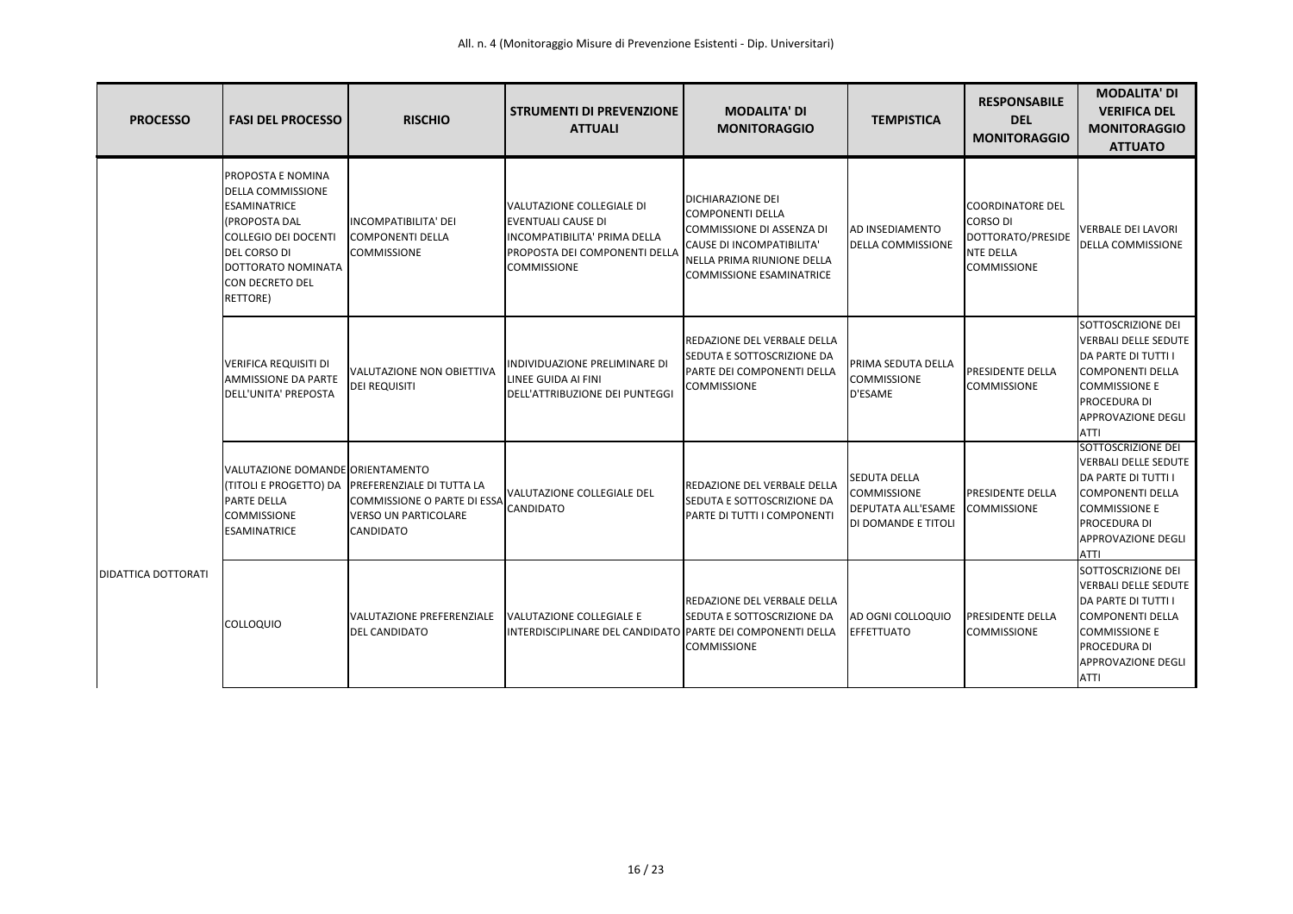| <b>PROCESSO</b>      | <b>FASI DEL PROCESSO</b>                                                                                                                                                                         | <b>RISCHIO</b>                                                                                                                     | <b>STRUMENTI DI PREVENZIONE</b><br><b>ATTUALI</b>                                                                                             | <b>MODALITA' DI</b><br><b>MONITORAGGIO</b>                                                                                                                                            | <b>TEMPISTICA</b>                                                                             | <b>RESPONSABILE</b><br><b>DEL</b><br><b>MONITORAGGIO</b>                                           | <b>MODALITA' DI</b><br><b>VERIFICA DEL</b><br><b>MONITORAGGIO</b><br><b>ATTUATO</b>                                                                                                     |
|----------------------|--------------------------------------------------------------------------------------------------------------------------------------------------------------------------------------------------|------------------------------------------------------------------------------------------------------------------------------------|-----------------------------------------------------------------------------------------------------------------------------------------------|---------------------------------------------------------------------------------------------------------------------------------------------------------------------------------------|-----------------------------------------------------------------------------------------------|----------------------------------------------------------------------------------------------------|-----------------------------------------------------------------------------------------------------------------------------------------------------------------------------------------|
| IDIDATTICA DOTTORATI | PROPOSTA E NOMINA<br>DELLA COMMISSIONE<br><b>ESAMINATRICE</b><br>(PROPOSTA DAL<br><b>COLLEGIO DEI DOCENTI</b><br><b>DEL CORSO DI</b><br>DOTTORATO NOMINATA<br><b>CON DECRETO DEL</b><br>RETTORE) | INCOMPATIBILITA' DEI<br><b>COMPONENTI DELLA</b><br><b>COMMISSIONE</b>                                                              | VALUTAZIONE COLLEGIALE DI<br><b>EVENTUALI CAUSE DI</b><br>INCOMPATIBILITA' PRIMA DELLA<br>PROPOSTA DEI COMPONENTI DELLA<br><b>COMMISSIONE</b> | <b>DICHIARAZIONE DEI</b><br><b>COMPONENTI DELLA</b><br>COMMISSIONE DI ASSENZA DI<br><b>CAUSE DI INCOMPATIBILITA'</b><br>NELLA PRIMA RIUNIONE DELLA<br><b>COMMISSIONE ESAMINATRICE</b> | <b>AD INSEDIAMENTO</b><br><b>DELLA COMMISSIONE</b>                                            | <b>COORDINATORE DEL</b><br>CORSO DI<br>DOTTORATO/PRESIDE<br><b>NTE DELLA</b><br><b>COMMISSIONE</b> | <b>VERBALE DEI LAVORI</b><br>DELLA COMMISSIONE                                                                                                                                          |
|                      | <b>VERIFICA REQUISITI DI</b><br><b>AMMISSIONE DA PARTE</b><br>DELL'UNITA' PREPOSTA                                                                                                               | VALUTAZIONE NON OBIETTIVA<br><b>DEI REQUISITI</b>                                                                                  | INDIVIDUAZIONE PRELIMINARE DI<br>LINEE GUIDA AI FINI<br>DELL'ATTRIBUZIONE DEI PUNTEGGI                                                        | REDAZIONE DEL VERBALE DELLA<br>SEDUTA E SOTTOSCRIZIONE DA<br>PARTE DEI COMPONENTI DELLA<br><b>COMMISSIONE</b>                                                                         | PRIMA SEDUTA DELLA<br><b>COMMISSIONE</b><br>D'ESAME                                           | <b>IPRESIDENTE DELLA</b><br><b>COMMISSIONE</b>                                                     | SOTTOSCRIZIONE DEI<br><b>VERBALI DELLE SEDUTE</b><br>DA PARTE DI TUTTI I<br><b>COMPONENTI DELLA</b><br><b>COMMISSIONE E</b><br>PROCEDURA DI<br><b>APPROVAZIONE DEGLI</b><br><b>ATTI</b> |
|                      | VALUTAZIONE DOMANDE ORIENTAMENTO<br><b>PARTE DELLA</b><br><b>COMMISSIONE</b><br><b>ESAMINATRICE</b>                                                                                              | (TITOLI E PROGETTO) DA PREFERENZIALE DI TUTTA LA<br>COMMISSIONE O PARTE DI ESSA<br><b>VERSO UN PARTICOLARE</b><br><b>CANDIDATO</b> | <b>VALUTAZIONE COLLEGIALE DEL</b><br><b>CANDIDATO</b>                                                                                         | REDAZIONE DEL VERBALE DELLA<br>SEDUTA E SOTTOSCRIZIONE DA<br>PARTE DI TUTTI I COMPONENTI                                                                                              | <b>SEDUTA DELLA</b><br><b>COMMISSIONE</b><br><b>DEPUTATA ALL'ESAME</b><br>DI DOMANDE E TITOLI | <b>IPRESIDENTE DELLA</b><br><b>COMMISSIONE</b>                                                     | SOTTOSCRIZIONE DEI<br><b>VERBALI DELLE SEDUTE</b><br>DA PARTE DI TUTTI I<br><b>COMPONENTI DELLA</b><br><b>COMMISSIONE E</b><br>PROCEDURA DI<br>APPROVAZIONE DEGLI<br><b>ATTI</b>        |
|                      | <b>COLLOQUIO</b>                                                                                                                                                                                 | VALUTAZIONE PREFERENZIALE<br><b>IDEL CANDIDATO</b>                                                                                 | VALUTAZIONE COLLEGIALE E<br>INTERDISCIPLINARE DEL CANDIDATO PARTE DEI COMPONENTI DELLA                                                        | REDAZIONE DEL VERBALE DELLA<br>SEDUTA E SOTTOSCRIZIONE DA<br>COMMISSIONE                                                                                                              | <b>JAD OGNI COLLOQUIO</b><br><b>EFFETTUATO</b>                                                | <b>PRESIDENTE DELLA</b><br><b>COMMISSIONE</b>                                                      | SOTTOSCRIZIONE DEI<br><b>VERBALI DELLE SEDUTE</b><br>DA PARTE DI TUTTI I<br><b>COMPONENTI DELLA</b><br><b>COMMISSIONE E</b><br>PROCEDURA DI<br><b>APPROVAZIONE DEGLI</b><br><b>ATTI</b> |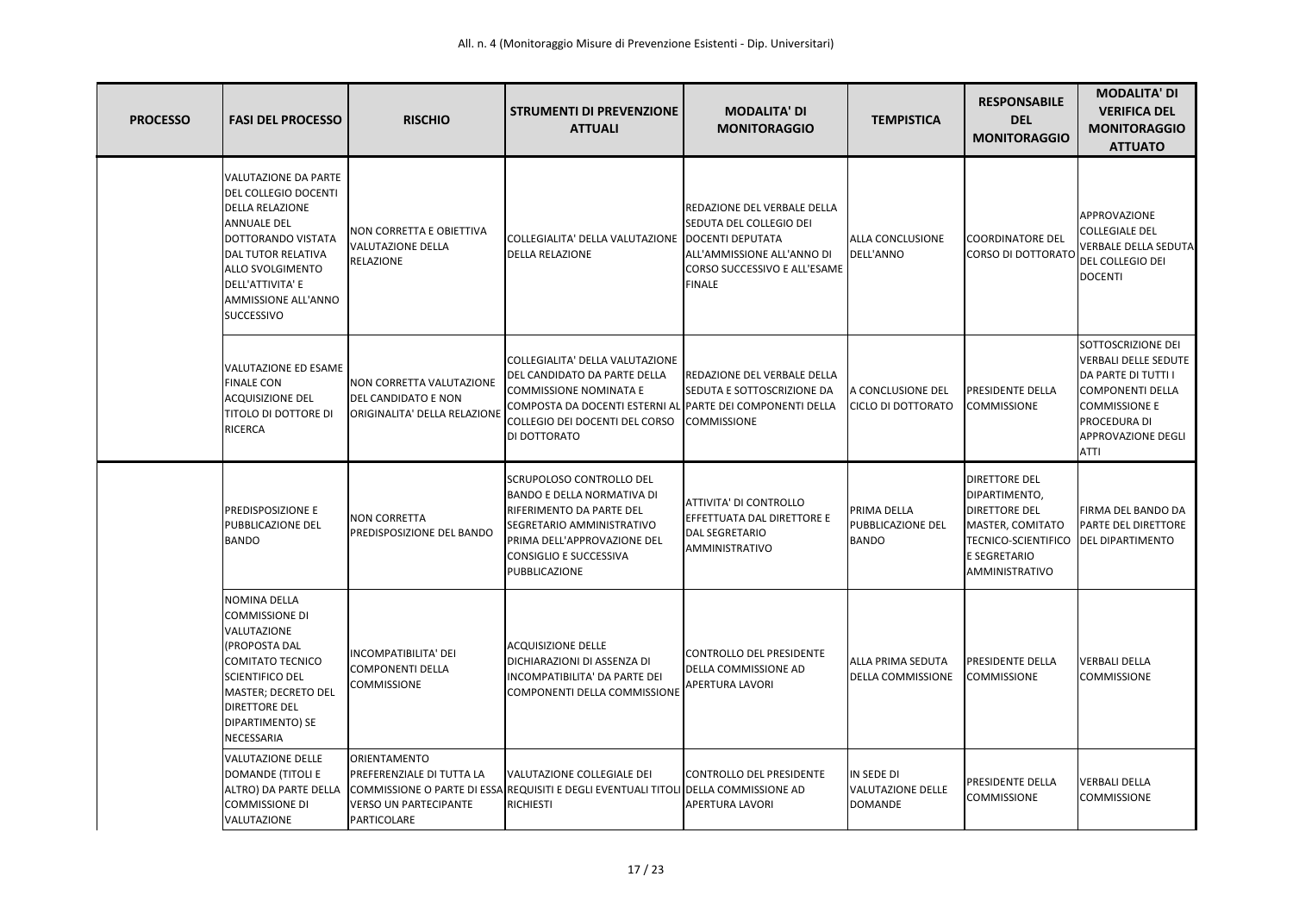| <b>PROCESSO</b> | <b>FASI DEL PROCESSO</b>                                                                                                                                                                                                                          | <b>RISCHIO</b>                                                                           | <b>STRUMENTI DI PREVENZIONE</b><br><b>ATTUALI</b>                                                                                                                                                               | <b>MODALITA' DI</b><br><b>MONITORAGGIO</b>                                                                                                   | <b>TEMPISTICA</b>                                       | <b>RESPONSABILE</b><br><b>DEL</b><br><b>MONITORAGGIO</b>                                                                                                             | <b>MODALITA' DI</b><br><b>VERIFICA DEL</b><br><b>MONITORAGGIO</b><br><b>ATTUATO</b>                                                                                                            |
|-----------------|---------------------------------------------------------------------------------------------------------------------------------------------------------------------------------------------------------------------------------------------------|------------------------------------------------------------------------------------------|-----------------------------------------------------------------------------------------------------------------------------------------------------------------------------------------------------------------|----------------------------------------------------------------------------------------------------------------------------------------------|---------------------------------------------------------|----------------------------------------------------------------------------------------------------------------------------------------------------------------------|------------------------------------------------------------------------------------------------------------------------------------------------------------------------------------------------|
|                 | VALUTAZIONE DA PARTE<br>DEL COLLEGIO DOCENTI<br><b>DELLA RELAZIONE</b><br><b>ANNUALE DEL</b><br>DOTTORANDO VISTATA<br><b>DAL TUTOR RELATIVA</b><br><b>ALLO SVOLGIMENTO</b><br>DELL'ATTIVITA' E<br><b>AMMISSIONE ALL'ANNO</b><br><b>SUCCESSIVO</b> | NON CORRETTA E OBIETTIVA<br><b>VALUTAZIONE DELLA</b><br><b>RELAZIONE</b>                 | COLLEGIALITA' DELLA VALUTAZIONE   DOCENTI DEPUTATA<br><b>DELLA RELAZIONE</b>                                                                                                                                    | REDAZIONE DEL VERBALE DELLA<br><b>SEDUTA DEL COLLEGIO DEI</b><br>ALL'AMMISSIONE ALL'ANNO DI<br>CORSO SUCCESSIVO E ALL'ESAME<br><b>FINALE</b> | <b>ALLA CONCLUSIONE</b><br>DELL'ANNO                    | <b>COORDINATORE DEL</b><br>CORSO DI DOTTORATO                                                                                                                        | APPROVAZIONE<br><b>COLLEGIALE DEL</b><br><b>VERBALE DELLA SEDUTA</b><br><b>DEL COLLEGIO DEI</b><br><b>DOCENTI</b>                                                                              |
|                 | VALUTAZIONE ED ESAME<br><b>FINALE CON</b><br><b>ACQUISIZIONE DEL</b><br>TITOLO DI DOTTORE DI<br><b>RICERCA</b>                                                                                                                                    | <b>NON CORRETTA VALUTAZIONE</b><br>DEL CANDIDATO E NON<br>ORIGINALITA' DELLA RELAZIONE   | COLLEGIALITA' DELLA VALUTAZIONE<br>DEL CANDIDATO DA PARTE DELLA<br><b>COMMISSIONE NOMINATA E</b><br>COMPOSTA DA DOCENTI ESTERNI AL PARTE DEI COMPONENTI DELLA<br>COLLEGIO DEI DOCENTI DEL CORSO<br>DI DOTTORATO | <b>IREDAZIONE DEL VERBALE DELLA</b><br><b>SEDUTA E SOTTOSCRIZIONE DA</b><br><b>COMMISSIONE</b>                                               | <b>A CONCLUSIONE DEL</b><br><b>CICLO DI DOTTORATO</b>   | <b>PRESIDENTE DELLA</b><br><b>COMMISSIONE</b>                                                                                                                        | SOTTOSCRIZIONE DEI<br>VERBALI DELLE SEDUTE<br><b>DA PARTE DI TUTTI I</b><br><b>COMPONENTI DELLA</b><br><b>COMMISSIONE E</b><br><b>PROCEDURA DI</b><br><b>APPROVAZIONE DEGLI</b><br><b>ATTI</b> |
|                 | PREDISPOSIZIONE E<br>PUBBLICAZIONE DEL<br><b>BANDO</b>                                                                                                                                                                                            | <b>NON CORRETTA</b><br>PREDISPOSIZIONE DEL BANDO                                         | SCRUPOLOSO CONTROLLO DEL<br><b>BANDO E DELLA NORMATIVA DI</b><br>RIFERIMENTO DA PARTE DEL<br>SEGRETARIO AMMINISTRATIVO<br>PRIMA DELL'APPROVAZIONE DEL<br><b>CONSIGLIO E SUCCESSIVA</b><br>PUBBLICAZIONE         | <b>ATTIVITA' DI CONTROLLO</b><br><b>EFFETTUATA DAL DIRETTORE E</b><br><b>DAL SEGRETARIO</b><br><b>AMMINISTRATIVO</b>                         | PRIMA DELLA<br><b>PUBBLICAZIONE DEL</b><br><b>BANDO</b> | <b>DIRETTORE DEL</b><br>DIPARTIMENTO,<br><b>DIRETTORE DEL</b><br>MASTER, COMITATO<br>TECNICO-SCIENTIFICO   DEL DIPARTIMENTO<br><b>E SEGRETARIO</b><br>AMMINISTRATIVO | <b>FIRMA DEL BANDO DA</b><br>PARTE DEL DIRETTORE                                                                                                                                               |
|                 | NOMINA DELLA<br><b>COMMISSIONE DI</b><br>VALUTAZIONE<br>(PROPOSTA DAL<br><b>COMITATO TECNICO</b><br><b>SCIENTIFICO DEL</b><br>MASTER; DECRETO DEL<br><b>DIRETTORE DEL</b><br>DIPARTIMENTO) SE<br>NECESSARIA                                       | INCOMPATIBILITA' DEI<br>COMPONENTI DELLA<br><b>COMMISSIONE</b>                           | <b>ACQUISIZIONE DELLE</b><br>DICHIARAZIONI DI ASSENZA DI<br>INCOMPATIBILITA' DA PARTE DEI<br>COMPONENTI DELLA COMMISSIONE                                                                                       | CONTROLLO DEL PRESIDENTE<br><b>DELLA COMMISSIONE AD</b><br><b>APERTURA LAVORI</b>                                                            | <b>ALLA PRIMA SEDUTA</b><br><b>DELLA COMMISSIONE</b>    | <b>PRESIDENTE DELLA</b><br><b>COMMISSIONE</b>                                                                                                                        | <b>VERBALI DELLA</b><br><b>COMMISSIONE</b>                                                                                                                                                     |
|                 | VALUTAZIONE DELLE<br><b>DOMANDE (TITOLI E</b><br>ALTRO) DA PARTE DELLA<br><b>COMMISSIONE DI</b><br>VALUTAZIONE                                                                                                                                    | ORIENTAMENTO<br>PREFERENZIALE DI TUTTA LA<br><b>VERSO UN PARTECIPANTE</b><br>PARTICOLARE | VALUTAZIONE COLLEGIALE DEI<br>COMMISSIONE O PARTE DI ESSA REQUISITI E DEGLI EVENTUALI TITOLI DELLA COMMISSIONE AD<br><b>RICHIESTI</b>                                                                           | CONTROLLO DEL PRESIDENTE<br><b>APERTURA LAVORI</b>                                                                                           | IN SEDE DI<br><b>VALUTAZIONE DELLE</b><br>DOMANDE       | <b>PRESIDENTE DELLA</b><br><b>COMMISSIONE</b>                                                                                                                        | <b>VERBALI DELLA</b><br><b>COMMISSIONE</b>                                                                                                                                                     |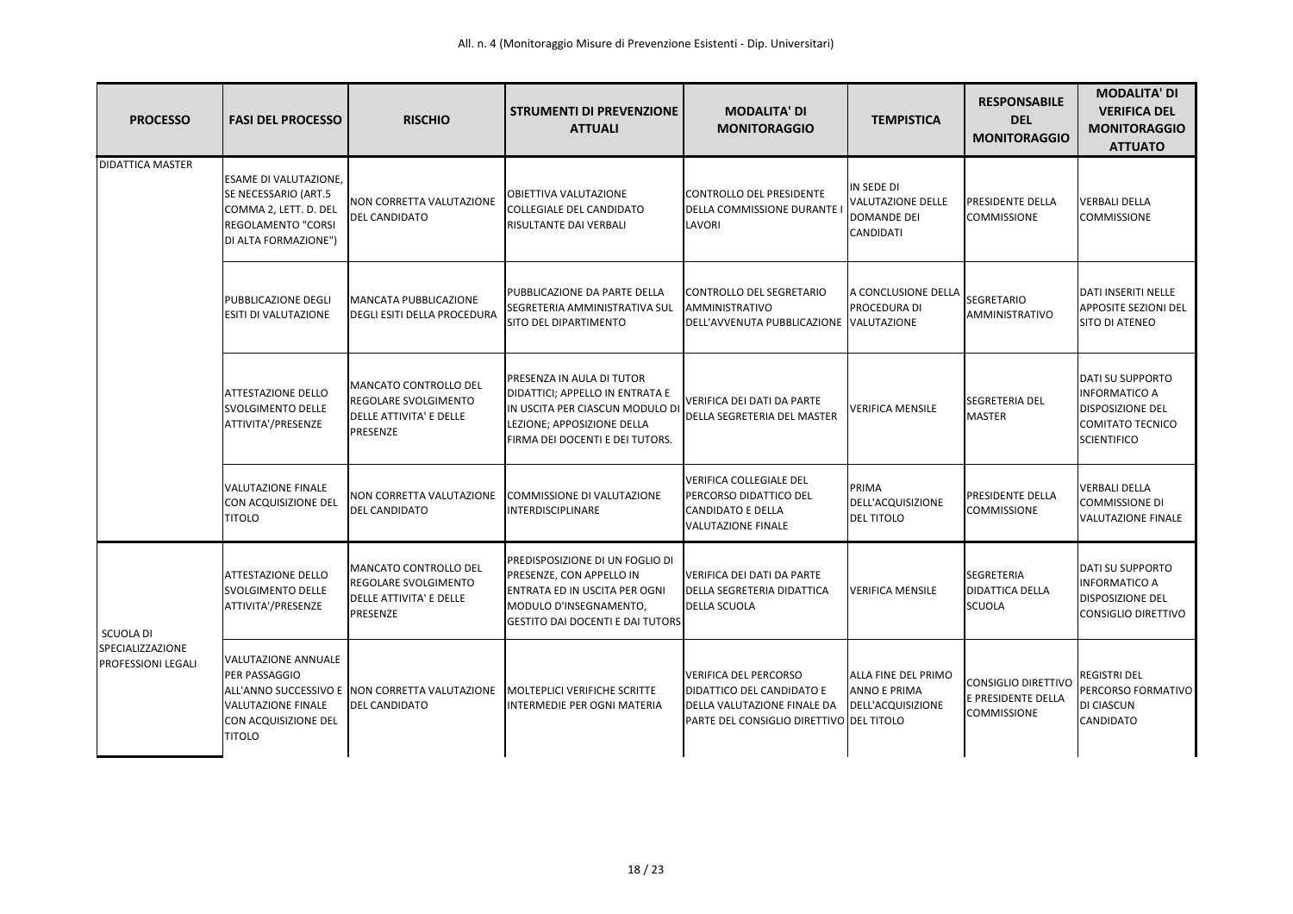| <b>PROCESSO</b>                                                   | <b>FASI DEL PROCESSO</b>                                                                                                           | <b>RISCHIO</b>                                                                                     | <b>STRUMENTI DI PREVENZIONE</b><br><b>ATTUALI</b>                                                                                                                 | <b>MODALITA' DI</b><br><b>MONITORAGGIO</b>                                                                                                  | <b>TEMPISTICA</b>                                                                | <b>RESPONSABILE</b><br><b>DEL</b><br><b>MONITORAGGIO</b>               | <b>MODALITA' DI</b><br><b>VERIFICA DEL</b><br><b>MONITORAGGIO</b><br><b>ATTUATO</b>                                         |
|-------------------------------------------------------------------|------------------------------------------------------------------------------------------------------------------------------------|----------------------------------------------------------------------------------------------------|-------------------------------------------------------------------------------------------------------------------------------------------------------------------|---------------------------------------------------------------------------------------------------------------------------------------------|----------------------------------------------------------------------------------|------------------------------------------------------------------------|-----------------------------------------------------------------------------------------------------------------------------|
| <b>DIDATTICA MASTER</b>                                           | <b>ESAME DI VALUTAZIONE,</b><br>SE NECESSARIO (ART.5<br>COMMA 2, LETT. D. DEL<br><b>REGOLAMENTO "CORSI</b><br>DI ALTA FORMAZIONE") | NON CORRETTA VALUTAZIONE<br><b>DEL CANDIDATO</b>                                                   | OBIETTIVA VALUTAZIONE<br><b>COLLEGIALE DEL CANDIDATO</b><br>RISULTANTE DAI VERBALI                                                                                | CONTROLLO DEL PRESIDENTE<br>DELLA COMMISSIONE DURANTE<br>LAVORI                                                                             | IN SEDE DI<br><b>VALUTAZIONE DELLE</b><br><b>DOMANDE DEI</b><br><b>CANDIDATI</b> | PRESIDENTE DELLA<br><b>COMMISSIONE</b>                                 | <b>VERBALI DELLA</b><br><b>COMMISSIONE</b>                                                                                  |
|                                                                   | PUBBLICAZIONE DEGLI<br>ESITI DI VALUTAZIONE                                                                                        | MANCATA PUBBLICAZIONE<br><b>DEGLI ESITI DELLA PROCEDURA</b>                                        | PUBBLICAZIONE DA PARTE DELLA<br>SEGRETERIA AMMINISTRATIVA SUL<br>SITO DEL DIPARTIMENTO                                                                            | CONTROLLO DEL SEGRETARIO<br>AMMINISTRATIVO<br>DELL'AVVENUTA PUBBLICAZIONE VALUTAZIONE                                                       | A CONCLUSIONE DELLA<br>PROCEDURA DI                                              | <b>SEGRETARIO</b><br>AMMINISTRATIVO                                    | DATI INSERITI NELLE<br><b>APPOSITE SEZIONI DEL</b><br>SITO DI ATENEO                                                        |
|                                                                   | <b>ATTESTAZIONE DELLO</b><br><b>SVOLGIMENTO DELLE</b><br>ATTIVITA'/PRESENZE                                                        | MANCATO CONTROLLO DEL<br><b>REGOLARE SVOLGIMENTO</b><br>DELLE ATTIVITA' E DELLE<br>PRESENZE        | PRESENZA IN AULA DI TUTOR<br>DIDATTICI; APPELLO IN ENTRATA E<br>IN USCITA PER CIASCUN MODULO DI<br>LEZIONE; APPOSIZIONE DELLA<br>FIRMA DEI DOCENTI E DEI TUTORS.  | <b>VERIFICA DEI DATI DA PARTE</b><br><b>DELLA SEGRETERIA DEL MASTER</b>                                                                     | <b>VERIFICA MENSILE</b>                                                          | <b>SEGRETERIA DEL</b><br><b>MASTER</b>                                 | <b>DATI SU SUPPORTO</b><br><b>INFORMATICO A</b><br><b>DISPOSIZIONE DEL</b><br><b>COMITATO TECNICO</b><br><b>SCIENTIFICO</b> |
|                                                                   | <b>VALUTAZIONE FINALE</b><br>CON ACQUISIZIONE DEL<br><b>TITOLO</b>                                                                 | NON CORRETTA VALUTAZIONE<br><b>DEL CANDIDATO</b>                                                   | COMMISSIONE DI VALUTAZIONE<br><b>INTERDISCIPLINARE</b>                                                                                                            | VERIFICA COLLEGIALE DEL<br>PERCORSO DIDATTICO DEL<br><b>CANDIDATO E DELLA</b><br><b>VALUTAZIONE FINALE</b>                                  | PRIMA<br>DELL'ACQUISIZIONE<br><b>DEL TITOLO</b>                                  | PRESIDENTE DELLA<br><b>COMMISSIONE</b>                                 | <b>VERBALI DELLA</b><br>COMMISSIONE DI<br><b>VALUTAZIONE FINALE</b>                                                         |
| <b>SCUOLA DI</b><br>SPECIALIZZAZIONE<br><b>PROFESSIONI LEGALI</b> | ATTESTAZIONE DELLO<br><b>SVOLGIMENTO DELLE</b><br>ATTIVITA'/PRESENZE                                                               | <b>MANCATO CONTROLLO DEL</b><br>REGOLARE SVOLGIMENTO<br><b>DELLE ATTIVITA' E DELLE</b><br>PRESENZE | PREDISPOSIZIONE DI UN FOGLIO DI<br>PRESENZE, CON APPELLO IN<br>ENTRATA ED IN USCITA PER OGNI<br>MODULO D'INSEGNAMENTO,<br><b>GESTITO DAI DOCENTI E DAI TUTORS</b> | <b>VERIFICA DEI DATI DA PARTE</b><br><b>DELLA SEGRETERIA DIDATTICA</b><br><b>DELLA SCUOLA</b>                                               | <b>IVERIFICA MENSILE</b>                                                         | <b>SEGRETERIA</b><br><b>DIDATTICA DELLA</b><br><b>SCUOLA</b>           | <b>DATI SU SUPPORTO</b><br><b>INFORMATICO A</b><br><b>DISPOSIZIONE DEL</b><br><b>CONSIGLIO DIRETTIVO</b>                    |
|                                                                   | VALUTAZIONE ANNUALE<br>PER PASSAGGIO<br><b>VALUTAZIONE FINALE</b><br>CON ACQUISIZIONE DEL<br><b>TITOLO</b>                         | ALL'ANNO SUCCESSIVO E NON CORRETTA VALUTAZIONE<br><b>DEL CANDIDATO</b>                             | <b>MOLTEPLICI VERIFICHE SCRITTE</b><br>INTERMEDIE PER OGNI MATERIA                                                                                                | <b>VERIFICA DEL PERCORSO</b><br>DIDATTICO DEL CANDIDATO E<br><b>DELLA VALUTAZIONE FINALE DA</b><br>PARTE DEL CONSIGLIO DIRETTIVO DEL TITOLO | ALLA FINE DEL PRIMO<br><b>ANNO E PRIMA</b><br>DELL'ACQUISIZIONE                  | <b>CONSIGLIO DIRETTIVO</b><br>E PRESIDENTE DELLA<br><b>COMMISSIONE</b> | REGISTRI DEL<br>PERCORSO FORMATIVO<br>DI CIASCUN<br><b>CANDIDATO</b>                                                        |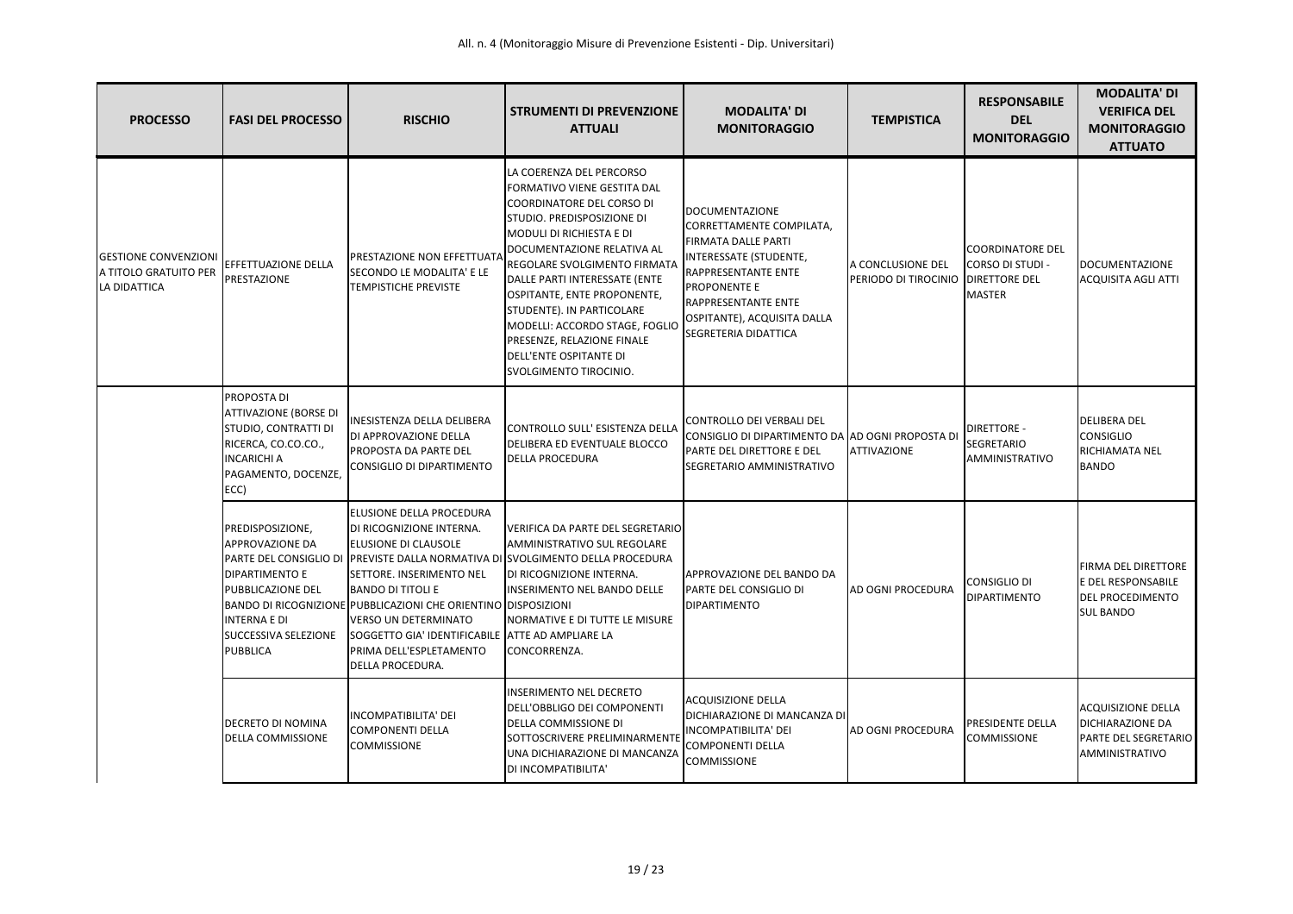| <b>PROCESSO</b>                                                      | <b>FASI DEL PROCESSO</b>                                                                                                                 | <b>RISCHIO</b>                                                                                                                                                                                                                                                                                                                                         | <b>STRUMENTI DI PREVENZIONE</b><br><b>ATTUALI</b>                                                                                                                                                                                                                                                                                                                                                                             | <b>MODALITA' DI</b><br><b>MONITORAGGIO</b>                                                                                                                                                                                                          | <b>TEMPISTICA</b>                                         | <b>RESPONSABILE</b><br><b>DEL</b><br><b>MONITORAGGIO</b>  | <b>MODALITA' DI</b><br><b>VERIFICA DEL</b><br><b>MONITORAGGIO</b><br><b>ATTUATO</b>                   |
|----------------------------------------------------------------------|------------------------------------------------------------------------------------------------------------------------------------------|--------------------------------------------------------------------------------------------------------------------------------------------------------------------------------------------------------------------------------------------------------------------------------------------------------------------------------------------------------|-------------------------------------------------------------------------------------------------------------------------------------------------------------------------------------------------------------------------------------------------------------------------------------------------------------------------------------------------------------------------------------------------------------------------------|-----------------------------------------------------------------------------------------------------------------------------------------------------------------------------------------------------------------------------------------------------|-----------------------------------------------------------|-----------------------------------------------------------|-------------------------------------------------------------------------------------------------------|
| <b>GESTIONE CONVENZIONI</b><br>A TITOLO GRATUITO PER<br>LA DIDATTICA | EFFETTUAZIONE DELLA<br>PRESTAZIONE                                                                                                       | <b>PRESTAZIONE NON EFFETTUATA</b><br>SECONDO LE MODALITA' E LE<br><b>TEMPISTICHE PREVISTE</b>                                                                                                                                                                                                                                                          | LA COERENZA DEL PERCORSO<br>FORMATIVO VIENE GESTITA DAL<br>COORDINATORE DEL CORSO DI<br>STUDIO. PREDISPOSIZIONE DI<br>MODULI DI RICHIESTA E DI<br>DOCUMENTAZIONE RELATIVA AL<br>REGOLARE SVOLGIMENTO FIRMATA<br>DALLE PARTI INTERESSATE (ENTE<br>OSPITANTE, ENTE PROPONENTE,<br>STUDENTE). IN PARTICOLARE<br>MODELLI: ACCORDO STAGE, FOGLIO<br>PRESENZE, RELAZIONE FINALE<br>DELL'ENTE OSPITANTE DI<br>SVOLGIMENTO TIROCINIO. | DOCUMENTAZIONE<br>CORRETTAMENTE COMPILATA,<br><b>FIRMATA DALLE PARTI</b><br>INTERESSATE (STUDENTE,<br><b>RAPPRESENTANTE ENTE</b><br><b>PROPONENTE E</b><br><b>RAPPRESENTANTE ENTE</b><br>OSPITANTE), ACQUISITA DALLA<br><b>SEGRETERIA DIDATTICA</b> | A CONCLUSIONE DEL<br>PERIODO DI TIROCINIO   DIRETTORE DEL | COORDINATORE DEL<br>CORSO DI STUDI -<br><b>MASTER</b>     | DOCUMENTAZIONE<br><b>ACQUISITA AGLI ATTI</b>                                                          |
|                                                                      | PROPOSTA DI<br>ATTIVAZIONE (BORSE DI<br>STUDIO, CONTRATTI DI<br>RICERCA, CO.CO.CO.,<br><b>INCARICHI A</b><br>PAGAMENTO, DOCENZE,<br>ECC) | INESISTENZA DELLA DELIBERA<br>DI APPROVAZIONE DELLA<br><b>PROPOSTA DA PARTE DEL</b><br>CONSIGLIO DI DIPARTIMENTO                                                                                                                                                                                                                                       | CONTROLLO SULL' ESISTENZA DELLA<br>DELIBERA ED EVENTUALE BLOCCO<br><b>DELLA PROCEDURA</b>                                                                                                                                                                                                                                                                                                                                     | CONTROLLO DEI VERBALI DEL<br>CONSIGLIO DI DIPARTIMENTO DA AD OGNI PROPOSTA DI<br>PARTE DEL DIRETTORE E DEL<br><b>SEGRETARIO AMMINISTRATIVO</b>                                                                                                      | <b>ATTIVAZIONE</b>                                        | <b>DIRETTORE -</b><br><b>SEGRETARIO</b><br>AMMINISTRATIVO | <b>DELIBERA DEL</b><br><b>CONSIGLIO</b><br>RICHIAMATA NEL<br><b>BANDO</b>                             |
|                                                                      | PREDISPOSIZIONE,<br>APPROVAZIONE DA<br>DIPARTIMENTO E<br>PUBBLICAZIONE DEL<br>INTERNA E DI<br>SUCCESSIVA SELEZIONE<br><b>PUBBLICA</b>    | <b>ELUSIONE DELLA PROCEDURA</b><br>DI RICOGNIZIONE INTERNA.<br><b>ELUSIONE DI CLAUSOLE</b><br>SETTORE. INSERIMENTO NEL<br><b>BANDO DI TITOLI E</b><br>BANDO DI RICOGNIZIONE PUBBLICAZIONI CHE ORIENTINO DISPOSIZIONI<br>VERSO UN DETERMINATO<br>SOGGETTO GIA' IDENTIFICABILE ATTE AD AMPLIARE LA<br>PRIMA DELL'ESPLETAMENTO<br><b>DELLA PROCEDURA.</b> | VERIFICA DA PARTE DEL SEGRETARIO<br><b>AMMINISTRATIVO SUL REGOLARE</b><br>PARTE DEL CONSIGLIO DI PREVISTE DALLA NORMATIVA DI SVOLGIMENTO DELLA PROCEDURA<br>DI RICOGNIZIONE INTERNA.<br><b>INSERIMENTO NEL BANDO DELLE</b><br>NORMATIVE E DI TUTTE LE MISURE<br>CONCORRENZA.                                                                                                                                                  | APPROVAZIONE DEL BANDO DA<br>PARTE DEL CONSIGLIO DI<br>DIPARTIMENTO                                                                                                                                                                                 | <b>AD OGNI PROCEDURA</b>                                  | CONSIGLIO DI<br><b>DIPARTIMENTO</b>                       | FIRMA DEL DIRETTORE<br>E DEL RESPONSABILE<br>DEL PROCEDIMENTO<br><b>SUL BANDO</b>                     |
|                                                                      | DECRETO DI NOMINA<br><b>DELLA COMMISSIONE</b>                                                                                            | INCOMPATIBILITA' DEI<br>COMPONENTI DELLA<br><b>COMMISSIONE</b>                                                                                                                                                                                                                                                                                         | <b>INSERIMENTO NEL DECRETO</b><br>DELL'OBBLIGO DEI COMPONENTI<br>DELLA COMMISSIONE DI<br>SOTTOSCRIVERE PRELIMINARMENTE<br>UNA DICHIARAZIONE DI MANCANZA<br>DI INCOMPATIBILITA'                                                                                                                                                                                                                                                | <b>ACQUISIZIONE DELLA</b><br>DICHIARAZIONE DI MANCANZA DI<br>INCOMPATIBILITA' DEI<br>COMPONENTI DELLA<br><b>COMMISSIONE</b>                                                                                                                         | <b>AD OGNI PROCEDURA</b>                                  | <b>PRESIDENTE DELLA</b><br><b>COMMISSIONE</b>             | <b>ACQUISIZIONE DELLA</b><br><b>DICHIARAZIONE DA</b><br><b>PARTE DEL SEGRETARIO</b><br>AMMINISTRATIVO |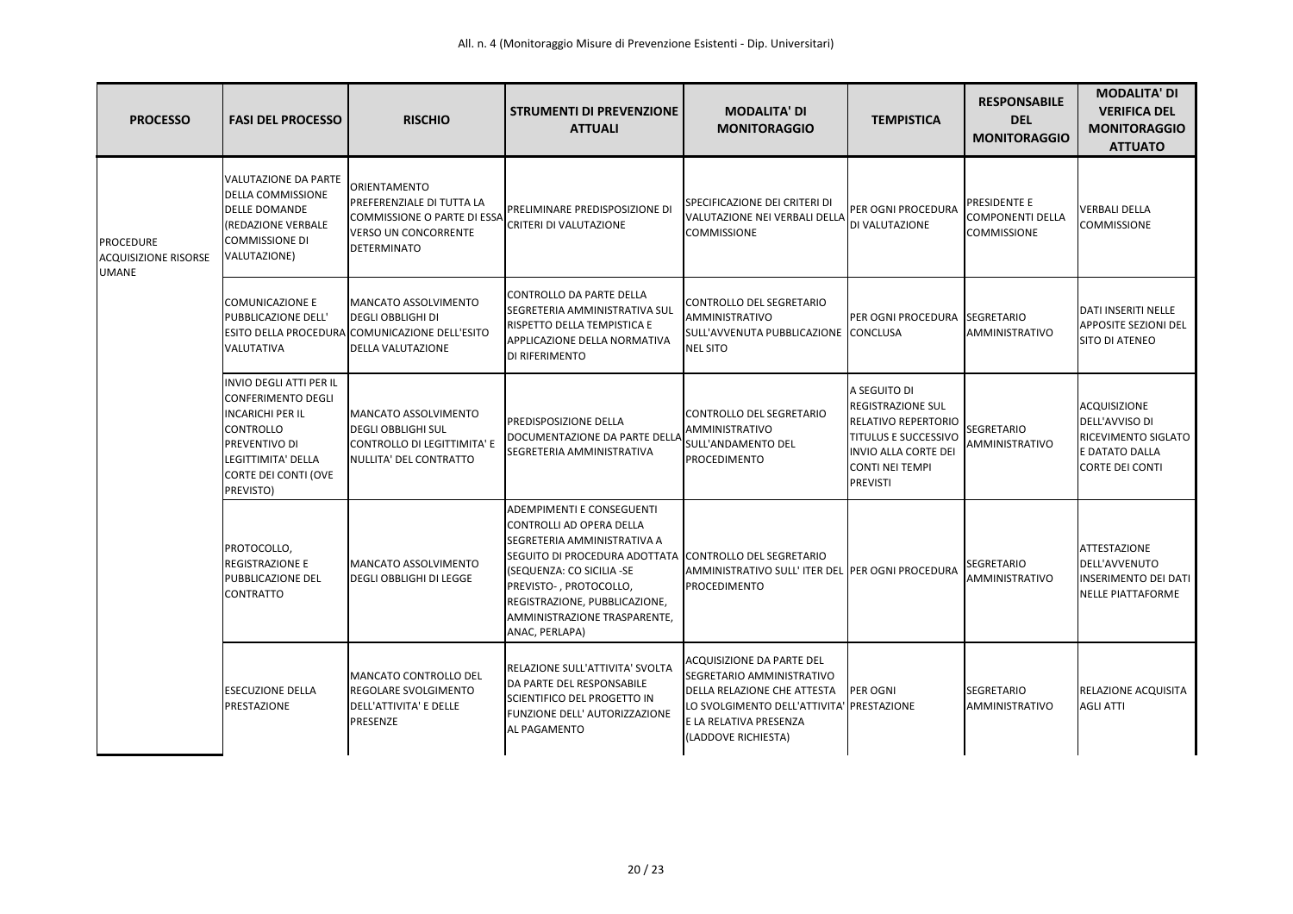| <b>PROCESSO</b>                                                 | <b>FASI DEL PROCESSO</b>                                                                                                                                                               | <b>RISCHIO</b>                                                                                                                              | <b>STRUMENTI DI PREVENZIONE</b><br><b>ATTUALI</b>                                                                                                                                                                                                                                        | <b>MODALITA' DI</b><br><b>MONITORAGGIO</b>                                                                                                                                          | <b>TEMPISTICA</b>                                                                                                                                            | <b>RESPONSABILE</b><br><b>DEL</b><br><b>MONITORAGGIO</b> | <b>MODALITA' DI</b><br><b>VERIFICA DEL</b><br><b>MONITORAGGIO</b><br><b>ATTUATO</b>               |
|-----------------------------------------------------------------|----------------------------------------------------------------------------------------------------------------------------------------------------------------------------------------|---------------------------------------------------------------------------------------------------------------------------------------------|------------------------------------------------------------------------------------------------------------------------------------------------------------------------------------------------------------------------------------------------------------------------------------------|-------------------------------------------------------------------------------------------------------------------------------------------------------------------------------------|--------------------------------------------------------------------------------------------------------------------------------------------------------------|----------------------------------------------------------|---------------------------------------------------------------------------------------------------|
| <b>PROCEDURE</b><br><b>ACQUISIZIONE RISORSE</b><br><b>UMANE</b> | VALUTAZIONE DA PARTE<br>DELLA COMMISSIONE<br><b>DELLE DOMANDE</b><br>(REDAZIONE VERBALE<br><b>COMMISSIONE DI</b><br>VALUTAZIONE)                                                       | ORIENTAMENTO<br><b>PREFERENZIALE DI TUTTA LA</b><br><b>COMMISSIONE O PARTE DI ESSA</b><br><b>VERSO UN CONCORRENTE</b><br><b>DETERMINATO</b> | PRELIMINARE PREDISPOSIZIONE DI<br>CRITERI DI VALUTAZIONE                                                                                                                                                                                                                                 | SPECIFICAZIONE DEI CRITERI DI<br>VALUTAZIONE NEI VERBALI DELLA<br><b>COMMISSIONE</b>                                                                                                | PER OGNI PROCEDURA<br>DI VALUTAZIONE                                                                                                                         | PRESIDENTE E<br>COMPONENTI DELLA<br><b>COMMISSIONE</b>   | <b>VERBALI DELLA</b><br><b>COMMISSIONE</b>                                                        |
|                                                                 | <b>COMUNICAZIONE E</b><br>PUBBLICAZIONE DELL'<br>VALUTATIVA                                                                                                                            | MANCATO ASSOLVIMENTO<br><b>DEGLI OBBLIGHI DI</b><br>ESITO DELLA PROCEDURA COMUNICAZIONE DELL'ESITO<br><b>DELLA VALUTAZIONE</b>              | CONTROLLO DA PARTE DELLA<br>SEGRETERIA AMMINISTRATIVA SUL<br>RISPETTO DELLA TEMPISTICA E<br>APPLICAZIONE DELLA NORMATIVA<br>DI RIFERIMENTO                                                                                                                                               | CONTROLLO DEL SEGRETARIO<br>AMMINISTRATIVO<br>SULL'AVVENUTA PUBBLICAZIONE<br><b>NEL SITO</b>                                                                                        | PER OGNI PROCEDURA SEGRETARIO<br>CONCLUSA                                                                                                                    | AMMINISTRATIVO                                           | DATI INSERITI NELLE<br><b>APPOSITE SEZIONI DEL</b><br><b>SITO DI ATENEO</b>                       |
|                                                                 | <b>INVIO DEGLI ATTI PER IL</b><br><b>CONFERIMENTO DEGLI</b><br><b>INCARICHI PER IL</b><br><b>CONTROLLO</b><br>PREVENTIVO DI<br>LEGITTIMITA' DELLA<br>CORTE DEI CONTI (OVE<br>PREVISTO) | <b>IMANCATO ASSOLVIMENTO</b><br><b>IDEGLI OBBLIGHI SUL</b><br>CONTROLLO DI LEGITTIMITA' E<br>NULLITA' DEL CONTRATTO                         | PREDISPOSIZIONE DELLA<br>DOCUMENTAZIONE DA PARTE DELLA<br>SEGRETERIA AMMINISTRATIVA                                                                                                                                                                                                      | CONTROLLO DEL SEGRETARIO<br><b>AMMINISTRATIVO</b><br>SULL'ANDAMENTO DEL<br>PROCEDIMENTO                                                                                             | A SEGUITO DI<br>REGISTRAZIONE SUL<br>RELATIVO REPERTORIO<br><b>TITULUS E SUCCESSIVO</b><br><b>INVIO ALLA CORTE DEI</b><br>CONTI NEI TEMPI<br><b>PREVISTI</b> | <b>SEGRETARIO</b><br><b>AMMINISTRATIVO</b>               | <b>ACQUISIZIONE</b><br>DELL'AVVISO DI<br>RICEVIMENTO SIGLATO<br>E DATATO DALLA<br>CORTE DEI CONTI |
|                                                                 | PROTOCOLLO,<br>REGISTRAZIONE E<br>PUBBLICAZIONE DEL<br><b>CONTRATTO</b>                                                                                                                | MANCATO ASSOLVIMENTO<br><b>DEGLI OBBLIGHI DI LEGGE</b>                                                                                      | ADEMPIMENTI E CONSEGUENTI<br>CONTROLLI AD OPERA DELLA<br>SEGRETERIA AMMINISTRATIVA A<br>SEGUITO DI PROCEDURA ADOTTATA CONTROLLO DEL SEGRETARIO<br>(SEQUENZA: CO SICILIA -SE<br>PREVISTO-, PROTOCOLLO,<br>REGISTRAZIONE, PUBBLICAZIONE,<br>AMMINISTRAZIONE TRASPARENTE,<br>ANAC, PERLAPA) | AMMINISTRATIVO SULL'ITER DEL PER OGNI PROCEDURA<br><b>PROCEDIMENTO</b>                                                                                                              |                                                                                                                                                              | <b>SEGRETARIO</b><br>AMMINISTRATIVO                      | <b>ATTESTAZIONE</b><br>DELL'AVVENUTO<br>INSERIMENTO DEI DATI<br>NELLE PIATTAFORME                 |
|                                                                 | <b>ESECUZIONE DELLA</b><br>PRESTAZIONE                                                                                                                                                 | MANCATO CONTROLLO DEL<br><b>REGOLARE SVOLGIMENTO</b><br>DELL'ATTIVITA' E DELLE<br>PRESENZE                                                  | RELAZIONE SULL'ATTIVITA' SVOLTA<br>DA PARTE DEL RESPONSABILE<br>SCIENTIFICO DEL PROGETTO IN<br>FUNZIONE DELL' AUTORIZZAZIONE<br>AL PAGAMENTO                                                                                                                                             | ACQUISIZIONE DA PARTE DEL<br>SEGRETARIO AMMINISTRATIVO<br>DELLA RELAZIONE CHE ATTESTA<br>LO SVOLGIMENTO DELL'ATTIVITA' PRESTAZIONE<br>E LA RELATIVA PRESENZA<br>(LADDOVE RICHIESTA) | <b>PER OGNI</b>                                                                                                                                              | <b>SEGRETARIO</b><br><b>AMMINISTRATIVO</b>               | RELAZIONE ACQUISITA<br><b>AGLI ATTI</b>                                                           |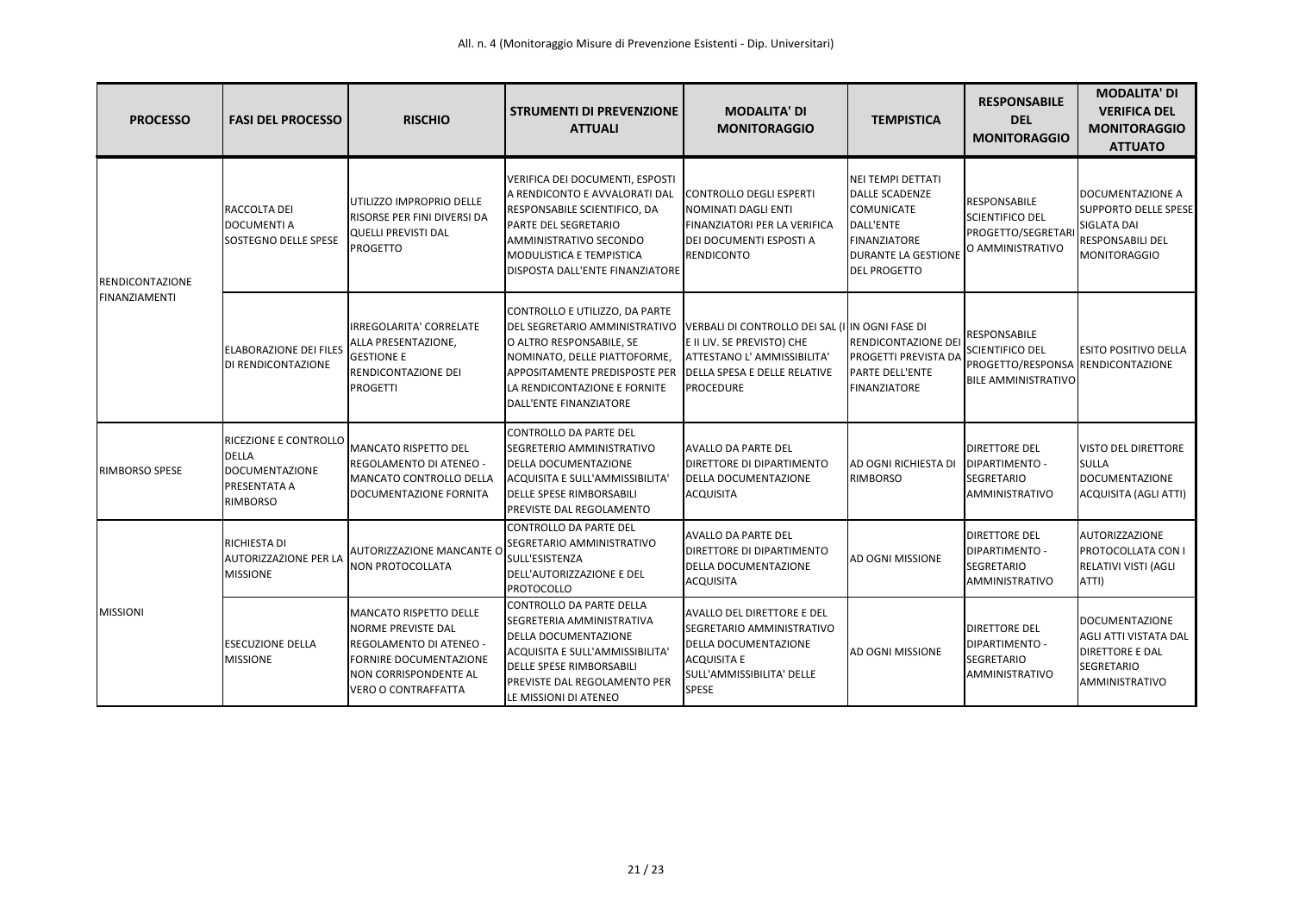| <b>PROCESSO</b>                         | <b>FASI DEL PROCESSO</b>                                                                          | <b>RISCHIO</b>                                                                                                                                                         | <b>STRUMENTI DI PREVENZIONE</b><br><b>ATTUALI</b>                                                                                                                                                                                 | <b>MODALITA' DI</b><br><b>MONITORAGGIO</b>                                                                                                                              | <b>TEMPISTICA</b>                                                                                                                                 | <b>RESPONSABILE</b><br><b>DEL</b><br><b>MONITORAGGIO</b>                                                         | <b>MODALITA' DI</b><br><b>VERIFICA DEL</b><br><b>MONITORAGGIO</b><br><b>ATTUATO</b>                              |
|-----------------------------------------|---------------------------------------------------------------------------------------------------|------------------------------------------------------------------------------------------------------------------------------------------------------------------------|-----------------------------------------------------------------------------------------------------------------------------------------------------------------------------------------------------------------------------------|-------------------------------------------------------------------------------------------------------------------------------------------------------------------------|---------------------------------------------------------------------------------------------------------------------------------------------------|------------------------------------------------------------------------------------------------------------------|------------------------------------------------------------------------------------------------------------------|
| <b>RENDICONTAZIONE</b><br>FINANZIAMENTI | RACCOLTA DEI<br><b>DOCUMENTI A</b><br><b>SOSTEGNO DELLE SPESE</b>                                 | UTILIZZO IMPROPRIO DELLE<br>RISORSE PER FINI DIVERSI DA<br><b>QUELLI PREVISTI DAL</b><br><b>PROGETTO</b>                                                               | VERIFICA DEI DOCUMENTI, ESPOSTI<br>A RENDICONTO E AVVALORATI DAL<br>RESPONSABILE SCIENTIFICO, DA<br><b>PARTE DEL SEGRETARIO</b><br>AMMINISTRATIVO SECONDO<br><b>MODULISTICA E TEMPISTICA</b><br>DISPOSTA DALL'ENTE FINANZIATORE   | CONTROLLO DEGLI ESPERTI<br>NOMINATI DAGLI ENTI<br>FINANZIATORI PER LA VERIFICA<br>DEI DOCUMENTI ESPOSTI A<br>RENDICONTO                                                 | <b>NEI TEMPI DETTATI</b><br>DALLE SCADENZE<br><b>COMUNICATE</b><br>DALL'ENTE<br>FINANZIATORE<br><b>DURANTE LA GESTIONE</b><br><b>DEL PROGETTO</b> | <b>RESPONSABILE</b><br><b>SCIENTIFICO DEL</b><br><b>PROGETTO/SEGRETAR</b><br>O AMMINISTRATIVO                    | <b>DOCUMENTAZIONE A</b><br><b>SUPPORTO DELLE SPESE</b><br>SIGLATA DAI<br>RESPONSABILI DEL<br><b>MONITORAGGIO</b> |
|                                         | ELABORAZIONE DEI FILES<br>DI RENDICONTAZIONE                                                      | IRREGOLARITA' CORRELATE<br>ALLA PRESENTAZIONE,<br><b>GESTIONE E</b><br>RENDICONTAZIONE DEI<br><b>PROGETTI</b>                                                          | CONTROLLO E UTILIZZO, DA PARTE<br><b>DEL SEGRETARIO AMMINISTRATIVO</b><br>O ALTRO RESPONSABILE, SE<br>NOMINATO, DELLE PIATTOFORME,<br>APPOSITAMENTE PREDISPOSTE PER<br>LA RENDICONTAZIONE E FORNITE<br>DALL'ENTE FINANZIATORE     | VERBALI DI CONTROLLO DEI SAL (I IN OGNI FASE DI<br>E II LIV. SE PREVISTO) CHE<br>ATTESTANO L' AMMISSIBILITA'<br><b>DELLA SPESA E DELLE RELATIVE</b><br><b>PROCEDURE</b> | <b>RENDICONTAZIONE DEI</b><br><b>PROGETTI PREVISTA DA</b><br><b>PARTE DELL'ENTE</b><br>FINANZIATORE                                               | <b>RESPONSABILE</b><br><b>SCIENTIFICO DEL</b><br>PROGETTO/RESPONSA RENDICONTAZIONE<br><b>BILE AMMINISTRATIVO</b> | <b>ESITO POSITIVO DELLA</b>                                                                                      |
| <b>RIMBORSO SPESE</b>                   | RICEZIONE E CONTROLLO<br><b>DELLA</b><br><b>DOCUMENTAZIONE</b><br>PRESENTATA A<br><b>RIMBORSO</b> | MANCATO RISPETTO DEL<br>REGOLAMENTO DI ATENEO -<br>MANCATO CONTROLLO DELLA<br>DOCUMENTAZIONE FORNITA                                                                   | CONTROLLO DA PARTE DEL<br>SEGRETERIO AMMINISTRATIVO<br><b>DELLA DOCUMENTAZIONE</b><br>ACQUISITA E SULL'AMMISSIBILITA'<br><b>DELLE SPESE RIMBORSABILI</b><br>PREVISTE DAL REGOLAMENTO                                              | <b>AVALLO DA PARTE DEL</b><br><b>DIRETTORE DI DIPARTIMENTO</b><br><b>DELLA DOCUMENTAZIONE</b><br><b>ACQUISITA</b>                                                       | <b>AD OGNI RICHIESTA DI</b><br>RIMBORSO                                                                                                           | <b>DIRETTORE DEL</b><br>DIPARTIMENTO -<br><b>SEGRETARIO</b><br>AMMINISTRATIVO                                    | <b>VISTO DEL DIRETTORE</b><br><b>SULLA</b><br><b>DOCUMENTAZIONE</b><br>ACQUISITA (AGLI ATTI)                     |
| <b>MISSIONI</b>                         | RICHIESTA DI<br>AUTORIZZAZIONE PER LA<br><b>MISSIONE</b>                                          | AUTORIZZAZIONE MANCANTE O<br><b>NON PROTOCOLLATA</b>                                                                                                                   | <b>CONTROLLO DA PARTE DEL</b><br>SEGRETARIO AMMINISTRATIVO<br>SULL'ESISTENZA<br>DELL'AUTORIZZAZIONE E DEL<br><b>PROTOCOLLO</b>                                                                                                    | <b>AVALLO DA PARTE DEL</b><br><b>DIRETTORE DI DIPARTIMENTO</b><br><b>DELLA DOCUMENTAZIONE</b><br><b>ACQUISITA</b>                                                       | <b>AD OGNI MISSIONE</b>                                                                                                                           | <b>DIRETTORE DEL</b><br><b>DIPARTIMENTO -</b><br><b>SEGRETARIO</b><br>AMMINISTRATIVO                             | <b>AUTORIZZAZIONE</b><br>PROTOCOLLATA CON I<br>RELATIVI VISTI (AGLI<br>ATTI)                                     |
|                                         | <b>ESECUZIONE DELLA</b><br><b>MISSIONE</b>                                                        | <b>MANCATO RISPETTO DELLE</b><br><b>NORME PREVISTE DAL</b><br>REGOLAMENTO DI ATENEO -<br>FORNIRE DOCUMENTAZIONE<br>NON CORRISPONDENTE AL<br><b>VERO O CONTRAFFATTA</b> | CONTROLLO DA PARTE DELLA<br><b>SEGRETERIA AMMINISTRATIVA</b><br><b>DELLA DOCUMENTAZIONE</b><br><b>ACQUISITA E SULL'AMMISSIBILITA'</b><br>DELLE SPESE RIMBORSABILI<br><b>PREVISTE DAL REGOLAMENTO PER</b><br>LE MISSIONI DI ATENEO | <b>AVALLO DEL DIRETTORE E DEL</b><br>SEGRETARIO AMMINISTRATIVO<br><b>DELLA DOCUMENTAZIONE</b><br><b>ACQUISITA E</b><br>SULL'AMMISSIBILITA' DELLE<br><b>SPESE</b>        | AD OGNI MISSIONE                                                                                                                                  | <b>DIRETTORE DEL</b><br><b>IDIPARTIMENTO -</b><br><b>SEGRETARIO</b><br><b>AMMINISTRATIVO</b>                     | <b>DOCUMENTAZIONE</b><br>AGLI ATTI VISTATA DAL<br>DIRETTORE E DAL<br><b>SEGRETARIO</b><br>AMMINISTRATIVO         |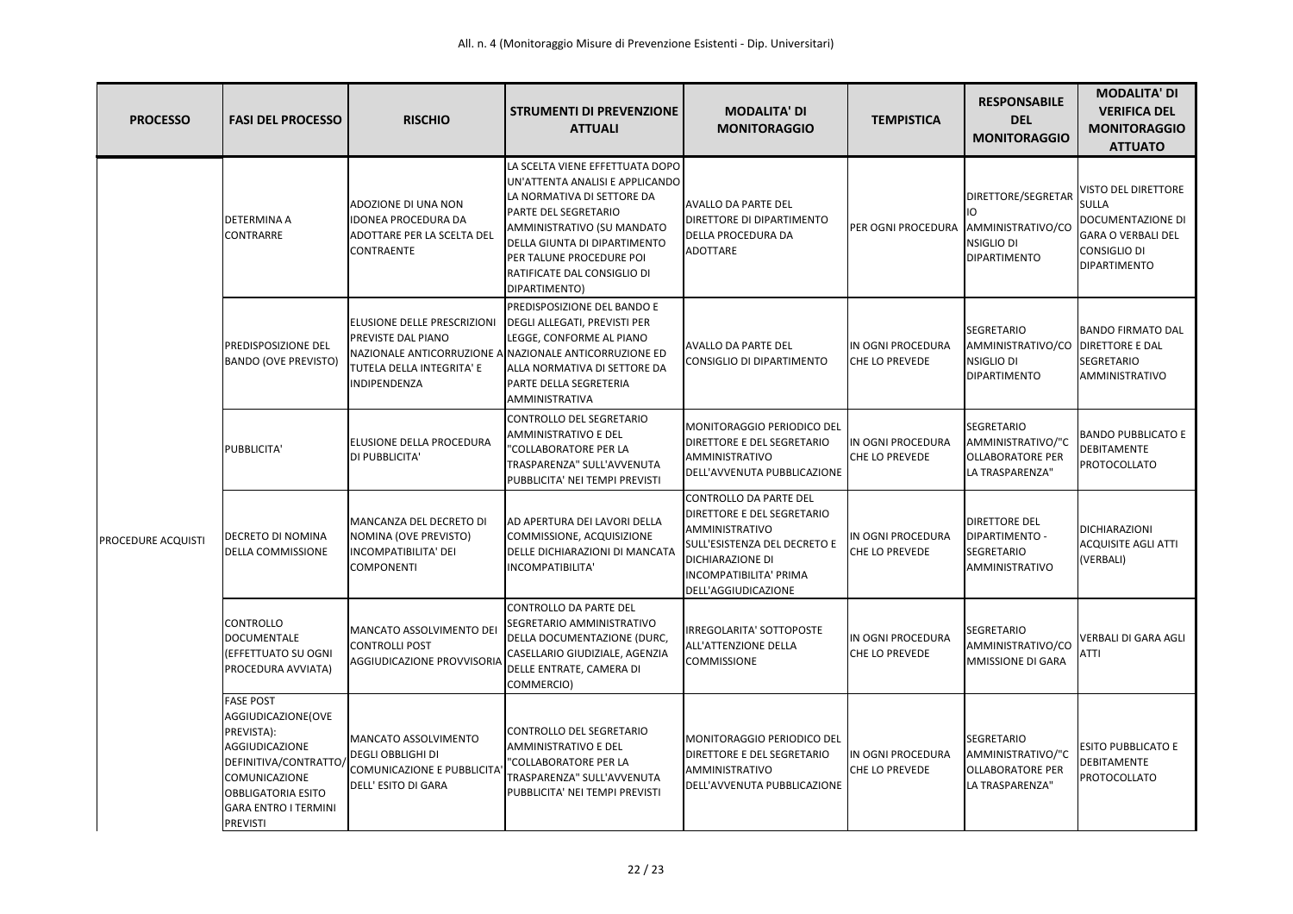| <b>PROCESSO</b>           | <b>FASI DEL PROCESSO</b>                                                                                                                                                                               | <b>RISCHIO</b>                                                                                               | <b>STRUMENTI DI PREVENZIONE</b><br><b>ATTUALI</b>                                                                                                                                                                                                                  | <b>MODALITA' DI</b><br><b>MONITORAGGIO</b>                                                                                                                                                | <b>TEMPISTICA</b>                          | <b>RESPONSABILE</b><br><b>DEL</b><br><b>MONITORAGGIO</b>                             | <b>MODALITA' DI</b><br><b>VERIFICA DEL</b><br><b>MONITORAGGIO</b><br><b>ATTUATO</b>                                                 |
|---------------------------|--------------------------------------------------------------------------------------------------------------------------------------------------------------------------------------------------------|--------------------------------------------------------------------------------------------------------------|--------------------------------------------------------------------------------------------------------------------------------------------------------------------------------------------------------------------------------------------------------------------|-------------------------------------------------------------------------------------------------------------------------------------------------------------------------------------------|--------------------------------------------|--------------------------------------------------------------------------------------|-------------------------------------------------------------------------------------------------------------------------------------|
| <b>PROCEDURE ACQUISTI</b> | <b>DETERMINA A</b><br><b>CONTRARRE</b>                                                                                                                                                                 | ADOZIONE DI UNA NON<br><b>IDONEA PROCEDURA DA</b><br><b>ADOTTARE PER LA SCELTA DEL</b><br><b>CONTRAENTE</b>  | LA SCELTA VIENE EFFETTUATA DOPO<br>UN'ATTENTA ANALISI E APPLICANDO<br>LA NORMATIVA DI SETTORE DA<br>PARTE DEL SEGRETARIO<br>AMMINISTRATIVO (SU MANDATO<br>DELLA GIUNTA DI DIPARTIMENTO<br>PER TALUNE PROCEDURE POI<br>RATIFICATE DAL CONSIGLIO DI<br>DIPARTIMENTO) | <b>AVALLO DA PARTE DEL</b><br><b>DIRETTORE DI DIPARTIMENTO</b><br><b>DELLA PROCEDURA DA</b><br><b>ADOTTARE</b>                                                                            | PER OGNI PROCEDURA AMMINISTRATIVO/CO       | DIRETTORE/SEGRETAR<br>IIO.<br>NSIGLIO DI<br><b>IDIPARTIMENTO</b>                     | VISTO DEL DIRETTORE<br><b>SULLA</b><br>DOCUMENTAZIONE DI<br><b>GARA O VERBALI DEL</b><br><b>CONSIGLIO DI</b><br><b>DIPARTIMENTO</b> |
|                           | PREDISPOSIZIONE DEL<br><b>BANDO (OVE PREVISTO)</b>                                                                                                                                                     | <b>ELUSIONE DELLE PRESCRIZIONI</b><br><b>PREVISTE DAL PIANO</b><br>TUTELA DELLA INTEGRITA' E<br>INDIPENDENZA | PREDISPOSIZIONE DEL BANDO E<br><b>DEGLI ALLEGATI, PREVISTI PER</b><br>LEGGE, CONFORME AL PIANO<br>NAZIONALE ANTICORRUZIONE A NAZIONALE ANTICORRUZIONE ED<br>ALLA NORMATIVA DI SETTORE DA<br>PARTE DELLA SEGRETERIA<br>AMMINISTRATIVA                               | <b>AVALLO DA PARTE DEL</b><br>CONSIGLIO DI DIPARTIMENTO                                                                                                                                   | IN OGNI PROCEDURA<br>CHE LO PREVEDE        | <b>SEGRETARIO</b><br>AMMINISTRATIVO/CO<br><b>NSIGLIO DI</b><br><b>DIPARTIMENTO</b>   | <b>BANDO FIRMATO DAL</b><br><b>DIRETTORE E DAL</b><br><b>SEGRETARIO</b><br>AMMINISTRATIVO                                           |
|                           | PUBBLICITA'                                                                                                                                                                                            | <b>ELUSIONE DELLA PROCEDURA</b><br>DI PUBBLICITA'                                                            | CONTROLLO DEL SEGRETARIO<br>AMMINISTRATIVO E DEL<br>"COLLABORATORE PER LA<br>TRASPARENZA" SULL'AVVENUTA<br>PUBBLICITA' NEI TEMPI PREVISTI                                                                                                                          | MONITORAGGIO PERIODICO DEL<br><b>DIRETTORE E DEL SEGRETARIO</b><br>AMMINISTRATIVO<br>DELL'AVVENUTA PUBBLICAZIONE                                                                          | IN OGNI PROCEDURA<br>CHE LO PREVEDE        | SEGRETARIO<br>AMMINISTRATIVO/"C<br><b>OLLABORATORE PER</b><br>LA TRASPARENZA"        | <b>BANDO PUBBLICATO E</b><br><b>DEBITAMENTE</b><br><b>PROTOCOLLATO</b>                                                              |
|                           | <b>DECRETO DI NOMINA</b><br><b>DELLA COMMISSIONE</b>                                                                                                                                                   | MANCANZA DEL DECRETO DI<br>NOMINA (OVE PREVISTO)<br><b>INCOMPATIBILITA' DEI</b><br><b>COMPONENTI</b>         | AD APERTURA DEI LAVORI DELLA<br>COMMISSIONE, ACQUISIZIONE<br>DELLE DICHIARAZIONI DI MANCATA<br>INCOMPATIBILITA'                                                                                                                                                    | CONTROLLO DA PARTE DEL<br><b>DIRETTORE E DEL SEGRETARIO</b><br>AMMINISTRATIVO<br>SULL'ESISTENZA DEL DECRETO E<br><b>DICHIARAZIONE DI</b><br>INCOMPATIBILITA' PRIMA<br>DELL'AGGIUDICAZIONE | IN OGNI PROCEDURA<br>CHE LO PREVEDE        | <b>DIRETTORE DEL</b><br><b>DIPARTIMENTO -</b><br>SEGRETARIO<br>AMMINISTRATIVO        | <b>DICHIARAZIONI</b><br><b>ACQUISITE AGLI ATTI</b><br>(VERBALI)                                                                     |
|                           | <b>CONTROLLO</b><br><b>DOCUMENTALE</b><br>(EFFETTUATO SU OGNI<br>PROCEDURA AVVIATA)                                                                                                                    | MANCATO ASSOLVIMENTO DEI<br><b>CONTROLLI POST</b><br>AGGIUDICAZIONE PROVVISORIA                              | <b>CONTROLLO DA PARTE DEL</b><br>SEGRETARIO AMMINISTRATIVO<br>DELLA DOCUMENTAZIONE (DURC,<br>CASELLARIO GIUDIZIALE, AGENZIA<br>DELLE ENTRATE, CAMERA DI<br>COMMERCIO)                                                                                              | IRREGOLARITA' SOTTOPOSTE<br>ALL'ATTENZIONE DELLA<br><b>COMMISSIONE</b>                                                                                                                    | IN OGNI PROCEDURA<br>CHE LO PREVEDE        | <b>SEGRETARIO</b><br>AMMINISTRATIVO/CO<br>MMISSIONE DI GARA                          | VERBALI DI GARA AGLI<br><b>ATTI</b>                                                                                                 |
|                           | <b>FASE POST</b><br>AGGIUDICAZIONE(OVE<br>PREVISTA):<br><b>AGGIUDICAZIONE</b><br>DEFINITIVA/CONTRATTO/<br>COMUNICAZIONE<br><b>OBBLIGATORIA ESITO</b><br><b>GARA ENTRO I TERMINI</b><br><b>PREVISTI</b> | MANCATO ASSOLVIMENTO<br><b>DEGLI OBBLIGHI DI</b><br>COMUNICAZIONE E PUBBLICITA<br>DELL' ESITO DI GARA        | CONTROLLO DEL SEGRETARIO<br><b>AMMINISTRATIVO E DEL</b><br>"COLLABORATORE PER LA<br>TRASPARENZA" SULL'AVVENUTA<br>PUBBLICITA' NEI TEMPI PREVISTI                                                                                                                   | MONITORAGGIO PERIODICO DEL<br><b>DIRETTORE E DEL SEGRETARIO</b><br>AMMINISTRATIVO<br>DELL'AVVENUTA PUBBLICAZIONE                                                                          | IN OGNI PROCEDURA<br><b>CHE LO PREVEDE</b> | <b>SEGRETARIO</b><br>AMMINISTRATIVO/"C<br><b>OLLABORATORE PER</b><br>LA TRASPARENZA" | <b>ESITO PUBBLICATO E</b><br>DEBITAMENTE<br>PROTOCOLLATO                                                                            |